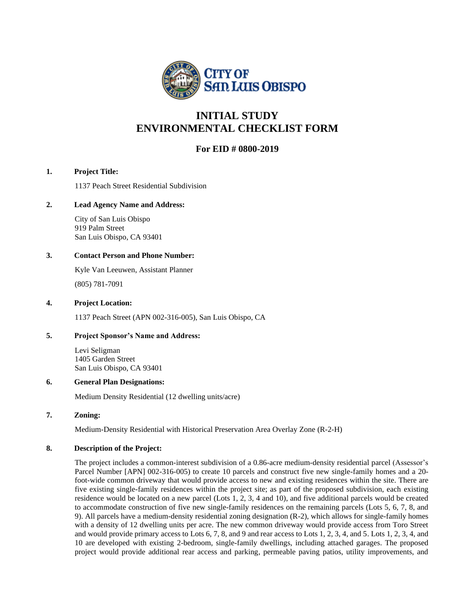

# **INITIAL STUDY ENVIRONMENTAL CHECKLIST FORM**

## **For EID # 0800-2019**

#### **1. Project Title:**

1137 Peach Street Residential Subdivision

#### **2. Lead Agency Name and Address:**

City of San Luis Obispo 919 Palm Street San Luis Obispo, CA 93401

#### **3. Contact Person and Phone Number:**

Kyle Van Leeuwen, Assistant Planner (805) 781-7091

#### **4. Project Location:**

1137 Peach Street (APN 002-316-005), San Luis Obispo, CA

#### **5. Project Sponsor's Name and Address:**

Levi Seligman 1405 Garden Street San Luis Obispo, CA 93401

#### **6. General Plan Designations:**

Medium Density Residential (12 dwelling units/acre)

#### **7. Zoning:**

Medium-Density Residential with Historical Preservation Area Overlay Zone (R-2-H)

#### **8. Description of the Project:**

The project includes a common-interest subdivision of a 0.86-acre medium-density residential parcel (Assessor's Parcel Number [APN] 002-316-005) to create 10 parcels and construct five new single-family homes and a 20 foot-wide common driveway that would provide access to new and existing residences within the site. There are five existing single-family residences within the project site; as part of the proposed subdivision, each existing residence would be located on a new parcel (Lots 1, 2, 3, 4 and 10), and five additional parcels would be created to accommodate construction of five new single-family residences on the remaining parcels (Lots 5, 6, 7, 8, and 9). All parcels have a medium-density residential zoning designation (R-2), which allows for single-family homes with a density of 12 dwelling units per acre. The new common driveway would provide access from Toro Street and would provide primary access to Lots 6, 7, 8, and 9 and rear access to Lots 1, 2, 3, 4, and 5. Lots 1, 2, 3, 4, and 10 are developed with existing 2-bedroom, single-family dwellings, including attached garages. The proposed project would provide additional rear access and parking, permeable paving patios, utility improvements, and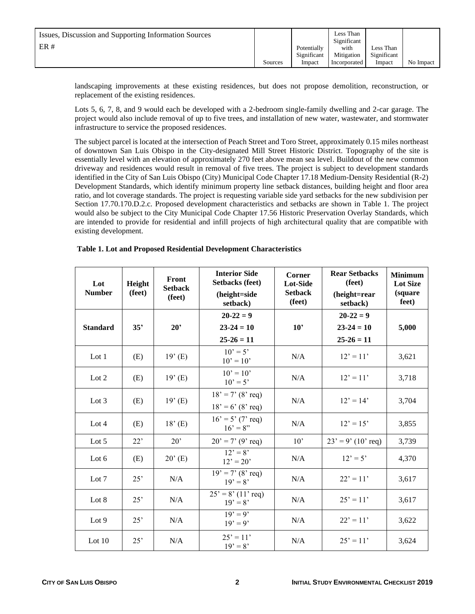| Issues, Discussion and Supporting Information Sources |         |             | Less Than<br>Significant |             |           |
|-------------------------------------------------------|---------|-------------|--------------------------|-------------|-----------|
| ER#                                                   |         | Potentially | with                     | Less Than   |           |
|                                                       |         | Significant | Mitigation               | Significant |           |
|                                                       | Sources | Impact      | Incorporated             | Impact      | No Impact |

landscaping improvements at these existing residences, but does not propose demolition, reconstruction, or replacement of the existing residences.

Lots 5, 6, 7, 8, and 9 would each be developed with a 2-bedroom single-family dwelling and 2-car garage. The project would also include removal of up to five trees, and installation of new water, wastewater, and stormwater infrastructure to service the proposed residences.

The subject parcel is located at the intersection of Peach Street and Toro Street, approximately 0.15 miles northeast of downtown San Luis Obispo in the City-designated Mill Street Historic District. Topography of the site is essentially level with an elevation of approximately 270 feet above mean sea level. Buildout of the new common driveway and residences would result in removal of five trees. The project is subject to development standards identified in the City of San Luis Obispo (City) Municipal Code Chapter 17.18 Medium-Density Residential (R-2) Development Standards, which identify minimum property line setback distances, building height and floor area ratio, and lot coverage standards. The project is requesting variable side yard setbacks for the new subdivision per Section 17.70.170.D.2.c. Proposed development characteristics and setbacks are shown in Table 1. The project would also be subject to the City Municipal Code Chapter 17.56 Historic Preservation Overlay Standards, which are intended to provide for residential and infill projects of high architectural quality that are compatible with existing development.

#### **Table 1. Lot and Proposed Residential Development Characteristics**

| Lot<br><b>Number</b> | Height<br>(feet) | Front<br><b>Setback</b><br>(feet) | <b>Interior Side</b><br><b>Setbacks (feet)</b><br>(height=side<br>setback) | <b>Corner</b><br>Lot-Side<br><b>Setback</b><br>(feet) | <b>Rear Setbacks</b><br>(feet)<br>(height=rear<br>setback) | <b>Minimum</b><br><b>Lot Size</b><br>(square<br>feet) |
|----------------------|------------------|-----------------------------------|----------------------------------------------------------------------------|-------------------------------------------------------|------------------------------------------------------------|-------------------------------------------------------|
|                      |                  |                                   | $20-22=9$                                                                  |                                                       | $20-22=9$                                                  |                                                       |
| <b>Standard</b>      | 35'              | $20^{\circ}$                      | $23 - 24 = 10$                                                             | 10'                                                   | $23 - 24 = 10$                                             | 5,000                                                 |
|                      |                  |                                   | $25 - 26 = 11$                                                             |                                                       | $25-26=11$                                                 |                                                       |
| Lot 1                | (E)              | $19'$ (E)                         | $10' = 5'$<br>$10' = 10'$                                                  | N/A                                                   | $12' = 11'$                                                | 3,621                                                 |
| Lot 2                | (E)              | $19'$ (E)                         | $10' = 10'$<br>$10' = 5'$                                                  | N/A                                                   | $12' = 11'$                                                | 3,718                                                 |
| Lot $3$              | (E)              | $19'$ (E)                         | $18' = 7' (8' \text{req})$<br>$18' = 6'$ (8' req)                          | N/A                                                   | $12' = 14'$                                                | 3,704                                                 |
| Lot 4                | (E)              | $18'$ (E)                         | $16' = 5' (7' \text{ req})$<br>$16' = 8''$                                 | N/A                                                   | $12' = 15'$                                                | 3,855                                                 |
| Lot $5$              | 22'              | $20^{\circ}$                      | $20' = 7' (9' \text{req})$                                                 | $10^{\circ}$                                          | $23' = 9' (10' \text{ req})$                               | 3,739                                                 |
| Lot $6$              | (E)              | $20^{\circ}$ (E)                  | $12' = 8'$<br>$12' = 20'$                                                  | N/A                                                   | $12' = 5'$                                                 | 4,370                                                 |
| Lot 7                | 25'              | N/A                               | $19' = 7' (8' \text{req})$<br>$19' = 8'$                                   | N/A                                                   | $22' = 11'$                                                | 3,617                                                 |
| Lot $8$              | 25'              | N/A                               | $25' = 8' (11' \text{ req})$<br>$19' = 8'$                                 | N/A                                                   | $25' = 11'$                                                | 3,617                                                 |
| Lot 9                | 25'              | N/A                               | $\overline{1}9' = 9'$<br>$19' = 9'$                                        | N/A                                                   | $22' = 11'$                                                | 3,622                                                 |
| Lot $10$             | 25'              | N/A                               | $25' = 11'$<br>$19' = 8'$                                                  | N/A                                                   | $25' = 11'$                                                | 3,624                                                 |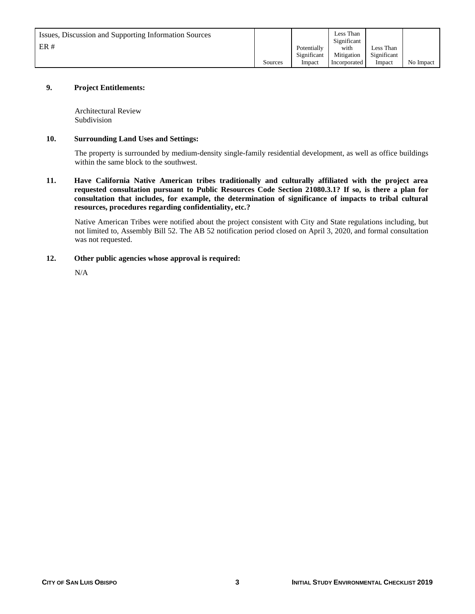| Issues, Discussion and Supporting Information Sources |         |             | Less Than<br>Significant |             |           |
|-------------------------------------------------------|---------|-------------|--------------------------|-------------|-----------|
| ER#                                                   |         | Potentially | with                     | Less Than   |           |
|                                                       |         | Significant | Mitigation               | Significant |           |
|                                                       | Sources | Impact      | Incorporated             | Impact      | No Impact |

#### **9. Project Entitlements:**

Architectural Review Subdivision

#### **10. Surrounding Land Uses and Settings:**

The property is surrounded by medium-density single-family residential development, as well as office buildings within the same block to the southwest.

**11. Have California Native American tribes traditionally and culturally affiliated with the project area requested consultation pursuant to Public Resources Code Section 21080.3.1? If so, is there a plan for consultation that includes, for example, the determination of significance of impacts to tribal cultural resources, procedures regarding confidentiality, etc.?**

Native American Tribes were notified about the project consistent with City and State regulations including, but not limited to, Assembly Bill 52. The AB 52 notification period closed on April 3, 2020, and formal consultation was not requested.

#### **12. Other public agencies whose approval is required:**

N/A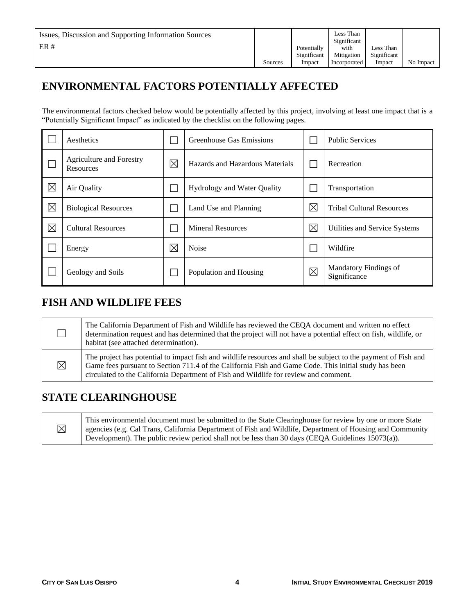# **ENVIRONMENTAL FACTORS POTENTIALLY AFFECTED**

The environmental factors checked below would be potentially affected by this project, involving at least one impact that is a "Potentially Significant Impact" as indicated by the checklist on the following pages.

|             | Aesthetics                                   |             | Greenhouse Gas Emissions        |             | <b>Public Services</b>                |
|-------------|----------------------------------------------|-------------|---------------------------------|-------------|---------------------------------------|
|             | <b>Agriculture and Forestry</b><br>Resources | $\boxtimes$ | Hazards and Hazardous Materials |             | Recreation                            |
| $\boxtimes$ | Air Quality                                  |             | Hydrology and Water Quality     |             | Transportation                        |
| $\boxtimes$ | <b>Biological Resources</b>                  |             | Land Use and Planning           | $\boxtimes$ | <b>Tribal Cultural Resources</b>      |
| $\boxtimes$ | <b>Cultural Resources</b>                    |             | <b>Mineral Resources</b>        | $\boxtimes$ | Utilities and Service Systems         |
|             | Energy                                       | $\boxtimes$ | <b>Noise</b>                    |             | Wildfire                              |
|             | Geology and Soils                            |             | Population and Housing          | ⊠           | Mandatory Findings of<br>Significance |

# **FISH AND WILDLIFE FEES**

|          | The California Department of Fish and Wildlife has reviewed the CEQA document and written no effect<br>determination request and has determined that the project will not have a potential effect on fish, wildlife, or<br>habitat (see attached determination).                                                 |
|----------|------------------------------------------------------------------------------------------------------------------------------------------------------------------------------------------------------------------------------------------------------------------------------------------------------------------|
| $\times$ | The project has potential to impact fish and wildlife resources and shall be subject to the payment of Fish and<br>Game fees pursuant to Section 711.4 of the California Fish and Game Code. This initial study has been<br>circulated to the California Department of Fish and Wildlife for review and comment. |

# **STATE CLEARINGHOUSE**

| $\boxtimes$ | This environmental document must be submitted to the State Clearinghouse for review by one or more State<br>agencies (e.g. Cal Trans, California Department of Fish and Wildlife, Department of Housing and Community |
|-------------|-----------------------------------------------------------------------------------------------------------------------------------------------------------------------------------------------------------------------|
|             | Development). The public review period shall not be less than 30 days (CEQA Guidelines $15073(a)$ ).                                                                                                                  |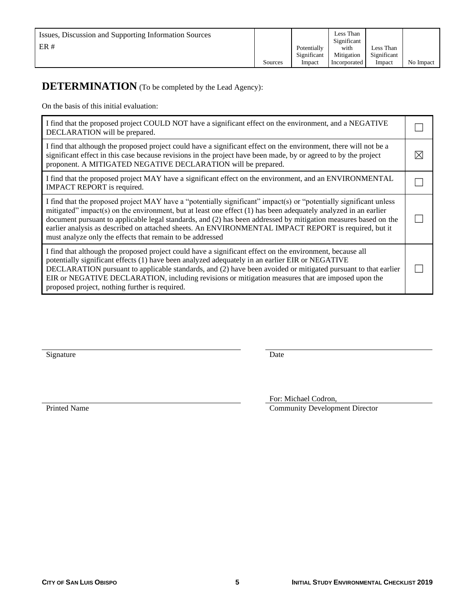| Issues, Discussion and Supporting Information Sources<br>ER# |         | Potentially<br>Significant | Less Than<br>Significant<br>with<br>Mitigation | Less Than<br>Significant |           |
|--------------------------------------------------------------|---------|----------------------------|------------------------------------------------|--------------------------|-----------|
|                                                              | Sources | Impact                     | Incorporated                                   | Impact                   | No Impact |

# **DETERMINATION** (To be completed by the Lead Agency):

On the basis of this initial evaluation:

| I find that the proposed project COULD NOT have a significant effect on the environment, and a NEGATIVE<br>DECLARATION will be prepared.                                                                                                                                                                                                                                                                                                                                                                                        |   |
|---------------------------------------------------------------------------------------------------------------------------------------------------------------------------------------------------------------------------------------------------------------------------------------------------------------------------------------------------------------------------------------------------------------------------------------------------------------------------------------------------------------------------------|---|
| I find that although the proposed project could have a significant effect on the environment, there will not be a<br>significant effect in this case because revisions in the project have been made, by or agreed to by the project<br>proponent. A MITIGATED NEGATIVE DECLARATION will be prepared.                                                                                                                                                                                                                           | M |
| I find that the proposed project MAY have a significant effect on the environment, and an ENVIRONMENTAL<br>IMPACT REPORT is required.                                                                                                                                                                                                                                                                                                                                                                                           |   |
| I find that the proposed project MAY have a "potentially significant" impact(s) or "potentially significant unless<br>mitigated" impact(s) on the environment, but at least one effect $(1)$ has been adequately analyzed in an earlier<br>document pursuant to applicable legal standards, and (2) has been addressed by mitigation measures based on the<br>earlier analysis as described on attached sheets. An ENVIRONMENTAL IMPACT REPORT is required, but it<br>must analyze only the effects that remain to be addressed |   |
| I find that although the proposed project could have a significant effect on the environment, because all<br>potentially significant effects (1) have been analyzed adequately in an earlier EIR or NEGATIVE<br>DECLARATION pursuant to applicable standards, and (2) have been avoided or mitigated pursuant to that earlier<br>EIR or NEGATIVE DECLARATION, including revisions or mitigation measures that are imposed upon the<br>proposed project, nothing further is required.                                            |   |

Signature Date

For: Michael Codron,

Printed Name Community Development Director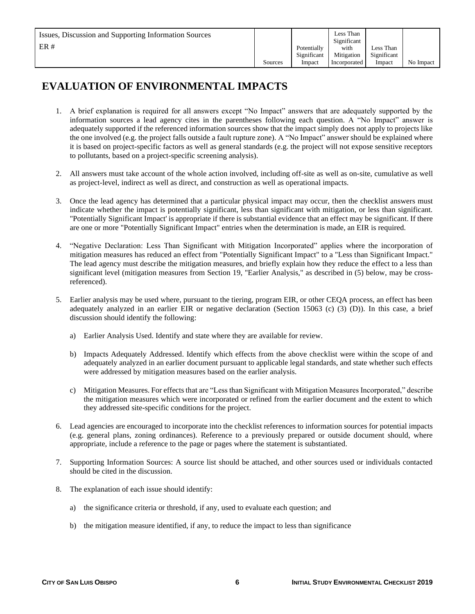# **EVALUATION OF ENVIRONMENTAL IMPACTS**

- 1. A brief explanation is required for all answers except "No Impact" answers that are adequately supported by the information sources a lead agency cites in the parentheses following each question. A "No Impact" answer is adequately supported if the referenced information sources show that the impact simply does not apply to projects like the one involved (e.g. the project falls outside a fault rupture zone). A "No Impact" answer should be explained where it is based on project-specific factors as well as general standards (e.g. the project will not expose sensitive receptors to pollutants, based on a project-specific screening analysis).
- 2. All answers must take account of the whole action involved, including off-site as well as on-site, cumulative as well as project-level, indirect as well as direct, and construction as well as operational impacts.
- 3. Once the lead agency has determined that a particular physical impact may occur, then the checklist answers must indicate whether the impact is potentially significant, less than significant with mitigation, or less than significant. "Potentially Significant Impact' is appropriate if there is substantial evidence that an effect may be significant. If there are one or more "Potentially Significant Impact" entries when the determination is made, an EIR is required.
- 4. "Negative Declaration: Less Than Significant with Mitigation Incorporated" applies where the incorporation of mitigation measures has reduced an effect from "Potentially Significant Impact" to a "Less than Significant Impact." The lead agency must describe the mitigation measures, and briefly explain how they reduce the effect to a less than significant level (mitigation measures from Section 19, "Earlier Analysis," as described in (5) below, may be crossreferenced).
- 5. Earlier analysis may be used where, pursuant to the tiering, program EIR, or other CEQA process, an effect has been adequately analyzed in an earlier EIR or negative declaration (Section 15063 (c) (3) (D)). In this case, a brief discussion should identify the following:
	- a) Earlier Analysis Used. Identify and state where they are available for review.
	- b) Impacts Adequately Addressed. Identify which effects from the above checklist were within the scope of and adequately analyzed in an earlier document pursuant to applicable legal standards, and state whether such effects were addressed by mitigation measures based on the earlier analysis.
	- c) Mitigation Measures. For effects that are "Less than Significant with Mitigation Measures Incorporated," describe the mitigation measures which were incorporated or refined from the earlier document and the extent to which they addressed site-specific conditions for the project.
- 6. Lead agencies are encouraged to incorporate into the checklist references to information sources for potential impacts (e.g. general plans, zoning ordinances). Reference to a previously prepared or outside document should, where appropriate, include a reference to the page or pages where the statement is substantiated.
- 7. Supporting Information Sources: A source list should be attached, and other sources used or individuals contacted should be cited in the discussion.
- 8. The explanation of each issue should identify:
	- a) the significance criteria or threshold, if any, used to evaluate each question; and
	- b) the mitigation measure identified, if any, to reduce the impact to less than significance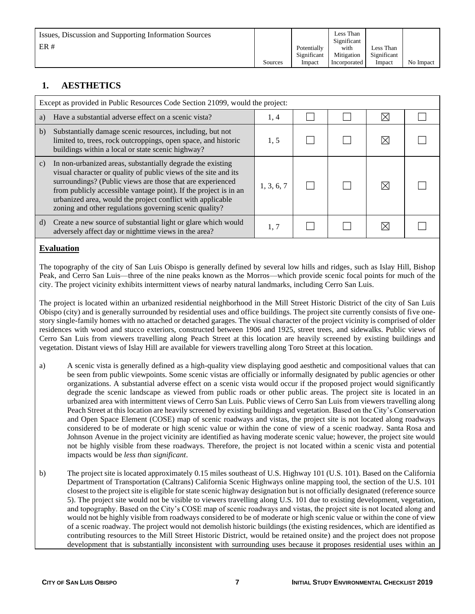| Issues, Discussion and Supporting Information Sources<br>ER# |         | Potentially<br>Significant | Less Than<br>Significant<br>with<br>Mitigation | Less Than<br>Significant |           |
|--------------------------------------------------------------|---------|----------------------------|------------------------------------------------|--------------------------|-----------|
|                                                              | Sources | Impact                     | Incorporated                                   | Impact                   | No Impact |

# **1. AESTHETICS**

|               | Except as provided in Public Resources Code Section 21099, would the project:                                                                                                                                                                                                                                                                                                           |            |  |  |   |  |  |  |
|---------------|-----------------------------------------------------------------------------------------------------------------------------------------------------------------------------------------------------------------------------------------------------------------------------------------------------------------------------------------------------------------------------------------|------------|--|--|---|--|--|--|
| a)            | Have a substantial adverse effect on a scenic vista?                                                                                                                                                                                                                                                                                                                                    | 1, 4       |  |  | ⋉ |  |  |  |
| $\mathbf{b}$  | Substantially damage scenic resources, including, but not<br>limited to, trees, rock outcroppings, open space, and historic<br>buildings within a local or state scenic highway?                                                                                                                                                                                                        | 1, 5       |  |  |   |  |  |  |
| $\mathbf{c})$ | In non-urbanized areas, substantially degrade the existing<br>visual character or quality of public views of the site and its<br>surroundings? (Public views are those that are experienced<br>from publicly accessible vantage point). If the project is in an<br>urbanized area, would the project conflict with applicable<br>zoning and other regulations governing scenic quality? | 1, 3, 6, 7 |  |  |   |  |  |  |
| d)            | Create a new source of substantial light or glare which would<br>adversely affect day or nighttime views in the area?                                                                                                                                                                                                                                                                   | 1, 7       |  |  |   |  |  |  |

### **Evaluation**

The topography of the city of San Luis Obispo is generally defined by several low hills and ridges, such as Islay Hill, Bishop Peak, and Cerro San Luis—three of the nine peaks known as the Morros—which provide scenic focal points for much of the city. The project vicinity exhibits intermittent views of nearby natural landmarks, including Cerro San Luis.

The project is located within an urbanized residential neighborhood in the Mill Street Historic District of the city of San Luis Obispo (city) and is generally surrounded by residential uses and office buildings. The project site currently consists of five onestory single-family homes with no attached or detached garages. The visual character of the project vicinity is comprised of older residences with wood and stucco exteriors, constructed between 1906 and 1925, street trees, and sidewalks. Public views of Cerro San Luis from viewers travelling along Peach Street at this location are heavily screened by existing buildings and vegetation. Distant views of Islay Hill are available for viewers travelling along Toro Street at this location.

- a) A scenic vista is generally defined as a high-quality view displaying good aesthetic and compositional values that can be seen from public viewpoints. Some scenic vistas are officially or informally designated by public agencies or other organizations. A substantial adverse effect on a scenic vista would occur if the proposed project would significantly degrade the scenic landscape as viewed from public roads or other public areas. The project site is located in an urbanized area with intermittent views of Cerro San Luis. Public views of Cerro San Luis from viewers travelling along Peach Street at this location are heavily screened by existing buildings and vegetation. Based on the City's Conservation and Open Space Element (COSE) map of scenic roadways and vistas, the project site is not located along roadways considered to be of moderate or high scenic value or within the cone of view of a scenic roadway. Santa Rosa and Johnson Avenue in the project vicinity are identified as having moderate scenic value; however, the project site would not be highly visible from these roadways. Therefore, the project is not located within a scenic vista and potential impacts would be *less than significant*.
- b) The project site is located approximately 0.15 miles southeast of U.S. Highway 101 (U.S. 101). Based on the California Department of Transportation (Caltrans) California Scenic Highways online mapping tool, the section of the U.S. 101 closest to the project site is eligible for state scenic highway designation but is not officially designated (reference source 5). The project site would not be visible to viewers travelling along U.S. 101 due to existing development, vegetation, and topography. Based on the City's COSE map of scenic roadways and vistas, the project site is not located along and would not be highly visible from roadways considered to be of moderate or high scenic value or within the cone of view of a scenic roadway. The project would not demolish historic buildings (the existing residences, which are identified as contributing resources to the Mill Street Historic District, would be retained onsite) and the project does not propose development that is substantially inconsistent with surrounding uses because it proposes residential uses within an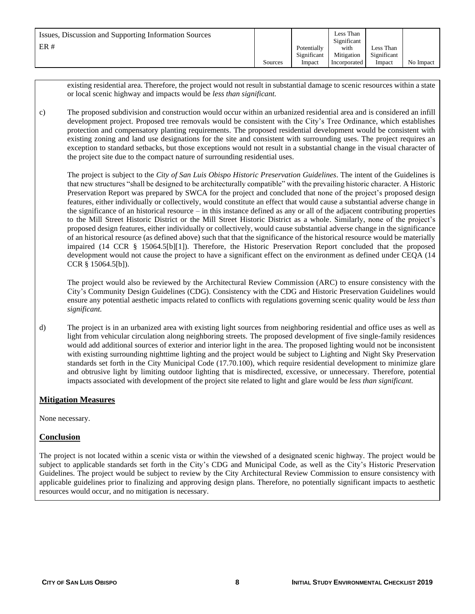| Issues, Discussion and Supporting Information Sources |         |             | Less Than<br>Significant |             |           |
|-------------------------------------------------------|---------|-------------|--------------------------|-------------|-----------|
| ER#                                                   |         | Potentially | with                     | Less Than   |           |
|                                                       |         | Significant | Mitigation               | Significant |           |
|                                                       | Sources | Impact      | Incorporated             | Impact      | No Impact |

existing residential area. Therefore, the project would not result in substantial damage to scenic resources within a state or local scenic highway and impacts would be *less than significant.*

c) The proposed subdivision and construction would occur within an urbanized residential area and is considered an infill development project. Proposed tree removals would be consistent with the City's Tree Ordinance, which establishes protection and compensatory planting requirements. The proposed residential development would be consistent with existing zoning and land use designations for the site and consistent with surrounding uses. The project requires an exception to standard setbacks, but those exceptions would not result in a substantial change in the visual character of the project site due to the compact nature of surrounding residential uses.

The project is subject to the *City of San Luis Obispo Historic Preservation Guidelines*. The intent of the Guidelines is that new structures "shall be designed to be architecturally compatible" with the prevailing historic character. A Historic Preservation Report was prepared by SWCA for the project and concluded that none of the project's proposed design features, either individually or collectively, would constitute an effect that would cause a substantial adverse change in the significance of an historical resource – in this instance defined as any or all of the adjacent contributing properties to the Mill Street Historic District or the Mill Street Historic District as a whole. Similarly, none of the project's proposed design features, either individually or collectively, would cause substantial adverse change in the significance of an historical resource (as defined above) such that that the significance of the historical resource would be materially impaired (14 CCR § 15064.5[b][1]). Therefore, the Historic Preservation Report concluded that the proposed development would not cause the project to have a significant effect on the environment as defined under CEQA (14 CCR § 15064.5[b]).

The project would also be reviewed by the Architectural Review Commission (ARC) to ensure consistency with the City's Community Design Guidelines (CDG). Consistency with the CDG and Historic Preservation Guidelines would ensure any potential aesthetic impacts related to conflicts with regulations governing scenic quality would be *less than significant.*

d) The project is in an urbanized area with existing light sources from neighboring residential and office uses as well as light from vehicular circulation along neighboring streets. The proposed development of five single-family residences would add additional sources of exterior and interior light in the area. The proposed lighting would not be inconsistent with existing surrounding nighttime lighting and the project would be subject to Lighting and Night Sky Preservation standards set forth in the City Municipal Code (17.70.100), which require residential development to minimize glare and obtrusive light by limiting outdoor lighting that is misdirected, excessive, or unnecessary. Therefore, potential impacts associated with development of the project site related to light and glare would be *less than significant.* 

#### **Mitigation Measures**

None necessary.

#### **Conclusion**

The project is not located within a scenic vista or within the viewshed of a designated scenic highway. The project would be subject to applicable standards set forth in the City's CDG and Municipal Code, as well as the City's Historic Preservation Guidelines. The project would be subject to review by the City Architectural Review Commission to ensure consistency with applicable guidelines prior to finalizing and approving design plans. Therefore, no potentially significant impacts to aesthetic resources would occur, and no mitigation is necessary.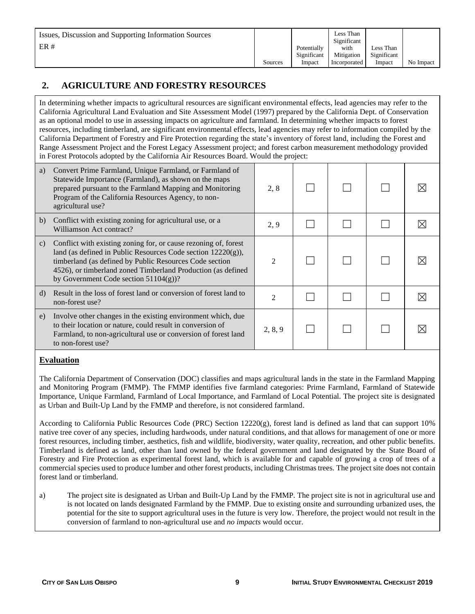|  | Issues, Discussion and Supporting Information Sources<br>ER# | Sources | Potentially<br>Significant<br>Impact | Less Than<br>Significant<br>with<br>Mitigation<br>Incorporated | Less Than<br>Significant<br>Impact | No Impact |
|--|--------------------------------------------------------------|---------|--------------------------------------|----------------------------------------------------------------|------------------------------------|-----------|
|--|--------------------------------------------------------------|---------|--------------------------------------|----------------------------------------------------------------|------------------------------------|-----------|

# **2. AGRICULTURE AND FORESTRY RESOURCES**

In determining whether impacts to agricultural resources are significant environmental effects, lead agencies may refer to the California Agricultural Land Evaluation and Site Assessment Model (1997) prepared by the California Dept. of Conservation as an optional model to use in assessing impacts on agriculture and farmland. In determining whether impacts to forest resources, including timberland, are significant environmental effects, lead agencies may refer to information compiled by the California Department of Forestry and Fire Protection regarding the state's inventory of forest land, including the Forest and Range Assessment Project and the Forest Legacy Assessment project; and forest carbon measurement methodology provided in Forest Protocols adopted by the California Air Resources Board. Would the project:

| a)           | Convert Prime Farmland, Unique Farmland, or Farmland of<br>Statewide Importance (Farmland), as shown on the maps<br>prepared pursuant to the Farmland Mapping and Monitoring<br>Program of the California Resources Agency, to non-<br>agricultural use?                                                 | 2, 8                        |  |  |
|--------------|----------------------------------------------------------------------------------------------------------------------------------------------------------------------------------------------------------------------------------------------------------------------------------------------------------|-----------------------------|--|--|
| b)           | Conflict with existing zoning for agricultural use, or a<br>Williamson Act contract?                                                                                                                                                                                                                     | 2, 9                        |  |  |
| $\mathbf{c}$ | Conflict with existing zoning for, or cause rezoning of, forest<br>land (as defined in Public Resources Code section $12220(g)$ ),<br>timberland (as defined by Public Resources Code section<br>4526), or timberland zoned Timberland Production (as defined<br>by Government Code section $51104(g)$ ? | $\mathcal{D}_{\mathcal{L}}$ |  |  |
| d)           | Result in the loss of forest land or conversion of forest land to<br>non-forest use?                                                                                                                                                                                                                     | $\mathcal{D}_{\mathcal{L}}$ |  |  |
| e)           | Involve other changes in the existing environment which, due<br>to their location or nature, could result in conversion of<br>Farmland, to non-agricultural use or conversion of forest land<br>to non-forest use?                                                                                       | 2, 8, 9                     |  |  |

## **Evaluation**

The California Department of Conservation (DOC) classifies and maps agricultural lands in the state in the Farmland Mapping and Monitoring Program (FMMP). The FMMP identifies five farmland categories: Prime Farmland, Farmland of Statewide Importance, Unique Farmland, Farmland of Local Importance, and Farmland of Local Potential. The project site is designated as Urban and Built-Up Land by the FMMP and therefore, is not considered farmland.

According to California Public Resources Code (PRC) Section 12220(g), forest land is defined as land that can support 10% native tree cover of any species, including hardwoods, under natural conditions, and that allows for management of one or more forest resources, including timber, aesthetics, fish and wildlife, biodiversity, water quality, recreation, and other public benefits. Timberland is defined as land, other than land owned by the federal government and land designated by the State Board of Forestry and Fire Protection as experimental forest land, which is available for and capable of growing a crop of trees of a commercial species used to produce lumber and other forest products, including Christmas trees. The project site does not contain forest land or timberland.

a) The project site is designated as Urban and Built-Up Land by the FMMP. The project site is not in agricultural use and is not located on lands designated Farmland by the FMMP. Due to existing onsite and surrounding urbanized uses, the potential for the site to support agricultural uses in the future is very low. Therefore, the project would not result in the conversion of farmland to non-agricultural use and *no impacts* would occur.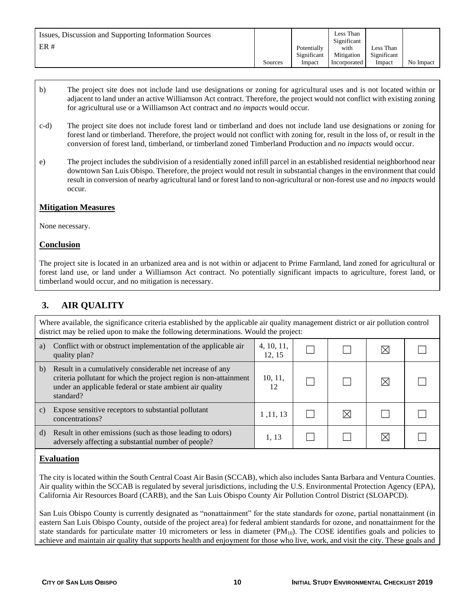| Issues, Discussion and Supporting Information Sources<br>ER# | Sources | Potentially<br>Significant<br>Impact | Less Than<br>Significant<br>with<br>Mitigation<br>Incorporated | Less Than<br>Significant<br>Impact | No Impact |
|--------------------------------------------------------------|---------|--------------------------------------|----------------------------------------------------------------|------------------------------------|-----------|
|--------------------------------------------------------------|---------|--------------------------------------|----------------------------------------------------------------|------------------------------------|-----------|

- b) The project site does not include land use designations or zoning for agricultural uses and is not located within or adjacent to land under an active Williamson Act contract. Therefore, the project would not conflict with existing zoning for agricultural use or a Williamson Act contract and *no impacts* would occur*.*
- c-d) The project site does not include forest land or timberland and does not include land use designations or zoning for forest land or timberland. Therefore, the project would not conflict with zoning for, result in the loss of, or result in the conversion of forest land, timberland, or timberland zoned Timberland Production and *no impacts* would occur.
- e) The project includes the subdivision of a residentially zoned infill parcel in an established residential neighborhood near downtown San Luis Obispo. Therefore, the project would not result in substantial changes in the environment that could result in conversion of nearby agricultural land or forest land to non-agricultural or non-forest use and *no impacts* would occur*.*

#### **Mitigation Measures**

None necessary.

#### **Conclusion**

The project site is located in an urbanized area and is not within or adjacent to Prime Farmland, land zoned for agricultural or forest land use, or land under a Williamson Act contract. No potentially significant impacts to agriculture, forest land, or timberland would occur, and no mitigation is necessary.

# **3. AIR QUALITY**

Where available, the significance criteria established by the applicable air quality management district or air pollution control district may be relied upon to make the following determinations. Would the project:

| a)              | Conflict with or obstruct implementation of the applicable air<br>quality plan?                                                                                                                         | 4, 10, 11,<br>12, 15 |    |   |  |
|-----------------|---------------------------------------------------------------------------------------------------------------------------------------------------------------------------------------------------------|----------------------|----|---|--|
| b)              | Result in a cumulatively considerable net increase of any<br>criteria pollutant for which the project region is non-attainment<br>under an applicable federal or state ambient air quality<br>standard? | 10, 11,<br>12        |    | ⋉ |  |
| $\mathcal{C}$ ) | Expose sensitive receptors to substantial pollutant<br>concentrations?                                                                                                                                  | 1, 11, 13            | IX |   |  |
| d)              | Result in other emissions (such as those leading to odors)<br>adversely affecting a substantial number of people?                                                                                       | 1, 13                |    |   |  |

#### **Evaluation**

The city is located within the South Central Coast Air Basin (SCCAB), which also includes Santa Barbara and Ventura Counties. Air quality within the SCCAB is regulated by several jurisdictions, including the U.S. Environmental Protection Agency (EPA), California Air Resources Board (CARB), and the San Luis Obispo County Air Pollution Control District (SLOAPCD).

San Luis Obispo County is currently designated as "nonattainment" for the state standards for ozone, partial nonattainment (in eastern San Luis Obispo County, outside of the project area) for federal ambient standards for ozone, and nonattainment for the state standards for particulate matter 10 micrometers or less in diameter  $(PM_{10})$ . The COSE identifies goals and policies to achieve and maintain air quality that supports health and enjoyment for those who live, work, and visit the city. These goals and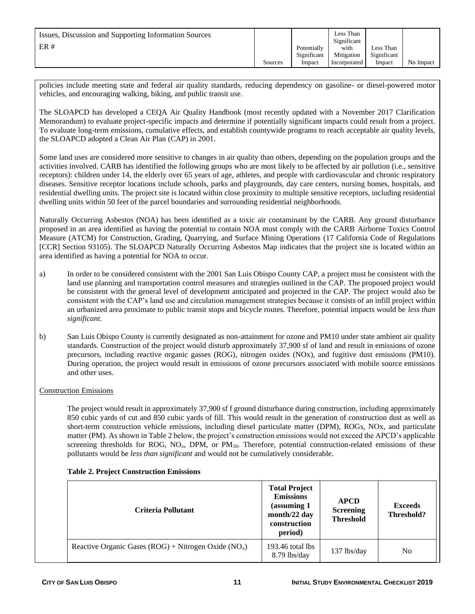| Issues, Discussion and Supporting Information Sources<br>ER# |         | Potentially<br>Significant | Less Than<br>Significant<br>with<br>Mitigation | Less Than<br>Significant |           |
|--------------------------------------------------------------|---------|----------------------------|------------------------------------------------|--------------------------|-----------|
|                                                              | Sources | Impact                     | Incorporated                                   | Impact                   | No Impact |

policies include meeting state and federal air quality standards, reducing dependency on gasoline- or diesel-powered motor vehicles, and encouraging walking, biking, and public transit use.

The SLOAPCD has developed a CEQA Air Quality Handbook (most recently updated with a November 2017 Clarification Memorandum) to evaluate project-specific impacts and determine if potentially significant impacts could result from a project. To evaluate long-term emissions, cumulative effects, and establish countywide programs to reach acceptable air quality levels, the SLOAPCD adopted a Clean Air Plan (CAP) in 2001.

Some land uses are considered more sensitive to changes in air quality than others, depending on the population groups and the activities involved. CARB has identified the following groups who are most likely to be affected by air pollution (i.e., sensitive receptors): children under 14, the elderly over 65 years of age, athletes, and people with cardiovascular and chronic respiratory diseases. Sensitive receptor locations include schools, parks and playgrounds, day care centers, nursing homes, hospitals, and residential dwelling units. The project site is located within close proximity to multiple sensitive receptors, including residential dwelling units within 50 feet of the parcel boundaries and surrounding residential neighborhoods.

Naturally Occurring Asbestos (NOA) has been identified as a toxic air contaminant by the CARB. Any ground disturbance proposed in an area identified as having the potential to contain NOA must comply with the CARB Airborne Toxics Control Measure (ATCM) for Construction, Grading, Quarrying, and Surface Mining Operations (17 California Code of Regulations [CCR] Section 93105). The SLOAPCD Naturally Occurring Asbestos Map indicates that the project site is located within an area identified as having a potential for NOA to occur.

- a) In order to be considered consistent with the 2001 San Luis Obispo County CAP, a project must be consistent with the land use planning and transportation control measures and strategies outlined in the CAP. The proposed project would be consistent with the general level of development anticipated and projected in the CAP. The project would also be consistent with the CAP's land use and circulation management strategies because it consists of an infill project within an urbanized area proximate to public transit stops and bicycle routes. Therefore, potential impacts would be *less than significant*.
- b) San Luis Obispo County is currently designated as non-attainment for ozone and PM10 under state ambient air quality standards. Construction of the project would disturb approximately 37,900 sf of land and result in emissions of ozone precursors, including reactive organic gasses (ROG), nitrogen oxides (NOx), and fugitive dust emissions (PM10). During operation, the project would result in emissions of ozone precursors associated with mobile source emissions and other uses.

#### Construction Emissions

The project would result in approximately 37,900 sf f ground disturbance during construction, including approximately 850 cubic yards of cut and 850 cubic yards of fill. This would result in the generation of construction dust as well as short-term construction vehicle emissions, including diesel particulate matter (DPM), ROGs, NOx, and particulate matter (PM). As shown in Table 2 below, the project's construction emissions would not exceed the APCD's applicable screening thresholds for ROG, NO<sub>x</sub>, DPM, or PM<sub>10</sub>. Therefore, potential construction-related emissions of these pollutants would be *less than significant* and would not be cumulatively considerable.

| Criteria Pollutant                                      | <b>Total Project</b><br><b>Emissions</b><br>(assuming 1)<br>month/22 day<br>construction<br>period) | <b>APCD</b><br><b>Screening</b><br><b>Threshold</b> | <b>Exceeds</b><br>Threshold? |
|---------------------------------------------------------|-----------------------------------------------------------------------------------------------------|-----------------------------------------------------|------------------------------|
| Reactive Organic Gases (ROG) + Nitrogen Oxide ( $NOx$ ) | $193.46$ total lbs<br>$8.79$ lbs/day                                                                | $137$ lbs/day                                       | N <sub>0</sub>               |

#### **Table 2. Project Construction Emissions**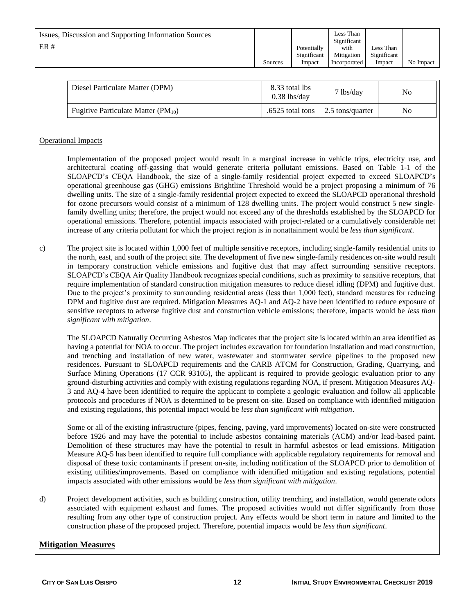| Issues, Discussion and Supporting Information Sources<br>ER# |         | Potentially<br>Significant | Less Than<br>Significant<br>with<br>Mitigation | Less Than<br>Significant |           |
|--------------------------------------------------------------|---------|----------------------------|------------------------------------------------|--------------------------|-----------|
|                                                              | Sources | Impact                     | Incorporated                                   | Impact                   | No Impact |

| Diesel Particulate Matter (DPM)           | 8.33 total lbs<br>$0.38$ lbs/dav          | 7 lbs/day | No |
|-------------------------------------------|-------------------------------------------|-----------|----|
| Fugitive Particulate Matter ( $PM_{10}$ ) | .6525 total tons $\vert$ 2.5 tons/quarter |           | No |

#### Operational Impacts

Implementation of the proposed project would result in a marginal increase in vehicle trips, electricity use, and architectural coating off-gassing that would generate criteria pollutant emissions. Based on Table 1-1 of the SLOAPCD's CEQA Handbook, the size of a single-family residential project expected to exceed SLOAPCD's operational greenhouse gas (GHG) emissions Brightline Threshold would be a project proposing a minimum of 76 dwelling units. The size of a single-family residential project expected to exceed the SLOAPCD operational threshold for ozone precursors would consist of a minimum of 128 dwelling units. The project would construct 5 new singlefamily dwelling units; therefore, the project would not exceed any of the thresholds established by the SLOAPCD for operational emissions. Therefore, potential impacts associated with project-related or a cumulatively considerable net increase of any criteria pollutant for which the project region is in nonattainment would be *less than significant*.

c) The project site is located within 1,000 feet of multiple sensitive receptors, including single-family residential units to the north, east, and south of the project site. The development of five new single-family residences on-site would result in temporary construction vehicle emissions and fugitive dust that may affect surrounding sensitive receptors. SLOAPCD's CEQA Air Quality Handbook recognizes special conditions, such as proximity to sensitive receptors, that require implementation of standard construction mitigation measures to reduce diesel idling (DPM) and fugitive dust. Due to the project's proximity to surrounding residential areas (less than 1,000 feet), standard measures for reducing DPM and fugitive dust are required. Mitigation Measures AQ-1 and AQ-2 have been identified to reduce exposure of sensitive receptors to adverse fugitive dust and construction vehicle emissions; therefore, impacts would be *less than significant with mitigation*.

The SLOAPCD Naturally Occurring Asbestos Map indicates that the project site is located within an area identified as having a potential for NOA to occur. The project includes excavation for foundation installation and road construction, and trenching and installation of new water, wastewater and stormwater service pipelines to the proposed new residences. Pursuant to SLOAPCD requirements and the CARB ATCM for Construction, Grading, Quarrying, and Surface Mining Operations (17 CCR 93105), the applicant is required to provide geologic evaluation prior to any ground-disturbing activities and comply with existing regulations regarding NOA, if present. Mitigation Measures AQ-3 and AQ-4 have been identified to require the applicant to complete a geologic evaluation and follow all applicable protocols and procedures if NOA is determined to be present on-site. Based on compliance with identified mitigation and existing regulations, this potential impact would be *less than significant with mitigation*.

Some or all of the existing infrastructure (pipes, fencing, paving, yard improvements) located on-site were constructed before 1926 and may have the potential to include asbestos containing materials (ACM) and/or lead-based paint. Demolition of these structures may have the potential to result in harmful asbestos or lead emissions. Mitigation Measure AQ-5 has been identified to require full compliance with applicable regulatory requirements for removal and disposal of these toxic contaminants if present on-site, including notification of the SLOAPCD prior to demolition of existing utilities/improvements. Based on compliance with identified mitigation and existing regulations, potential impacts associated with other emissions would be *less than significant with mitigation*.

d) Project development activities, such as building construction, utility trenching, and installation, would generate odors associated with equipment exhaust and fumes. The proposed activities would not differ significantly from those resulting from any other type of construction project. Any effects would be short term in nature and limited to the construction phase of the proposed project. Therefore, potential impacts would be *less than significant*.

#### **Mitigation Measures**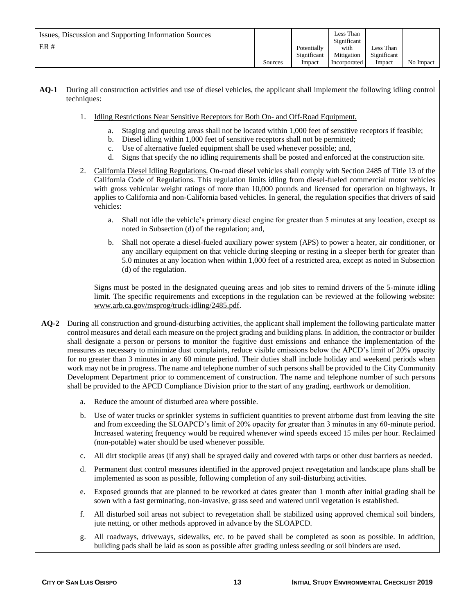#### **AQ-1** During all construction activities and use of diesel vehicles, the applicant shall implement the following idling control techniques:

- 1. Idling Restrictions Near Sensitive Receptors for Both On- and Off-Road Equipment.
	- a. Staging and queuing areas shall not be located within 1,000 feet of sensitive receptors if feasible;
	- b. Diesel idling within 1,000 feet of sensitive receptors shall not be permitted;
	- c. Use of alternative fueled equipment shall be used whenever possible; and,
	- d. Signs that specify the no idling requirements shall be posted and enforced at the construction site.
- 2. California Diesel Idling Regulations. On-road diesel vehicles shall comply with Section 2485 of Title 13 of the California Code of Regulations. This regulation limits idling from diesel-fueled commercial motor vehicles with gross vehicular weight ratings of more than 10,000 pounds and licensed for operation on highways. It applies to California and non-California based vehicles. In general, the regulation specifies that drivers of said vehicles:
	- a. Shall not idle the vehicle's primary diesel engine for greater than 5 minutes at any location, except as noted in Subsection (d) of the regulation; and,
	- b. Shall not operate a diesel-fueled auxiliary power system (APS) to power a heater, air conditioner, or any ancillary equipment on that vehicle during sleeping or resting in a sleeper berth for greater than 5.0 minutes at any location when within 1,000 feet of a restricted area, except as noted in Subsection (d) of the regulation.

Signs must be posted in the designated queuing areas and job sites to remind drivers of the 5-minute idling limit. The specific requirements and exceptions in the regulation can be reviewed at the following website: [www.arb.ca.gov/msprog/truck-idling/2485.pdf.](http://www.arb.ca.gov/msprog/truck-idling/2485.pdf)

- **AQ-2** During all construction and ground-disturbing activities, the applicant shall implement the following particulate matter control measures and detail each measure on the project grading and building plans. In addition, the contractor or builder shall designate a person or persons to monitor the fugitive dust emissions and enhance the implementation of the measures as necessary to minimize dust complaints, reduce visible emissions below the APCD's limit of 20% opacity for no greater than 3 minutes in any 60 minute period. Their duties shall include holiday and weekend periods when work may not be in progress. The name and telephone number of such persons shall be provided to the City Community Development Department prior to commencement of construction. The name and telephone number of such persons shall be provided to the APCD Compliance Division prior to the start of any grading, earthwork or demolition.
	- a. Reduce the amount of disturbed area where possible.
	- b. Use of water trucks or sprinkler systems in sufficient quantities to prevent airborne dust from leaving the site and from exceeding the SLOAPCD's limit of 20% opacity for greater than 3 minutes in any 60-minute period. Increased watering frequency would be required whenever wind speeds exceed 15 miles per hour. Reclaimed (non-potable) water should be used whenever possible.
	- c. All dirt stockpile areas (if any) shall be sprayed daily and covered with tarps or other dust barriers as needed.
	- d. Permanent dust control measures identified in the approved project revegetation and landscape plans shall be implemented as soon as possible, following completion of any soil-disturbing activities.
	- e. Exposed grounds that are planned to be reworked at dates greater than 1 month after initial grading shall be sown with a fast germinating, non-invasive, grass seed and watered until vegetation is established.
	- f. All disturbed soil areas not subject to revegetation shall be stabilized using approved chemical soil binders, jute netting, or other methods approved in advance by the SLOAPCD.
	- g. All roadways, driveways, sidewalks, etc. to be paved shall be completed as soon as possible. In addition, building pads shall be laid as soon as possible after grading unless seeding or soil binders are used.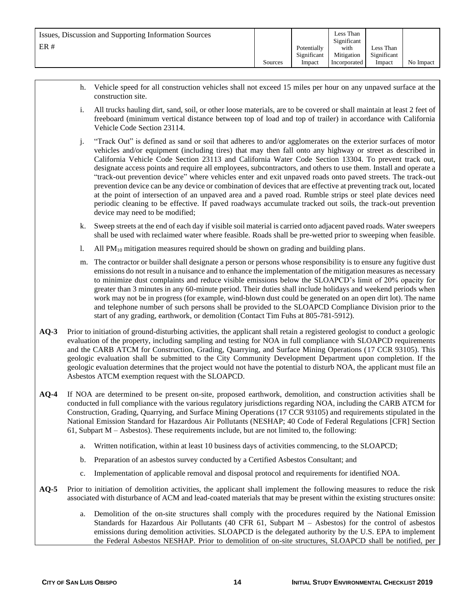- h. Vehicle speed for all construction vehicles shall not exceed 15 miles per hour on any unpaved surface at the construction site.
- i. All trucks hauling dirt, sand, soil, or other loose materials, are to be covered or shall maintain at least 2 feet of freeboard (minimum vertical distance between top of load and top of trailer) in accordance with California Vehicle Code Section 23114.
- j. "Track Out" is defined as sand or soil that adheres to and/or agglomerates on the exterior surfaces of motor vehicles and/or equipment (including tires) that may then fall onto any highway or street as described in California Vehicle Code Section 23113 and California Water Code Section 13304. To prevent track out, designate access points and require all employees, subcontractors, and others to use them. Install and operate a "track-out prevention device" where vehicles enter and exit unpaved roads onto paved streets. The track-out prevention device can be any device or combination of devices that are effective at preventing track out, located at the point of intersection of an unpaved area and a paved road. Rumble strips or steel plate devices need periodic cleaning to be effective. If paved roadways accumulate tracked out soils, the track-out prevention device may need to be modified;
- k. Sweep streets at the end of each day if visible soil material is carried onto adjacent paved roads. Water sweepers shall be used with reclaimed water where feasible. Roads shall be pre-wetted prior to sweeping when feasible.
- l. All  $PM_{10}$  mitigation measures required should be shown on grading and building plans.
- m. The contractor or builder shall designate a person or persons whose responsibility is to ensure any fugitive dust emissions do not result in a nuisance and to enhance the implementation of the mitigation measures as necessary to minimize dust complaints and reduce visible emissions below the SLOAPCD's limit of 20% opacity for greater than 3 minutes in any 60-minute period. Their duties shall include holidays and weekend periods when work may not be in progress (for example, wind-blown dust could be generated on an open dirt lot). The name and telephone number of such persons shall be provided to the SLOAPCD Compliance Division prior to the start of any grading, earthwork, or demolition (Contact Tim Fuhs at 805-781-5912).
- **AQ-3** Prior to initiation of ground-disturbing activities, the applicant shall retain a registered geologist to conduct a geologic evaluation of the property, including sampling and testing for NOA in full compliance with SLOAPCD requirements and the CARB ATCM for Construction, Grading, Quarrying, and Surface Mining Operations (17 CCR 93105). This geologic evaluation shall be submitted to the City Community Development Department upon completion. If the geologic evaluation determines that the project would not have the potential to disturb NOA, the applicant must file an Asbestos ATCM exemption request with the SLOAPCD.
- **AQ-4** If NOA are determined to be present on-site, proposed earthwork, demolition, and construction activities shall be conducted in full compliance with the various regulatory jurisdictions regarding NOA, including the CARB ATCM for Construction, Grading, Quarrying, and Surface Mining Operations (17 CCR 93105) and requirements stipulated in the National Emission Standard for Hazardous Air Pollutants (NESHAP; 40 Code of Federal Regulations [CFR] Section 61, Subpart M – Asbestos). These requirements include, but are not limited to, the following:
	- a. Written notification, within at least 10 business days of activities commencing, to the SLOAPCD;
	- b. Preparation of an asbestos survey conducted by a Certified Asbestos Consultant; and
	- c. Implementation of applicable removal and disposal protocol and requirements for identified NOA.
- **AQ-5** Prior to initiation of demolition activities, the applicant shall implement the following measures to reduce the risk associated with disturbance of ACM and lead-coated materials that may be present within the existing structures onsite:
	- a. Demolition of the on-site structures shall comply with the procedures required by the National Emission Standards for Hazardous Air Pollutants (40 CFR 61, Subpart M – Asbestos) for the control of asbestos emissions during demolition activities. SLOAPCD is the delegated authority by the U.S. EPA to implement the Federal Asbestos NESHAP. Prior to demolition of on-site structures, SLOAPCD shall be notified, per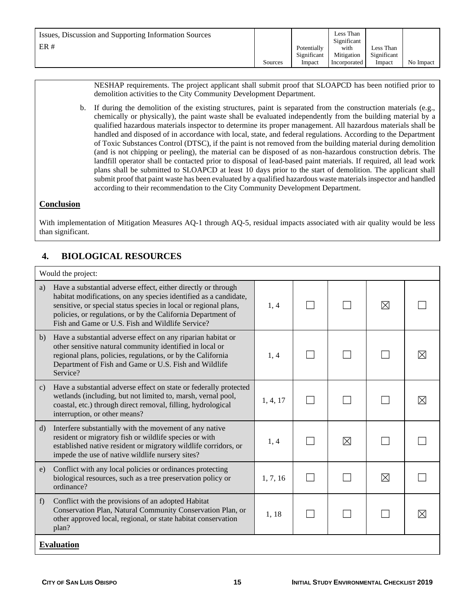NESHAP requirements. The project applicant shall submit proof that SLOAPCD has been notified prior to demolition activities to the City Community Development Department.

b. If during the demolition of the existing structures, paint is separated from the construction materials (e.g., chemically or physically), the paint waste shall be evaluated independently from the building material by a qualified hazardous materials inspector to determine its proper management. All hazardous materials shall be handled and disposed of in accordance with local, state, and federal regulations. According to the Department of Toxic Substances Control (DTSC), if the paint is not removed from the building material during demolition (and is not chipping or peeling), the material can be disposed of as non-hazardous construction debris. The landfill operator shall be contacted prior to disposal of lead-based paint materials. If required, all lead work plans shall be submitted to SLOAPCD at least 10 days prior to the start of demolition. The applicant shall submit proof that paint waste has been evaluated by a qualified hazardous waste materials inspector and handled according to their recommendation to the City Community Development Department.

#### **Conclusion**

With implementation of Mitigation Measures AQ-1 through AQ-5, residual impacts associated with air quality would be less than significant.

# **4. BIOLOGICAL RESOURCES**

| Would the project:                                                                                                                                                                                                                                                                                                              |          |  |   |             |   |  |  |
|---------------------------------------------------------------------------------------------------------------------------------------------------------------------------------------------------------------------------------------------------------------------------------------------------------------------------------|----------|--|---|-------------|---|--|--|
| Have a substantial adverse effect, either directly or through<br>a)<br>habitat modifications, on any species identified as a candidate,<br>sensitive, or special status species in local or regional plans,<br>policies, or regulations, or by the California Department of<br>Fish and Game or U.S. Fish and Wildlife Service? | 1, 4     |  |   | ⊠           |   |  |  |
| Have a substantial adverse effect on any riparian habitat or<br>b)<br>other sensitive natural community identified in local or<br>regional plans, policies, regulations, or by the California<br>Department of Fish and Game or U.S. Fish and Wildlife<br>Service?                                                              | 1, 4     |  |   |             | ⊠ |  |  |
| Have a substantial adverse effect on state or federally protected<br>$\mathbf{c}$<br>wetlands (including, but not limited to, marsh, vernal pool,<br>coastal, etc.) through direct removal, filling, hydrological<br>interruption, or other means?                                                                              | 1, 4, 17 |  |   |             | ⊠ |  |  |
| Interfere substantially with the movement of any native<br>$\mathbf{d}$<br>resident or migratory fish or wildlife species or with<br>established native resident or migratory wildlife corridors, or<br>impede the use of native wildlife nursery sites?                                                                        | 1, 4     |  | ⊠ |             |   |  |  |
| Conflict with any local policies or ordinances protecting<br>e)<br>biological resources, such as a tree preservation policy or<br>ordinance?                                                                                                                                                                                    | 1, 7, 16 |  |   | $\boxtimes$ |   |  |  |
| Conflict with the provisions of an adopted Habitat<br>f<br>Conservation Plan, Natural Community Conservation Plan, or<br>other approved local, regional, or state habitat conservation<br>plan?                                                                                                                                 | 1,18     |  |   |             | ⊠ |  |  |
| <b>Evaluation</b>                                                                                                                                                                                                                                                                                                               |          |  |   |             |   |  |  |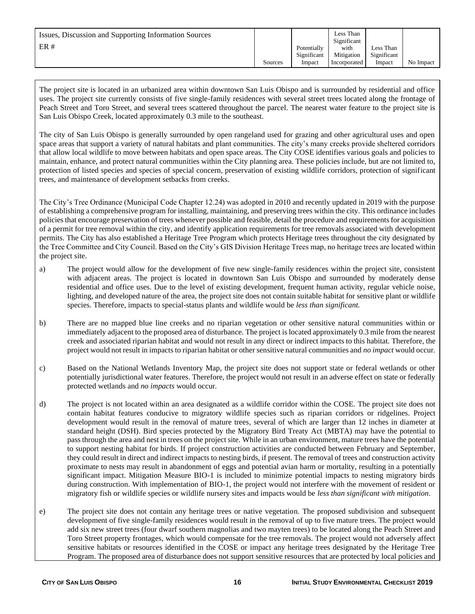| Issues, Discussion and Supporting Information Sources<br>ER# |         | Potentially<br>Significant | Less Than<br>Significant<br>with<br>Mitigation | Less Than<br>Significant |           |
|--------------------------------------------------------------|---------|----------------------------|------------------------------------------------|--------------------------|-----------|
|                                                              | Sources | Impact                     | Incorporated                                   | Impact                   | No Impact |

The project site is located in an urbanized area within downtown San Luis Obispo and is surrounded by residential and office uses. The project site currently consists of five single-family residences with several street trees located along the frontage of Peach Street and Toro Street, and several trees scattered throughout the parcel. The nearest water feature to the project site is San Luis Obispo Creek, located approximately 0.3 mile to the southeast.

The city of San Luis Obispo is generally surrounded by open rangeland used for grazing and other agricultural uses and open space areas that support a variety of natural habitats and plant communities. The city's many creeks provide sheltered corridors that allow local wildlife to move between habitats and open space areas. The City COSE identifies various goals and policies to maintain, enhance, and protect natural communities within the City planning area. These policies include, but are not limited to, protection of listed species and species of special concern, preservation of existing wildlife corridors, protection of significant trees, and maintenance of development setbacks from creeks.

The City's Tree Ordinance (Municipal Code Chapter 12.24) was adopted in 2010 and recently updated in 2019 with the purpose of establishing a comprehensive program for installing, maintaining, and preserving trees within the city. This ordinance includes policies that encourage preservation of trees whenever possible and feasible, detail the procedure and requirements for acquisition of a permit for tree removal within the city, and identify application requirements for tree removals associated with development permits. The City has also established a Heritage Tree Program which protects Heritage trees throughout the city designated by the Tree Committee and City Council. Based on the City's GIS Division Heritage Trees map, no heritage trees are located within the project site.

- a) The project would allow for the development of five new single-family residences within the project site, consistent with adjacent areas. The project is located in downtown San Luis Obispo and surrounded by moderately dense residential and office uses. Due to the level of existing development, frequent human activity, regular vehicle noise, lighting, and developed nature of the area, the project site does not contain suitable habitat for sensitive plant or wildlife species. Therefore, impacts to special-status plants and wildlife would be *less than significant.*
- b) There are no mapped blue line creeks and no riparian vegetation or other sensitive natural communities within or immediately adjacent to the proposed area of disturbance. The project is located approximately 0.3 mile from the nearest creek and associated riparian habitat and would not result in any direct or indirect impacts to this habitat. Therefore, the project would not result in impacts to riparian habitat or other sensitive natural communities and *no impact* would occur*.*
- c) Based on the National Wetlands Inventory Map, the project site does not support state or federal wetlands or other potentially jurisdictional water features. Therefore, the project would not result in an adverse effect on state or federally protected wetlands and *no impacts* would occur*.*
- d) The project is not located within an area designated as a wildlife corridor within the COSE. The project site does not contain habitat features conducive to migratory wildlife species such as riparian corridors or ridgelines. Project development would result in the removal of mature trees, several of which are larger than 12 inches in diameter at standard height (DSH). Bird species protected by the Migratory Bird Treaty Act (MBTA) may have the potential to pass through the area and nest in trees on the project site. While in an urban environment, mature trees have the potential to support nesting habitat for birds. If project construction activities are conducted between February and September, they could result in direct and indirect impacts to nesting birds, if present. The removal of trees and construction activity proximate to nests may result in abandonment of eggs and potential avian harm or mortality, resulting in a potentially significant impact. Mitigation Measure BIO-1 is included to minimize potential impacts to nesting migratory birds during construction. With implementation of BIO-1, the project would not interfere with the movement of resident or migratory fish or wildlife species or wildlife nursery sites and impacts would be *less than significant with mitigation*.
- e) The project site does not contain any heritage trees or native vegetation. The proposed subdivision and subsequent development of five single-family residences would result in the removal of up to five mature trees. The project would add six new street trees (four dwarf southern magnolias and two mayten trees) to be located along the Peach Street and Toro Street property frontages, which would compensate for the tree removals. The project would not adversely affect sensitive habitats or resources identified in the COSE or impact any heritage trees designated by the Heritage Tree Program. The proposed area of disturbance does not support sensitive resources that are protected by local policies and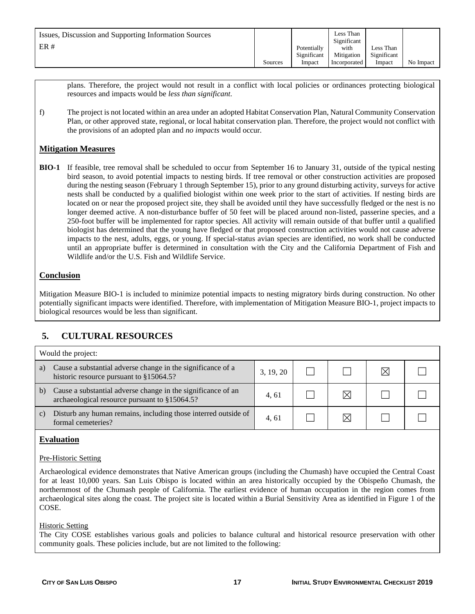| Issues, Discussion and Supporting Information Sources<br>ER# |         | Potentially<br>Significant | Less Than<br>Significant<br>with<br>Mitigation | Less Than<br>Significant |           |
|--------------------------------------------------------------|---------|----------------------------|------------------------------------------------|--------------------------|-----------|
|                                                              | Sources | Impact                     | Incorporated                                   | Impact                   | No Impact |

plans. Therefore, the project would not result in a conflict with local policies or ordinances protecting biological resources and impacts would be *less than significant.*

f) The project is not located within an area under an adopted Habitat Conservation Plan, Natural Community Conservation Plan, or other approved state, regional, or local habitat conservation plan. Therefore, the project would not conflict with the provisions of an adopted plan and *no impacts* would occur*.*

### **Mitigation Measures**

**BIO-1** If feasible, tree removal shall be scheduled to occur from September 16 to January 31, outside of the typical nesting bird season, to avoid potential impacts to nesting birds. If tree removal or other construction activities are proposed during the nesting season (February 1 through September 15), prior to any ground disturbing activity, surveys for active nests shall be conducted by a qualified biologist within one week prior to the start of activities. If nesting birds are located on or near the proposed project site, they shall be avoided until they have successfully fledged or the nest is no longer deemed active. A non-disturbance buffer of 50 feet will be placed around non-listed, passerine species, and a 250-foot buffer will be implemented for raptor species. All activity will remain outside of that buffer until a qualified biologist has determined that the young have fledged or that proposed construction activities would not cause adverse impacts to the nest, adults, eggs, or young. If special-status avian species are identified, no work shall be conducted until an appropriate buffer is determined in consultation with the City and the California Department of Fish and Wildlife and/or the U.S. Fish and Wildlife Service.

### **Conclusion**

Mitigation Measure BIO-1 is included to minimize potential impacts to nesting migratory birds during construction. No other potentially significant impacts were identified. Therefore, with implementation of Mitigation Measure BIO-1, project impacts to biological resources would be less than significant.

# **5. CULTURAL RESOURCES**

| Would the project: |                                                                                                               |           |  |  |  |  |  |  |
|--------------------|---------------------------------------------------------------------------------------------------------------|-----------|--|--|--|--|--|--|
| a)                 | Cause a substantial adverse change in the significance of a<br>historic resource pursuant to §15064.5?        | 3, 19, 20 |  |  |  |  |  |  |
| b)                 | Cause a substantial adverse change in the significance of an<br>archaeological resource pursuant to §15064.5? | 4.61      |  |  |  |  |  |  |
| C)                 | Disturb any human remains, including those interred outside of<br>formal cemeteries?                          | 4.61      |  |  |  |  |  |  |

#### **Evaluation**

#### Pre-Historic Setting

Archaeological evidence demonstrates that Native American groups (including the Chumash) have occupied the Central Coast for at least 10,000 years. San Luis Obispo is located within an area historically occupied by the Obispeño Chumash, the northernmost of the Chumash people of California. The earliest evidence of human occupation in the region comes from archaeological sites along the coast. The project site is located within a Burial Sensitivity Area as identified in Figure 1 of the COSE.

#### Historic Setting

The City COSE establishes various goals and policies to balance cultural and historical resource preservation with other community goals. These policies include, but are not limited to the following: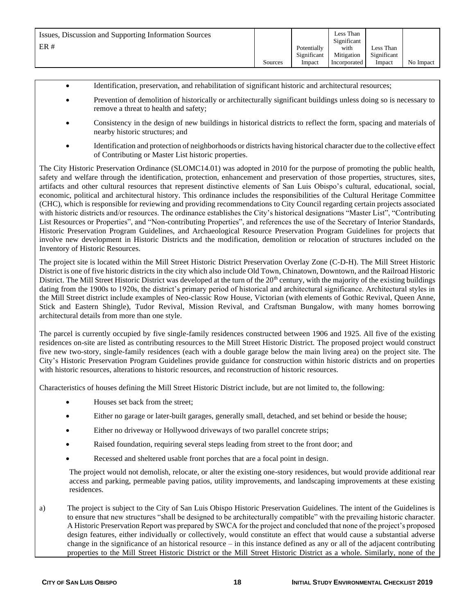- Identification, preservation, and rehabilitation of significant historic and architectural resources;
- Prevention of demolition of historically or architecturally significant buildings unless doing so is necessary to remove a threat to health and safety;
- Consistency in the design of new buildings in historical districts to reflect the form, spacing and materials of nearby historic structures; and
- Identification and protection of neighborhoods or districts having historical character due to the collective effect of Contributing or Master List historic properties.

The City Historic Preservation Ordinance (SLOMC14.01) was adopted in 2010 for the purpose of promoting the public health, safety and welfare through the identification, protection, enhancement and preservation of those properties, structures, sites, artifacts and other cultural resources that represent distinctive elements of San Luis Obispo's cultural, educational, social, economic, political and architectural history. This ordinance includes the responsibilities of the Cultural Heritage Committee (CHC), which is responsible for reviewing and providing recommendations to City Council regarding certain projects associated with historic districts and/or resources. The ordinance establishes the City's historical designations "Master List", "Contributing List Resources or Properties", and "Non-contributing Properties", and references the use of the Secretary of Interior Standards, Historic Preservation Program Guidelines, and Archaeological Resource Preservation Program Guidelines for projects that involve new development in Historic Districts and the modification, demolition or relocation of structures included on the Inventory of Historic Resources.

The project site is located within the Mill Street Historic District Preservation Overlay Zone (C-D-H). The Mill Street Historic District is one of five historic districts in the city which also include Old Town, Chinatown, Downtown, and the Railroad Historic District. The Mill Street Historic District was developed at the turn of the  $20<sup>th</sup>$  century, with the majority of the existing buildings dating from the 1900s to 1920s, the district's primary period of historical and architectural significance. Architectural styles in the Mill Street district include examples of Neo-classic Row House, Victorian (with elements of Gothic Revival, Queen Anne, Stick and Eastern Shingle), Tudor Revival, Mission Revival, and Craftsman Bungalow, with many homes borrowing architectural details from more than one style.

The parcel is currently occupied by five single-family residences constructed between 1906 and 1925. All five of the existing residences on-site are listed as contributing resources to the Mill Street Historic District. The proposed project would construct five new two-story, single-family residences (each with a double garage below the main living area) on the project site. The City's Historic Preservation Program Guidelines provide guidance for construction within historic districts and on properties with historic resources, alterations to historic resources, and reconstruction of historic resources.

Characteristics of houses defining the Mill Street Historic District include, but are not limited to, the following:

- Houses set back from the street;
- Either no garage or later-built garages, generally small, detached, and set behind or beside the house;
- Either no driveway or Hollywood driveways of two parallel concrete strips;
- Raised foundation, requiring several steps leading from street to the front door; and
- Recessed and sheltered usable front porches that are a focal point in design.

The project would not demolish, relocate, or alter the existing one-story residences, but would provide additional rear access and parking, permeable paving patios, utility improvements, and landscaping improvements at these existing residences.

a) The project is subject to the City of San Luis Obispo Historic Preservation Guidelines. The intent of the Guidelines is to ensure that new structures "shall be designed to be architecturally compatible" with the prevailing historic character. A Historic Preservation Report was prepared by SWCA for the project and concluded that none of the project's proposed design features, either individually or collectively, would constitute an effect that would cause a substantial adverse change in the significance of an historical resource – in this instance defined as any or all of the adjacent contributing properties to the Mill Street Historic District or the Mill Street Historic District as a whole. Similarly, none of the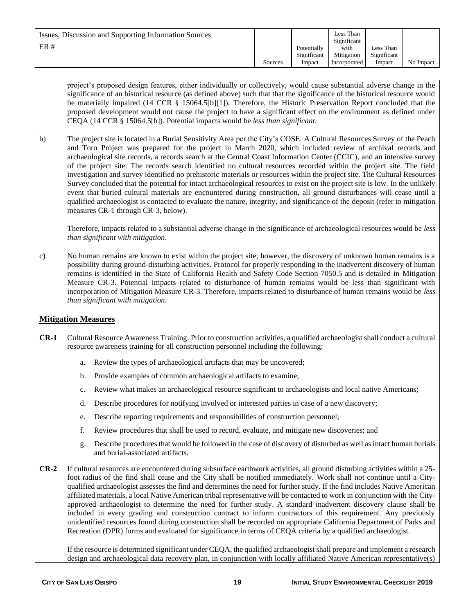| Issues, Discussion and Supporting Information Sources<br>ER# |         | Potentially<br>Significant | Less Than<br>Significant<br>with<br>Mitigation | Less Than<br>Significant |           |
|--------------------------------------------------------------|---------|----------------------------|------------------------------------------------|--------------------------|-----------|
|                                                              | Sources | Impact                     | Incorporated                                   | Impact                   | No Impact |

project's proposed design features, either individually or collectively, would cause substantial adverse change in the significance of an historical resource (as defined above) such that that the significance of the historical resource would be materially impaired (14 CCR § 15064.5[b][1]). Therefore, the Historic Preservation Report concluded that the proposed development would not cause the project to have a significant effect on the environment as defined under CEQA (14 CCR § 15064.5[b]). Potential impacts would be *less than significant*.

b) The project site is located in a Burial Sensitivity Area per the City's COSE. A Cultural Resources Survey of the Peach and Toro Project was prepared for the project in March 2020, which included review of archival records and archaeological site records, a records search at the Central Coast Information Center (CCIC), and an intensive survey of the project site. The records search identified no cultural resources recorded within the project site. The field investigation and survey identified no prehistoric materials or resources within the project site. The Cultural Resources Survey concluded that the potential for intact archaeological resources to exist on the project site is low. In the unlikely event that buried cultural materials are encountered during construction, all ground disturbances will cease until a qualified archaeologist is contacted to evaluate the nature, integrity, and significance of the deposit (refer to mitigation measures CR-1 through CR-3, below).

Therefore, impacts related to a substantial adverse change in the significance of archaeological resources would be *less than significant with mitigation*.

c) No human remains are known to exist within the project site; however, the discovery of unknown human remains is a possibility during ground-disturbing activities. Protocol for properly responding to the inadvertent discovery of human remains is identified in the State of California Health and Safety Code Section 7050.5 and is detailed in Mitigation Measure CR-3. Potential impacts related to disturbance of human remains would be less than significant with incorporation of Mitigation Measure CR-3. Therefore, impacts related to disturbance of human remains would be *less than significant with mitigation.*

#### **Mitigation Measures**

- **CR-1** Cultural Resource Awareness Training. Prior to construction activities, a qualified archaeologist shall conduct a cultural resource awareness training for all construction personnel including the following:
	- a. Review the types of archaeological artifacts that may be uncovered;
	- b. Provide examples of common archaeological artifacts to examine;
	- c. Review what makes an archaeological resource significant to archaeologists and local native Americans;
	- d. Describe procedures for notifying involved or interested parties in case of a new discovery;
	- e. Describe reporting requirements and responsibilities of construction personnel;
	- f. Review procedures that shall be used to record, evaluate, and mitigate new discoveries; and
	- g. Describe procedures that would be followed in the case of discovery of disturbed as well as intact human burials and burial-associated artifacts.
- **CR-2** If cultural resources are encountered during subsurface earthwork activities, all ground disturbing activities within a 25 foot radius of the find shall cease and the City shall be notified immediately. Work shall not continue until a Cityqualified archaeologist assesses the find and determines the need for further study. If the find includes Native American affiliated materials, a local Native American tribal representative will be contacted to work in conjunction with the Cityapproved archaeologist to determine the need for further study. A standard inadvertent discovery clause shall be included in every grading and construction contract to inform contractors of this requirement. Any previously unidentified resources found during construction shall be recorded on appropriate California Department of Parks and Recreation (DPR) forms and evaluated for significance in terms of CEQA criteria by a qualified archaeologist.

If the resource is determined significant under CEQA, the qualified archaeologist shall prepare and implement a research design and archaeological data recovery plan, in conjunction with locally affiliated Native American representative(s)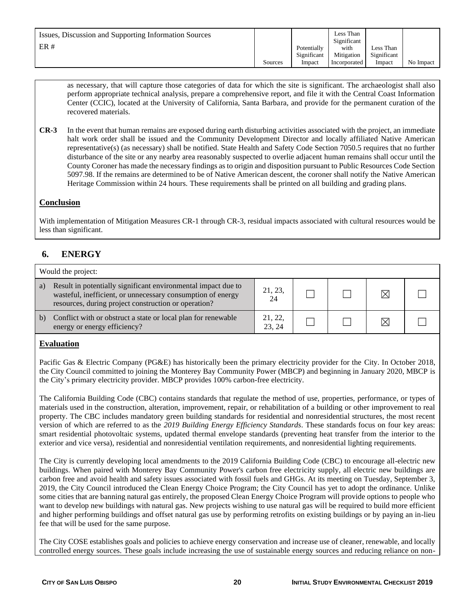as necessary, that will capture those categories of data for which the site is significant. The archaeologist shall also perform appropriate technical analysis, prepare a comprehensive report, and file it with the Central Coast Information Center (CCIC), located at the University of California, Santa Barbara, and provide for the permanent curation of the recovered materials.

**CR-3** In the event that human remains are exposed during earth disturbing activities associated with the project, an immediate halt work order shall be issued and the Community Development Director and locally affiliated Native American representative(s) (as necessary) shall be notified. State Health and Safety Code Section 7050.5 requires that no further disturbance of the site or any nearby area reasonably suspected to overlie adjacent human remains shall occur until the County Coroner has made the necessary findings as to origin and disposition pursuant to Public Resources Code Section 5097.98. If the remains are determined to be of Native American descent, the coroner shall notify the Native American Heritage Commission within 24 hours. These requirements shall be printed on all building and grading plans.

## **Conclusion**

With implementation of Mitigation Measures CR-1 through CR-3, residual impacts associated with cultural resources would be less than significant.

# **6. ENERGY**

|    | Would the project:                                                                                                                                                                   |                  |  |  |   |  |  |  |
|----|--------------------------------------------------------------------------------------------------------------------------------------------------------------------------------------|------------------|--|--|---|--|--|--|
| a) | Result in potentially significant environmental impact due to<br>wasteful, inefficient, or unnecessary consumption of energy<br>resources, during project construction or operation? | 21, 23,<br>24    |  |  | ⋉ |  |  |  |
| b) | Conflict with or obstruct a state or local plan for renewable<br>energy or energy efficiency?                                                                                        | 21, 22,<br>23.24 |  |  | ⋉ |  |  |  |

## **Evaluation**

Pacific Gas & Electric Company (PG&E) has historically been the primary electricity provider for the City. In October 2018, the City Council committed to joining the Monterey Bay Community Power (MBCP) and beginning in January 2020, MBCP is the City's primary electricity provider. MBCP provides 100% carbon-free electricity.

The California Building Code (CBC) contains standards that regulate the method of use, properties, performance, or types of materials used in the construction, alteration, improvement, repair, or rehabilitation of a building or other improvement to real property. The CBC includes mandatory green building standards for residential and nonresidential structures, the most recent version of which are referred to as the *2019 Building Energy Efficiency Standards*. These standards focus on four key areas: smart residential photovoltaic systems, updated thermal envelope standards (preventing heat transfer from the interior to the exterior and vice versa), residential and nonresidential ventilation requirements, and nonresidential lighting requirements.

The City is currently developing local amendments to the 2019 California Building Code (CBC) to encourage all-electric new buildings. When paired with Monterey Bay Community Power's carbon free electricity supply, all electric new buildings are carbon free and avoid health and safety issues associated with fossil fuels and GHGs. At its meeting on Tuesday, September 3, 2019, the City Council introduced the Clean Energy Choice Program; the City Council has yet to adopt the ordinance. Unlike some cities that are banning natural gas entirely, the proposed Clean Energy Choice Program will provide options to people who want to develop new buildings with natural gas. New projects wishing to use natural gas will be required to build more efficient and higher performing buildings and offset natural gas use by performing retrofits on existing buildings or by paying an in-lieu fee that will be used for the same purpose.

The City COSE establishes goals and policies to achieve energy conservation and increase use of cleaner, renewable, and locally controlled energy sources. These goals include increasing the use of sustainable energy sources and reducing reliance on non-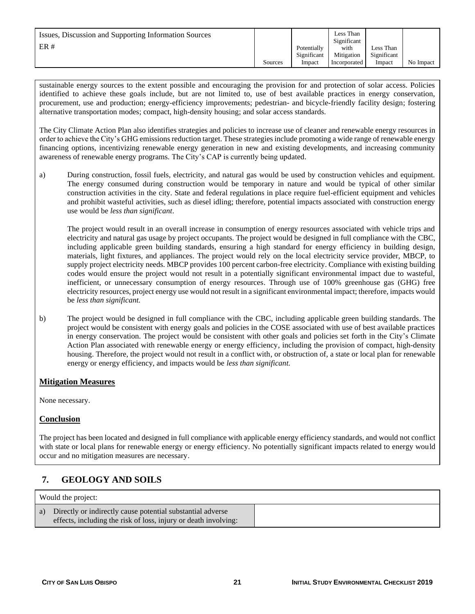| Issues, Discussion and Supporting Information Sources<br>ER# |         | Potentially<br>Significant | Less Than<br>Significant<br>with<br>Mitigation | Less Than<br>Significant |           |
|--------------------------------------------------------------|---------|----------------------------|------------------------------------------------|--------------------------|-----------|
|                                                              | Sources | Impact                     | Incorporated                                   | Impact                   | No Impact |

sustainable energy sources to the extent possible and encouraging the provision for and protection of solar access. Policies identified to achieve these goals include, but are not limited to, use of best available practices in energy conservation, procurement, use and production; energy-efficiency improvements; pedestrian- and bicycle-friendly facility design; fostering alternative transportation modes; compact, high-density housing; and solar access standards.

The City Climate Action Plan also identifies strategies and policies to increase use of cleaner and renewable energy resources in order to achieve the City's GHG emissions reduction target. These strategies include promoting a wide range of renewable energy financing options, incentivizing renewable energy generation in new and existing developments, and increasing community awareness of renewable energy programs. The City's CAP is currently being updated.

a) During construction, fossil fuels, electricity, and natural gas would be used by construction vehicles and equipment. The energy consumed during construction would be temporary in nature and would be typical of other similar construction activities in the city. State and federal regulations in place require fuel-efficient equipment and vehicles and prohibit wasteful activities, such as diesel idling; therefore, potential impacts associated with construction energy use would be *less than significant*.

The project would result in an overall increase in consumption of energy resources associated with vehicle trips and electricity and natural gas usage by project occupants. The project would be designed in full compliance with the CBC, including applicable green building standards, ensuring a high standard for energy efficiency in building design, materials, light fixtures, and appliances. The project would rely on the local electricity service provider, MBCP, to supply project electricity needs. MBCP provides 100 percent carbon-free electricity. Compliance with existing building codes would ensure the project would not result in a potentially significant environmental impact due to wasteful, inefficient, or unnecessary consumption of energy resources. Through use of 100% greenhouse gas (GHG) free electricity resources, project energy use would not result in a significant environmental impact; therefore, impacts would be *less than significant.*

b) The project would be designed in full compliance with the CBC, including applicable green building standards. The project would be consistent with energy goals and policies in the COSE associated with use of best available practices in energy conservation. The project would be consistent with other goals and policies set forth in the City's Climate Action Plan associated with renewable energy or energy efficiency, including the provision of compact, high-density housing. Therefore, the project would not result in a conflict with, or obstruction of, a state or local plan for renewable energy or energy efficiency, and impacts would be *less than significant.*

## **Mitigation Measures**

None necessary.

## **Conclusion**

The project has been located and designed in full compliance with applicable energy efficiency standards, and would not conflict with state or local plans for renewable energy or energy efficiency. No potentially significant impacts related to energy would occur and no mitigation measures are necessary.

# **7. GEOLOGY AND SOILS**

| Would the project:                                                                                                               |  |  |  |  |  |  |  |
|----------------------------------------------------------------------------------------------------------------------------------|--|--|--|--|--|--|--|
| a) Directly or indirectly cause potential substantial adverse<br>effects, including the risk of loss, injury or death involving: |  |  |  |  |  |  |  |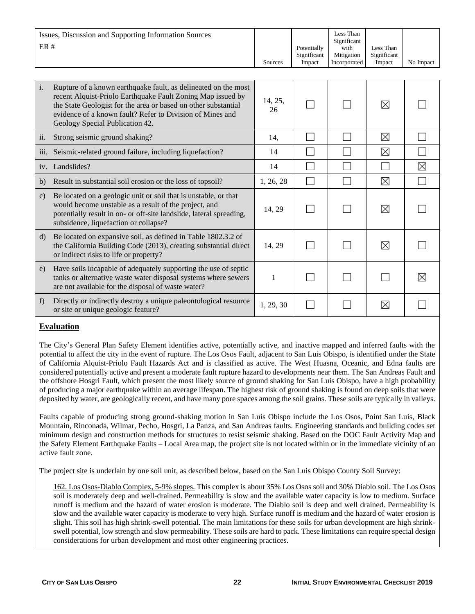| ER#                | Issues, Discussion and Supporting Information Sources                                                                                                                                                                                                                                           | Sources       | Potentially<br>Significant<br>Impact | Less Than<br>Significant<br>with<br>Mitigation<br>Incorporated | Less Than<br>Significant<br>Impact | No Impact   |
|--------------------|-------------------------------------------------------------------------------------------------------------------------------------------------------------------------------------------------------------------------------------------------------------------------------------------------|---------------|--------------------------------------|----------------------------------------------------------------|------------------------------------|-------------|
|                    |                                                                                                                                                                                                                                                                                                 |               |                                      |                                                                |                                    |             |
| $\mathbf{i}$ .     | Rupture of a known earthquake fault, as delineated on the most<br>recent Alquist-Priolo Earthquake Fault Zoning Map issued by<br>the State Geologist for the area or based on other substantial<br>evidence of a known fault? Refer to Division of Mines and<br>Geology Special Publication 42. | 14, 25,<br>26 |                                      |                                                                | ⊠                                  |             |
| ii.                | Strong seismic ground shaking?                                                                                                                                                                                                                                                                  | 14,           |                                      |                                                                | ⊠                                  |             |
| $\overline{111}$ . | Seismic-related ground failure, including liquefaction?                                                                                                                                                                                                                                         | 14            |                                      |                                                                | $\boxtimes$                        |             |
| iv.                | Landslides?                                                                                                                                                                                                                                                                                     | 14            |                                      |                                                                |                                    | $\boxtimes$ |
| b)                 | Result in substantial soil erosion or the loss of topsoil?                                                                                                                                                                                                                                      | 1, 26, 28     |                                      |                                                                | $\boxtimes$                        |             |
| $\mathbf{c})$      | Be located on a geologic unit or soil that is unstable, or that<br>would become unstable as a result of the project, and<br>potentially result in on- or off-site landslide, lateral spreading,<br>subsidence, liquefaction or collapse?                                                        | 14, 29        |                                      |                                                                | ⊠                                  |             |
| d)                 | Be located on expansive soil, as defined in Table 1802.3.2 of<br>the California Building Code (2013), creating substantial direct<br>or indirect risks to life or property?                                                                                                                     | 14, 29        |                                      |                                                                | ⊠                                  |             |
| e)                 | Have soils incapable of adequately supporting the use of septic<br>tanks or alternative waste water disposal systems where sewers<br>are not available for the disposal of waste water?                                                                                                         | 1             |                                      |                                                                |                                    | ⊠           |
| f                  | Directly or indirectly destroy a unique paleontological resource<br>or site or unique geologic feature?                                                                                                                                                                                         | 1, 29, 30     |                                      |                                                                | ⊠                                  |             |

#### **Evaluation**

The City's General Plan Safety Element identifies active, potentially active, and inactive mapped and inferred faults with the potential to affect the city in the event of rupture. The Los Osos Fault, adjacent to San Luis Obispo, is identified under the State of California Alquist-Priolo Fault Hazards Act and is classified as active. The West Huasna, Oceanic, and Edna faults are considered potentially active and present a moderate fault rupture hazard to developments near them. The San Andreas Fault and the offshore Hosgri Fault, which present the most likely source of ground shaking for San Luis Obispo, have a high probability of producing a major earthquake within an average lifespan. The highest risk of ground shaking is found on deep soils that were deposited by water, are geologically recent, and have many pore spaces among the soil grains. These soils are typically in valleys.

Faults capable of producing strong ground-shaking motion in San Luis Obispo include the Los Osos, Point San Luis, Black Mountain, Rinconada, Wilmar, Pecho, Hosgri, La Panza, and San Andreas faults. Engineering standards and building codes set minimum design and construction methods for structures to resist seismic shaking. Based on the DOC Fault Activity Map and the Safety Element Earthquake Faults – Local Area map, the project site is not located within or in the immediate vicinity of an active fault zone.

The project site is underlain by one soil unit, as described below, based on the San Luis Obispo County Soil Survey:

162. Los Osos-Diablo Complex, 5-9% slopes. This complex is about 35% Los Osos soil and 30% Diablo soil. The Los Osos soil is moderately deep and well-drained. Permeability is slow and the available water capacity is low to medium. Surface runoff is medium and the hazard of water erosion is moderate. The Diablo soil is deep and well drained. Permeability is slow and the available water capacity is moderate to very high. Surface runoff is medium and the hazard of water erosion is slight. This soil has high shrink-swell potential. The main limitations for these soils for urban development are high shrinkswell potential, low strength and slow permeability. These soils are hard to pack. These limitations can require special design considerations for urban development and most other engineering practices.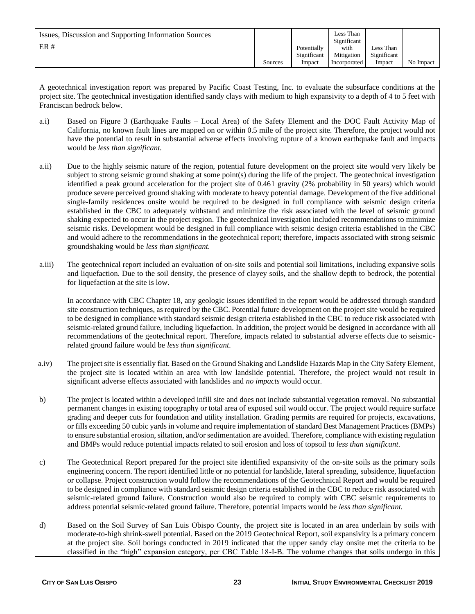| Issues, Discussion and Supporting Information Sources<br>ER# |         | Potentially<br>Significant | Less Than<br>Significant<br>with<br>Mitigation | Less Than<br>Significant |           |
|--------------------------------------------------------------|---------|----------------------------|------------------------------------------------|--------------------------|-----------|
|                                                              | Sources | Impact                     | Incorporated                                   | Impact                   | No Impact |

A geotechnical investigation report was prepared by Pacific Coast Testing, Inc. to evaluate the subsurface conditions at the project site. The geotechnical investigation identified sandy clays with medium to high expansivity to a depth of 4 to 5 feet with Franciscan bedrock below.

- a.i) Based on Figure 3 (Earthquake Faults Local Area) of the Safety Element and the DOC Fault Activity Map of California, no known fault lines are mapped on or within 0.5 mile of the project site. Therefore, the project would not have the potential to result in substantial adverse effects involving rupture of a known earthquake fault and impacts would be *less than significant.*
- a.ii) Due to the highly seismic nature of the region, potential future development on the project site would very likely be subject to strong seismic ground shaking at some point(s) during the life of the project. The geotechnical investigation identified a peak ground acceleration for the project site of 0.461 gravity (2% probability in 50 years) which would produce severe perceived ground shaking with moderate to heavy potential damage. Development of the five additional single-family residences onsite would be required to be designed in full compliance with seismic design criteria established in the CBC to adequately withstand and minimize the risk associated with the level of seismic ground shaking expected to occur in the project region. The geotechnical investigation included recommendations to minimize seismic risks. Development would be designed in full compliance with seismic design criteria established in the CBC and would adhere to the recommendations in the geotechnical report; therefore, impacts associated with strong seismic groundshaking would be *less than significant.*
- a.iii) The geotechnical report included an evaluation of on-site soils and potential soil limitations, including expansive soils and liquefaction. Due to the soil density, the presence of clayey soils, and the shallow depth to bedrock, the potential for liquefaction at the site is low.

In accordance with CBC Chapter 18, any geologic issues identified in the report would be addressed through standard site construction techniques, as required by the CBC. Potential future development on the project site would be required to be designed in compliance with standard seismic design criteria established in the CBC to reduce risk associated with seismic-related ground failure, including liquefaction. In addition, the project would be designed in accordance with all recommendations of the geotechnical report. Therefore, impacts related to substantial adverse effects due to seismicrelated ground failure would be *less than significant.*

- a.iv) The project site is essentially flat. Based on the Ground Shaking and Landslide Hazards Map in the City Safety Element, the project site is located within an area with low landslide potential. Therefore, the project would not result in significant adverse effects associated with landslides and *no impacts* would occur*.*
- b) The project is located within a developed infill site and does not include substantial vegetation removal. No substantial permanent changes in existing topography or total area of exposed soil would occur. The project would require surface grading and deeper cuts for foundation and utility installation. Grading permits are required for projects, excavations, or fills exceeding 50 cubic yards in volume and require implementation of standard Best Management Practices (BMPs) to ensure substantial erosion, siltation, and/or sedimentation are avoided. Therefore, compliance with existing regulation and BMPs would reduce potential impacts related to soil erosion and loss of topsoil to *less than significant.*
- c) The Geotechnical Report prepared for the project site identified expansivity of the on-site soils as the primary soils engineering concern. The report identified little or no potential for landslide, lateral spreading, subsidence, liquefaction or collapse. Project construction would follow the recommendations of the Geotechnical Report and would be required to be designed in compliance with standard seismic design criteria established in the CBC to reduce risk associated with seismic-related ground failure. Construction would also be required to comply with CBC seismic requirements to address potential seismic-related ground failure. Therefore, potential impacts would be *less than significant.*
- d) Based on the Soil Survey of San Luis Obispo County, the project site is located in an area underlain by soils with moderate-to-high shrink-swell potential. Based on the 2019 Geotechnical Report, soil expansivity is a primary concern at the project site. Soil borings conducted in 2019 indicated that the upper sandy clay onsite met the criteria to be classified in the "high" expansion category, per CBC Table 18-I-B. The volume changes that soils undergo in this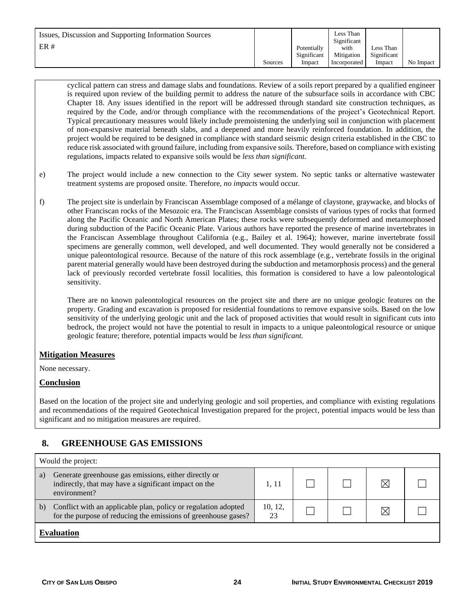| Issues, Discussion and Supporting Information Sources<br>ER# |         | Potentially<br>Significant | Less Than<br>Significant<br>with<br>Mitigation | Less Than<br>Significant |           |
|--------------------------------------------------------------|---------|----------------------------|------------------------------------------------|--------------------------|-----------|
|                                                              | Sources | Impact                     | Incorporated                                   | Impact                   | No Impact |

cyclical pattern can stress and damage slabs and foundations. Review of a soils report prepared by a qualified engineer is required upon review of the building permit to address the nature of the subsurface soils in accordance with CBC Chapter 18. Any issues identified in the report will be addressed through standard site construction techniques, as required by the Code, and/or through compliance with the recommendations of the project's Geotechnical Report. Typical precautionary measures would likely include premoistening the underlying soil in conjunction with placement of non-expansive material beneath slabs, and a deepened and more heavily reinforced foundation. In addition, the project would be required to be designed in compliance with standard seismic design criteria established in the CBC to reduce risk associated with ground failure, including from expansive soils. Therefore, based on compliance with existing regulations, impacts related to expansive soils would be *less than significant.*

- e) The project would include a new connection to the City sewer system. No septic tanks or alternative wastewater treatment systems are proposed onsite. Therefore, *no impacts* would occur*.*
- f) The project site is underlain by Franciscan Assemblage composed of a mélange of claystone, graywacke, and blocks of other Franciscan rocks of the Mesozoic era. The Franciscan Assemblage consists of various types of rocks that formed along the Pacific Oceanic and North American Plates; these rocks were subsequently deformed and metamorphosed during subduction of the Pacific Oceanic Plate. Various authors have reported the presence of marine invertebrates in the Franciscan Assemblage throughout California (e.g., Bailey et al. 1964); however, marine invertebrate fossil specimens are generally common, well developed, and well documented. They would generally not be considered a unique paleontological resource. Because of the nature of this rock assemblage (e.g., vertebrate fossils in the original parent material generally would have been destroyed during the subduction and metamorphosis process) and the general lack of previously recorded vertebrate fossil localities, this formation is considered to have a low paleontological sensitivity.

There are no known paleontological resources on the project site and there are no unique geologic features on the property. Grading and excavation is proposed for residential foundations to remove expansive soils. Based on the low sensitivity of the underlying geologic unit and the lack of proposed activities that would result in significant cuts into bedrock, the project would not have the potential to result in impacts to a unique paleontological resource or unique geologic feature; therefore, potential impacts would be *less than significant.* 

#### **Mitigation Measures**

None necessary.

#### **Conclusion**

Based on the location of the project site and underlying geologic and soil properties, and compliance with existing regulations and recommendations of the required Geotechnical Investigation prepared for the project, potential impacts would be less than significant and no mitigation measures are required.

# **8. GREENHOUSE GAS EMISSIONS**

|    | Would the project:                                                                                                               |               |  |  |    |  |  |  |  |
|----|----------------------------------------------------------------------------------------------------------------------------------|---------------|--|--|----|--|--|--|--|
| a) | Generate greenhouse gas emissions, either directly or<br>indirectly, that may have a significant impact on the<br>environment?   | 1.11          |  |  | IX |  |  |  |  |
| b) | Conflict with an applicable plan, policy or regulation adopted<br>for the purpose of reducing the emissions of greenhouse gases? | 10, 12,<br>23 |  |  | IX |  |  |  |  |
|    | Evaluation                                                                                                                       |               |  |  |    |  |  |  |  |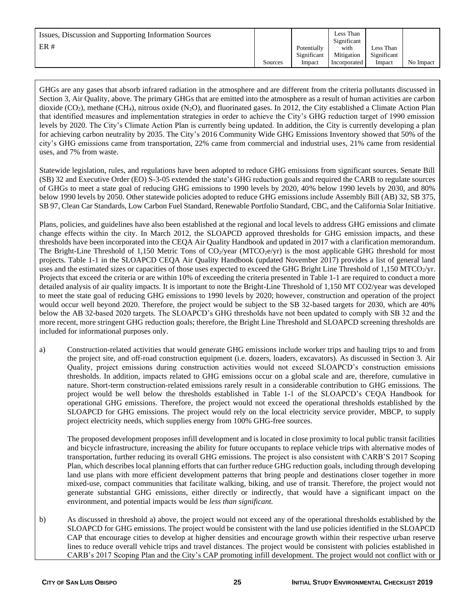| Issues, Discussion and Supporting Information Sources<br>ER# |         | Potentially<br>Significant | Less Than<br>Significant<br>with<br>Mitigation | Less Than<br>Significant |           |
|--------------------------------------------------------------|---------|----------------------------|------------------------------------------------|--------------------------|-----------|
|                                                              | Sources | Impact                     | Incorporated                                   | Impact                   | No Impact |

GHGs are any gases that absorb infrared radiation in the atmosphere and are different from the criteria pollutants discussed in Section 3, Air Quality, above. The primary GHGs that are emitted into the atmosphere as a result of human activities are carbon dioxide (CO<sub>2</sub>), methane (CH<sub>4</sub>), nitrous oxide (N<sub>2</sub>O), and fluorinated gases. In 2012, the City established a Climate Action Plan that identified measures and implementation strategies in order to achieve the City's GHG reduction target of 1990 emission levels by 2020. The City's Climate Action Plan is currently being updated. In addition, the City is currently developing a plan for achieving carbon neutrality by 2035. The City's 2016 Community Wide GHG Emissions Inventory showed that 50% of the city's GHG emissions came from transportation, 22% came from commercial and industrial uses, 21% came from residential uses, and 7% from waste.

Statewide legislation, rules, and regulations have been adopted to reduce GHG emissions from significant sources. Senate Bill (SB) 32 and Executive Order (EO) S-3-05 extended the state's GHG reduction goals and required the CARB to regulate sources of GHGs to meet a state goal of reducing GHG emissions to 1990 levels by 2020, 40% below 1990 levels by 2030, and 80% below 1990 levels by 2050. Other statewide policies adopted to reduce GHG emissions include Assembly Bill (AB) 32, SB 375, SB 97, Clean Car Standards, Low Carbon Fuel Standard, Renewable Portfolio Standard, CBC, and the California Solar Initiative.

Plans, policies, and guidelines have also been established at the regional and local levels to address GHG emissions and climate change effects within the city. In March 2012, the SLOAPCD approved thresholds for GHG emission impacts, and these thresholds have been incorporated into the CEQA Air Quality Handbook and updated in 2017 with a clarification memorandum. The Bright-Line Threshold of 1,150 Metric Tons of  $CO_2$ /year (MTCO $_2$ e/yr) is the most applicable GHG threshold for most projects. Table 1-1 in the SLOAPCD CEQA Air Quality Handbook (updated November 2017) provides a list of general land uses and the estimated sizes or capacities of those uses expected to exceed the GHG Bright Line Threshold of 1,150 MTCO<sub>2</sub>/yr. Projects that exceed the criteria or are within 10% of exceeding the criteria presented in Table 1-1 are required to conduct a more detailed analysis of air quality impacts. It is important to note the Bright-Line Threshold of 1,150 MT CO2/year was developed to meet the state goal of reducing GHG emissions to 1990 levels by 2020; however, construction and operation of the project would occur well beyond 2020. Therefore, the project would be subject to the SB 32-based targets for 2030, which are 40% below the AB 32-based 2020 targets. The SLOAPCD's GHG thresholds have not been updated to comply with SB 32 and the more recent, more stringent GHG reduction goals; therefore, the Bright Line Threshold and SLOAPCD screening thresholds are included for informational purposes only.

a) Construction-related activities that would generate GHG emissions include worker trips and hauling trips to and from the project site, and off-road construction equipment (i.e. dozers, loaders, excavators). As discussed in Section 3. Air Quality, project emissions during construction activities would not exceed SLOAPCD's construction emissions thresholds. In addition, impacts related to GHG emissions occur on a global scale and are, therefore, cumulative in nature. Short-term construction-related emissions rarely result in a considerable contribution to GHG emissions. The project would be well below the thresholds established in Table 1-1 of the SLOAPCD's CEQA Handbook for operational GHG emissions. Therefore, the project would not exceed the operational thresholds established by the SLOAPCD for GHG emissions. The project would rely on the local electricity service provider, MBCP, to supply project electricity needs, which supplies energy from 100% GHG-free sources.

The proposed development proposes infill development and is located in close proximity to local public transit facilities and bicycle infrastructure, increasing the ability for future occupants to replace vehicle trips with alternative modes of transportation, further reducing its overall GHG emissions. The project is also consistent with CARB'S 2017 Scoping Plan, which describes local planning efforts that can further reduce GHG reduction goals, including through developing land use plans with more efficient development patterns that bring people and destinations closer together in more mixed-use, compact communities that facilitate walking, biking, and use of transit. Therefore, the project would not generate substantial GHG emissions, either directly or indirectly, that would have a significant impact on the environment, and potential impacts would be *less than significant.* 

b) As discussed in threshold a) above, the project would not exceed any of the operational thresholds established by the SLOAPCD for GHG emissions. The project would be consistent with the land use policies identified in the SLOAPCD CAP that encourage cities to develop at higher densities and encourage growth within their respective urban reserve lines to reduce overall vehicle trips and travel distances. The project would be consistent with policies established in CARB's 2017 Scoping Plan and the City's CAP promoting infill development. The project would not conflict with or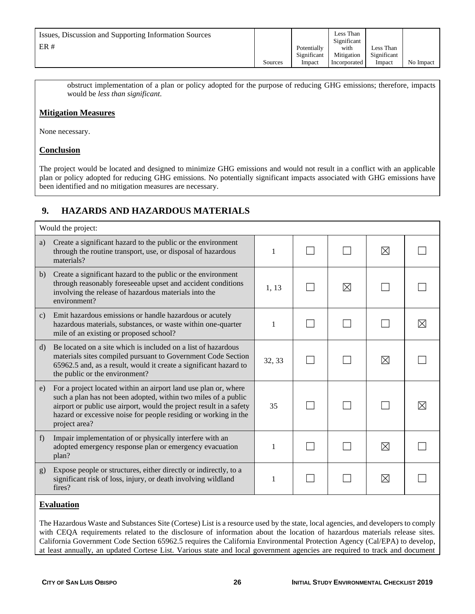| Issues, Discussion and Supporting Information Sources<br>ER# |         | Potentially<br>Significant | Less Than<br>Significant<br>with<br>Mitigation | Less Than<br>Significant |           |
|--------------------------------------------------------------|---------|----------------------------|------------------------------------------------|--------------------------|-----------|
|                                                              | Sources | Impact                     | Incorporated                                   | Impact                   | No Impact |

obstruct implementation of a plan or policy adopted for the purpose of reducing GHG emissions; therefore, impacts would be *less than significant.*

### **Mitigation Measures**

None necessary.

#### **Conclusion**

The project would be located and designed to minimize GHG emissions and would not result in a conflict with an applicable plan or policy adopted for reducing GHG emissions. No potentially significant impacts associated with GHG emissions have been identified and no mitigation measures are necessary.

# **9. HAZARDS AND HAZARDOUS MATERIALS**

|               | Would the project:                                                                                                                                                                                                                                                                           |              |  |   |             |          |  |  |
|---------------|----------------------------------------------------------------------------------------------------------------------------------------------------------------------------------------------------------------------------------------------------------------------------------------------|--------------|--|---|-------------|----------|--|--|
| a)            | Create a significant hazard to the public or the environment<br>through the routine transport, use, or disposal of hazardous<br>materials?                                                                                                                                                   | $\mathbf{1}$ |  |   | $\boxtimes$ |          |  |  |
| b)            | Create a significant hazard to the public or the environment<br>through reasonably foreseeable upset and accident conditions<br>involving the release of hazardous materials into the<br>environment?                                                                                        | 1, 13        |  | ⊠ |             |          |  |  |
| $\mathbf{c})$ | Emit hazardous emissions or handle hazardous or acutely<br>hazardous materials, substances, or waste within one-quarter<br>mile of an existing or proposed school?                                                                                                                           | 1            |  |   |             | $\times$ |  |  |
| $\mathbf{d}$  | Be located on a site which is included on a list of hazardous<br>materials sites compiled pursuant to Government Code Section<br>65962.5 and, as a result, would it create a significant hazard to<br>the public or the environment?                                                         | 32, 33       |  |   | ⊠           |          |  |  |
| e)            | For a project located within an airport land use plan or, where<br>such a plan has not been adopted, within two miles of a public<br>airport or public use airport, would the project result in a safety<br>hazard or excessive noise for people residing or working in the<br>project area? | 35           |  |   |             |          |  |  |
| f             | Impair implementation of or physically interfere with an<br>adopted emergency response plan or emergency evacuation<br>plan?                                                                                                                                                                 | 1            |  |   | ⊠           |          |  |  |
| g)            | Expose people or structures, either directly or indirectly, to a<br>significant risk of loss, injury, or death involving wildland<br>fires?                                                                                                                                                  | 1            |  |   | ⊠           |          |  |  |
|               | <b>Evaluation</b>                                                                                                                                                                                                                                                                            |              |  |   |             |          |  |  |

The Hazardous Waste and Substances Site (Cortese) List is a resource used by the state, local agencies, and developers to comply with CEQA requirements related to the disclosure of information about the location of hazardous materials release sites. California Government Code Section 65962.5 requires the California Environmental Protection Agency (Cal/EPA) to develop, at least annually, an updated Cortese List. Various state and local government agencies are required to track and document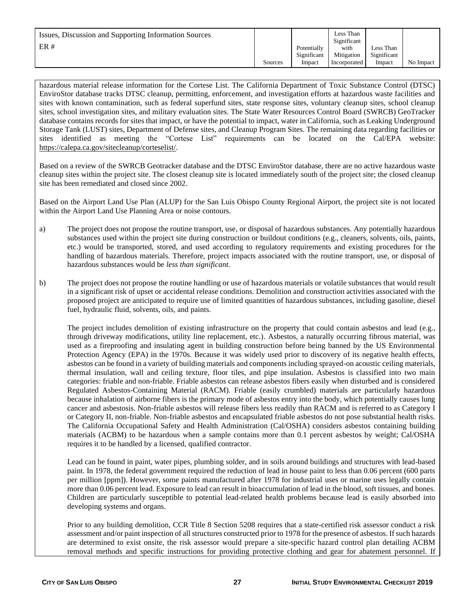| Issues, Discussion and Supporting Information Sources<br>ER# |         | Potentially<br>Significant | Less Than<br>Significant<br>with<br>Mitigation | Less Than<br>Significant |           |
|--------------------------------------------------------------|---------|----------------------------|------------------------------------------------|--------------------------|-----------|
|                                                              | Sources | Impact                     | Incorporated                                   | Impact                   | No Impact |

hazardous material release information for the Cortese List. The California Department of Toxic Substance Control (DTSC) EnviroStor database tracks DTSC cleanup, permitting, enforcement, and investigation efforts at hazardous waste facilities and sites with known contamination, such as federal superfund sites, state response sites, voluntary cleanup sites, school cleanup sites, school investigation sites, and military evaluation sites. The State Water Resources Control Board (SWRCB) GeoTracker database contains records for sites that impact, or have the potential to impact, water in California, such as Leaking Underground Storage Tank (LUST) sites, Department of Defense sites, and Cleanup Program Sites. The remaining data regarding facilities or sites identified as meeting the "Cortese List" requirements can be located on the Cal/EPA website: [https://calepa.ca.gov/sitecleanup/corteselist/.](https://calepa.ca.gov/sitecleanup/corteselist/)

Based on a review of the SWRCB Geotracker database and the DTSC EnviroStor database, there are no active hazardous waste cleanup sites within the project site. The closest cleanup site is located immediately south of the project site; the closed cleanup site has been remediated and closed since 2002.

Based on the Airport Land Use Plan (ALUP) for the San Luis Obispo County Regional Airport, the project site is not located within the Airport Land Use Planning Area or noise contours.

- a) The project does not propose the routine transport, use, or disposal of hazardous substances. Any potentially hazardous substances used within the project site during construction or buildout conditions (e.g., cleaners, solvents, oils, paints, etc.) would be transported, stored, and used according to regulatory requirements and existing procedures for the handling of hazardous materials. Therefore, project impacts associated with the routine transport, use, or disposal of hazardous substances would be *less than significant.*
- b) The project does not propose the routine handling or use of hazardous materials or volatile substances that would result in a significant risk of upset or accidental release conditions. Demolition and construction activities associated with the proposed project are anticipated to require use of limited quantities of hazardous substances, including gasoline, diesel fuel, hydraulic fluid, solvents, oils, and paints.

The project includes demolition of existing infrastructure on the property that could contain asbestos and lead (e.g., through driveway modifications, utility line replacement, etc.). Asbestos, a naturally occurring fibrous material, was used as a fireproofing and insulating agent in building construction before being banned by the US Environmental Protection Agency (EPA) in the 1970s. Because it was widely used prior to discovery of its negative health effects, asbestos can be found in a variety of building materials and components including sprayed-on acoustic ceiling materials, thermal insulation, wall and ceiling texture, floor tiles, and pipe insulation. Asbestos is classified into two main categories: friable and non-friable. Friable asbestos can release asbestos fibers easily when disturbed and is considered Regulated Asbestos-Containing Material (RACM). Friable (easily crumbled) materials are particularly hazardous because inhalation of airborne fibers is the primary mode of asbestos entry into the body, which potentially causes lung cancer and asbestosis. Non-friable asbestos will release fibers less readily than RACM and is referred to as Category I or Category II, non-friable. Non-friable asbestos and encapsulated friable asbestos do not pose substantial health risks. The California Occupational Safety and Health Administration (Cal/OSHA) considers asbestos containing building materials (ACBM) to be hazardous when a sample contains more than 0.1 percent asbestos by weight; Cal/OSHA requires it to be handled by a licensed, qualified contractor.

Lead can be found in paint, water pipes, plumbing solder, and in soils around buildings and structures with lead-based paint. In 1978, the federal government required the reduction of lead in house paint to less than 0.06 percent (600 parts per million [ppm]). However, some paints manufactured after 1978 for industrial uses or marine uses legally contain more than 0.06 percent lead. Exposure to lead can result in bioaccumulation of lead in the blood, soft tissues, and bones. Children are particularly susceptible to potential lead-related health problems because lead is easily absorbed into developing systems and organs.

Prior to any building demolition, CCR Title 8 Section 5208 requires that a state-certified risk assessor conduct a risk assessment and/or paint inspection of all structures constructed prior to 1978 for the presence of asbestos. If such hazards are determined to exist onsite, the risk assessor would prepare a site-specific hazard control plan detailing ACBM removal methods and specific instructions for providing protective clothing and gear for abatement personnel. If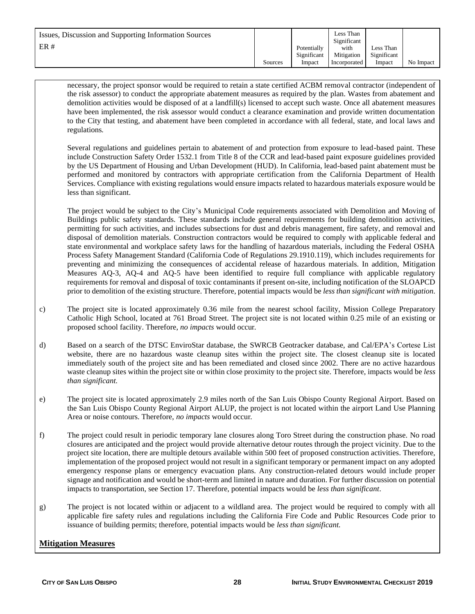| Issues, Discussion and Supporting Information Sources<br>ER# |         | Potentially<br>Significant | Less Than<br>Significant<br>with<br>Mitigation | Less Than<br>Significant |           |
|--------------------------------------------------------------|---------|----------------------------|------------------------------------------------|--------------------------|-----------|
|                                                              | Sources | Impact                     | Incorporated                                   | Impact                   | No Impact |

necessary, the project sponsor would be required to retain a state certified ACBM removal contractor (independent of the risk assessor) to conduct the appropriate abatement measures as required by the plan. Wastes from abatement and demolition activities would be disposed of at a landfill(s) licensed to accept such waste. Once all abatement measures have been implemented, the risk assessor would conduct a clearance examination and provide written documentation to the City that testing, and abatement have been completed in accordance with all federal, state, and local laws and regulations*.*

Several regulations and guidelines pertain to abatement of and protection from exposure to lead-based paint. These include Construction Safety Order 1532.1 from Title 8 of the CCR and lead-based paint exposure guidelines provided by the US Department of Housing and Urban Development (HUD). In California, lead-based paint abatement must be performed and monitored by contractors with appropriate certification from the California Department of Health Services. Compliance with existing regulations would ensure impacts related to hazardous materials exposure would be less than significant.

The project would be subject to the City's Municipal Code requirements associated with Demolition and Moving of Buildings public safety standards. These standards include general requirements for building demolition activities, permitting for such activities, and includes subsections for dust and debris management, fire safety, and removal and disposal of demolition materials. Construction contractors would be required to comply with applicable federal and state environmental and workplace safety laws for the handling of hazardous materials, including the Federal OSHA Process Safety Management Standard (California Code of Regulations 29.1910.119), which includes requirements for preventing and minimizing the consequences of accidental release of hazardous materials. In addition, Mitigation Measures AQ-3, AQ-4 and AQ-5 have been identified to require full compliance with applicable regulatory requirements for removal and disposal of toxic contaminants if present on-site, including notification of the SLOAPCD prior to demolition of the existing structure. Therefore, potential impacts would be *less than significant with mitigation.*

- c) The project site is located approximately 0.36 mile from the nearest school facility, Mission College Preparatory Catholic High School, located at 761 Broad Street. The project site is not located within 0.25 mile of an existing or proposed school facility. Therefore, *no impacts* would occur*.*
- d) Based on a search of the DTSC EnviroStar database, the SWRCB Geotracker database, and Cal/EPA's Cortese List website, there are no hazardous waste cleanup sites within the project site. The closest cleanup site is located immediately south of the project site and has been remediated and closed since 2002. There are no active hazardous waste cleanup sites within the project site or within close proximity to the project site. Therefore, impacts would be *less than significant.*
- e) The project site is located approximately 2.9 miles north of the San Luis Obispo County Regional Airport. Based on the San Luis Obispo County Regional Airport ALUP, the project is not located within the airport Land Use Planning Area or noise contours. Therefore, *no impacts* would occur*.*
- f) The project could result in periodic temporary lane closures along Toro Street during the construction phase. No road closures are anticipated and the project would provide alternative detour routes through the project vicinity. Due to the project site location, there are multiple detours available within 500 feet of proposed construction activities. Therefore, implementation of the proposed project would not result in a significant temporary or permanent impact on any adopted emergency response plans or emergency evacuation plans. Any construction-related detours would include proper signage and notification and would be short-term and limited in nature and duration. For further discussion on potential impacts to transportation, see Section 17. Therefore, potential impacts would be *less than significant*.
- g) The project is not located within or adjacent to a wildland area. The project would be required to comply with all applicable fire safety rules and regulations including the California Fire Code and Public Resources Code prior to issuance of building permits; therefore, potential impacts would be *less than significant.*

#### **Mitigation Measures**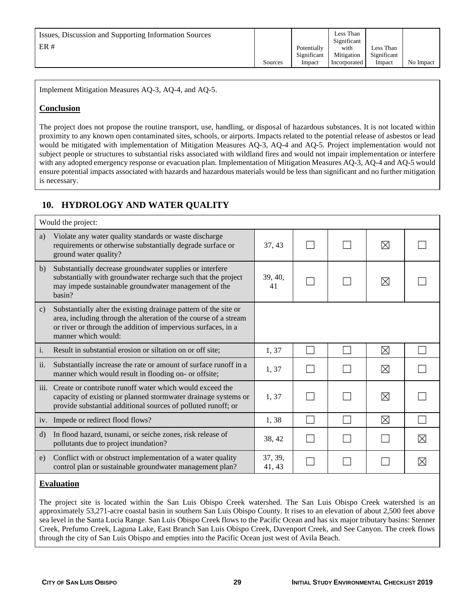| Issues, Discussion and Supporting Information Sources<br>ER# | Sources | Potentially<br>Significant<br>Impact | Less Than<br>Significant<br>with<br>Mitigation<br>Incorporated | Less Than<br>Significant<br>Impact | No Impact |
|--------------------------------------------------------------|---------|--------------------------------------|----------------------------------------------------------------|------------------------------------|-----------|
|--------------------------------------------------------------|---------|--------------------------------------|----------------------------------------------------------------|------------------------------------|-----------|

Implement Mitigation Measures AQ-3, AQ-4, and AQ-5.

#### **Conclusion**

The project does not propose the routine transport, use, handling, or disposal of hazardous substances. It is not located within proximity to any known open contaminated sites, schools, or airports. Impacts related to the potential release of asbestos or lead would be mitigated with implementation of Mitigation Measures AQ-3, AQ-4 and AQ-5. Project implementation would not subject people or structures to substantial risks associated with wildland fires and would not impair implementation or interfere with any adopted emergency response or evacuation plan. Implementation of Mitigation Measures AQ-3, AQ-4 and AQ-5 would ensure potential impacts associated with hazards and hazardous materials would be less than significant and no further mitigation is necessary.

# **10. HYDROLOGY AND WATER QUALITY**

|                | Would the project:                                                                                                                                                                                                           |                   |  |             |          |
|----------------|------------------------------------------------------------------------------------------------------------------------------------------------------------------------------------------------------------------------------|-------------------|--|-------------|----------|
| a)             | Violate any water quality standards or waste discharge<br>requirements or otherwise substantially degrade surface or<br>ground water quality?                                                                                | 37, 43            |  | ⊠           |          |
| b)             | Substantially decrease groundwater supplies or interfere.<br>substantially with groundwater recharge such that the project<br>may impede sustainable groundwater management of the<br>basin?                                 | 39, 40,<br>41     |  | ⊠           |          |
| $\mathbf{c}$   | Substantially alter the existing drainage pattern of the site or<br>area, including through the alteration of the course of a stream<br>or river or through the addition of impervious surfaces, in a<br>manner which would: |                   |  |             |          |
| $\mathbf{i}$ . | Result in substantial erosion or siltation on or off site;                                                                                                                                                                   | 1,37              |  | $\boxtimes$ |          |
| ii.            | Substantially increase the rate or amount of surface runoff in a<br>manner which would result in flooding on- or offsite;                                                                                                    | 1,37              |  | ⊠           |          |
|                | iii. Create or contribute runoff water which would exceed the<br>capacity of existing or planned stormwater drainage systems or<br>provide substantial additional sources of polluted runoff; or                             | 1,37              |  | ⊠           |          |
|                | iv. Impede or redirect flood flows?                                                                                                                                                                                          | 1,38              |  | ⊠           |          |
| $\rm d$        | In flood hazard, tsunami, or seiche zones, risk release of<br>pollutants due to project inundation?                                                                                                                          | 38, 42            |  |             | $\times$ |
| e)             | Conflict with or obstruct implementation of a water quality<br>control plan or sustainable groundwater management plan?                                                                                                      | 37, 39,<br>41, 43 |  |             | X        |

#### **Evaluation**

The project site is located within the San Luis Obispo Creek watershed. The San Luis Obispo Creek watershed is an approximately 53,271-acre coastal basin in southern San Luis Obispo County. It rises to an elevation of about 2,500 feet above sea level in the Santa Lucia Range. San Luis Obispo Creek flows to the Pacific Ocean and has six major tributary basins: Stenner Creek, Prefumo Creek, Laguna Lake, East Branch San Luis Obispo Creek, Davenport Creek, and See Canyon. The creek flows through the city of San Luis Obispo and empties into the Pacific Ocean just west of Avila Beach.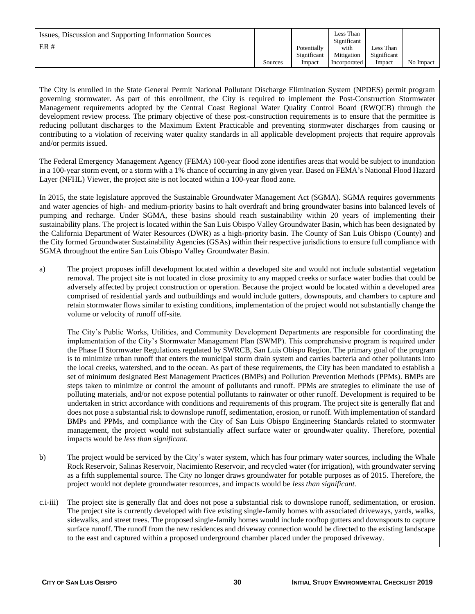| Issues, Discussion and Supporting Information Sources<br>ER# |         | Potentially<br>Significant | Less Than<br>Significant<br>with<br>Mitigation | Less Than<br>Significant |           |
|--------------------------------------------------------------|---------|----------------------------|------------------------------------------------|--------------------------|-----------|
|                                                              | Sources | Impact                     | Incorporated                                   | Impact                   | No Impact |

The City is enrolled in the State General Permit National Pollutant Discharge Elimination System (NPDES) permit program governing stormwater. As part of this enrollment, the City is required to implement the Post-Construction Stormwater Management requirements adopted by the Central Coast Regional Water Quality Control Board (RWQCB) through the development review process. The primary objective of these post-construction requirements is to ensure that the permittee is reducing pollutant discharges to the Maximum Extent Practicable and preventing stormwater discharges from causing or contributing to a violation of receiving water quality standards in all applicable development projects that require approvals and/or permits issued.

The Federal Emergency Management Agency (FEMA) 100-year flood zone identifies areas that would be subject to inundation in a 100-year storm event, or a storm with a 1% chance of occurring in any given year. Based on FEMA's National Flood Hazard Layer (NFHL) Viewer, the project site is not located within a 100-year flood zone.

In 2015, the state legislature approved the Sustainable Groundwater Management Act (SGMA). SGMA requires governments and water agencies of high- and medium-priority basins to halt overdraft and bring groundwater basins into balanced levels of pumping and recharge. Under SGMA, these basins should reach sustainability within 20 years of implementing their sustainability plans. The project is located within the San Luis Obispo Valley Groundwater Basin, which has been designated by the California Department of Water Resources (DWR) as a high-priority basin. The County of San Luis Obispo (County) and the City formed Groundwater Sustainability Agencies (GSAs) within their respective jurisdictions to ensure full compliance with SGMA throughout the entire San Luis Obispo Valley Groundwater Basin.

a) The project proposes infill development located within a developed site and would not include substantial vegetation removal. The project site is not located in close proximity to any mapped creeks or surface water bodies that could be adversely affected by project construction or operation. Because the project would be located within a developed area comprised of residential yards and outbuildings and would include gutters, downspouts, and chambers to capture and retain stormwater flows similar to existing conditions, implementation of the project would not substantially change the volume or velocity of runoff off-site*.* 

The City's Public Works, Utilities, and Community Development Departments are responsible for coordinating the implementation of the City's Stormwater Management Plan (SWMP). This comprehensive program is required under the Phase II Stormwater Regulations regulated by SWRCB, San Luis Obispo Region. The primary goal of the program is to minimize urban runoff that enters the municipal storm drain system and carries bacteria and other pollutants into the local creeks, watershed, and to the ocean. As part of these requirements, the City has been mandated to establish a set of minimum designated Best Management Practices (BMPs) and Pollution Prevention Methods (PPMs). BMPs are steps taken to minimize or control the amount of pollutants and runoff. PPMs are strategies to eliminate the use of polluting materials, and/or not expose potential pollutants to rainwater or other runoff. Development is required to be undertaken in strict accordance with conditions and requirements of this program. The project site is generally flat and does not pose a substantial risk to downslope runoff, sedimentation, erosion, or runoff. With implementation of standard BMPs and PPMs, and compliance with the City of San Luis Obispo Engineering Standards related to stormwater management, the project would not substantially affect surface water or groundwater quality. Therefore, potential impacts would be *less than significant.*

- b) The project would be serviced by the City's water system, which has four primary water sources, including the Whale Rock Reservoir, Salinas Reservoir, Nacimiento Reservoir, and recycled water (for irrigation), with groundwater serving as a fifth supplemental source. The City no longer draws groundwater for potable purposes as of 2015. Therefore, the project would not deplete groundwater resources, and impacts would be *less than significant.*
- c.i-iii) The project site is generally flat and does not pose a substantial risk to downslope runoff, sedimentation, or erosion. The project site is currently developed with five existing single-family homes with associated driveways, yards, walks, sidewalks, and street trees. The proposed single-family homes would include rooftop gutters and downspouts to capture surface runoff. The runoff from the new residences and driveway connection would be directed to the existing landscape to the east and captured within a proposed underground chamber placed under the proposed driveway.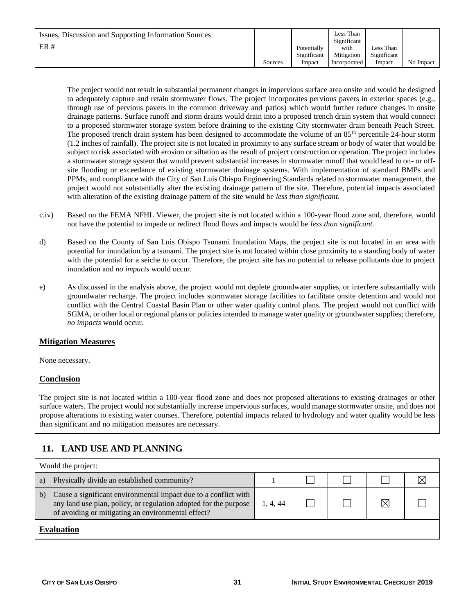| Issues, Discussion and Supporting Information Sources<br>ER# | Sources | Potentially<br>Significant<br>Impact | Less Than<br>Significant<br>with<br>Mitigation<br>Incorporated | Less Than<br>Significant<br>Impact | No Impact |
|--------------------------------------------------------------|---------|--------------------------------------|----------------------------------------------------------------|------------------------------------|-----------|
|--------------------------------------------------------------|---------|--------------------------------------|----------------------------------------------------------------|------------------------------------|-----------|

The project would not result in substantial permanent changes in impervious surface area onsite and would be designed to adequately capture and retain stormwater flows. The project incorporates pervious pavers in exterior spaces (e.g., through use of pervious pavers in the common driveway and patios) which would further reduce changes in onsite drainage patterns. Surface runoff and storm drains would drain into a proposed trench drain system that would connect to a proposed stormwater storage system before draining to the existing City stormwater drain beneath Peach Street. The proposed trench drain system has been designed to accommodate the volume of an  $85<sup>th</sup>$  percentile 24-hour storm (1.2 inches of rainfall). The project site is not located in proximity to any surface stream or body of water that would be subject to risk associated with erosion or siltation as the result of project construction or operation. The project includes a stormwater storage system that would prevent substantial increases in stormwater runoff that would lead to on- or offsite flooding or exceedance of existing stormwater drainage systems. With implementation of standard BMPs and PPMs, and compliance with the City of San Luis Obispo Engineering Standards related to stormwater management, the project would not substantially alter the existing drainage pattern of the site. Therefore, potential impacts associated with alteration of the existing drainage pattern of the site would be *less than significant.*

- c.iv) Based on the FEMA NFHL Viewer, the project site is not located within a 100-year flood zone and, therefore, would not have the potential to impede or redirect flood flows and impacts would be *less than significant.*
- d) Based on the County of San Luis Obispo Tsunami Inundation Maps, the project site is not located in an area with potential for inundation by a tsunami. The project site is not located within close proximity to a standing body of water with the potential for a seiche to occur. Therefore, the project site has no potential to release pollutants due to project inundation and *no impacts* would occur*.*
- e) As discussed in the analysis above, the project would not deplete groundwater supplies, or interfere substantially with groundwater recharge. The project includes stormwater storage facilities to facilitate onsite detention and would not conflict with the Central Coastal Basin Plan or other water quality control plans. The project would not conflict with SGMA, or other local or regional plans or policies intended to manage water quality or groundwater supplies; therefore, *no impacts* would occur*.*

#### **Mitigation Measures**

None necessary.

#### **Conclusion**

The project site is not located within a 100-year flood zone and does not proposed alterations to existing drainages or other surface waters. The project would not substantially increase impervious surfaces, would manage stormwater onsite, and does not propose alterations to existing water courses. Therefore, potential impacts related to hydrology and water quality would be less than significant and no mitigation measures are necessary.

# **11. LAND USE AND PLANNING**

| Would the project: |                                                                                                                                                                                           |          |  |  |    |  |
|--------------------|-------------------------------------------------------------------------------------------------------------------------------------------------------------------------------------------|----------|--|--|----|--|
| a)                 | Physically divide an established community?                                                                                                                                               |          |  |  |    |  |
| b)                 | Cause a significant environmental impact due to a conflict with<br>any land use plan, policy, or regulation adopted for the purpose<br>of avoiding or mitigating an environmental effect? | 1, 4, 44 |  |  | IX |  |
|                    | <b>Evaluation</b>                                                                                                                                                                         |          |  |  |    |  |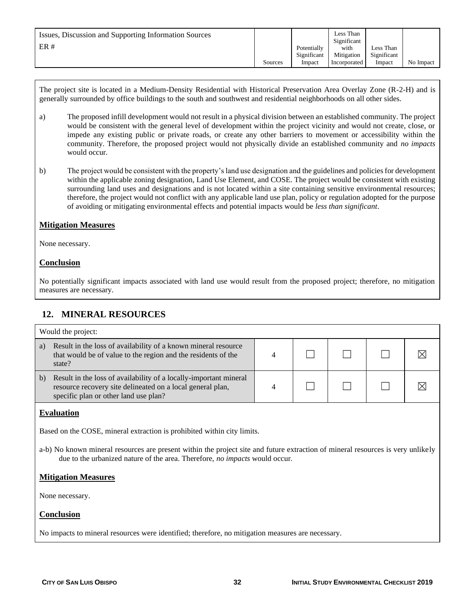| Issues, Discussion and Supporting Information Sources<br>ER# |         | Potentially<br>Significant | Less Than<br>Significant<br>with<br>Mitigation | Less Than<br>Significant |           |
|--------------------------------------------------------------|---------|----------------------------|------------------------------------------------|--------------------------|-----------|
|                                                              | Sources | Impact                     | Incorporated                                   | Impact                   | No Impact |

The project site is located in a Medium-Density Residential with Historical Preservation Area Overlay Zone (R-2-H) and is generally surrounded by office buildings to the south and southwest and residential neighborhoods on all other sides.

- a) The proposed infill development would not result in a physical division between an established community. The project would be consistent with the general level of development within the project vicinity and would not create, close, or impede any existing public or private roads, or create any other barriers to movement or accessibility within the community. Therefore, the proposed project would not physically divide an established community and *no impacts*  would occur*.*
- b) The project would be consistent with the property's land use designation and the guidelines and policies for development within the applicable zoning designation, Land Use Element, and COSE. The project would be consistent with existing surrounding land uses and designations and is not located within a site containing sensitive environmental resources; therefore, the project would not conflict with any applicable land use plan, policy or regulation adopted for the purpose of avoiding or mitigating environmental effects and potential impacts would be *less than significant*.

#### **Mitigation Measures**

None necessary.

#### **Conclusion**

No potentially significant impacts associated with land use would result from the proposed project; therefore, no mitigation measures are necessary.

## **12. MINERAL RESOURCES**

|                                                                         | Would the project:                                                                                                                                                       |  |  |  |  |  |
|-------------------------------------------------------------------------|--------------------------------------------------------------------------------------------------------------------------------------------------------------------------|--|--|--|--|--|
| a)                                                                      | Result in the loss of availability of a known mineral resource<br>that would be of value to the region and the residents of the<br>state?                                |  |  |  |  |  |
| b)                                                                      | Result in the loss of availability of a locally-important mineral<br>resource recovery site delineated on a local general plan,<br>specific plan or other land use plan? |  |  |  |  |  |
|                                                                         | <b>Evaluation</b>                                                                                                                                                        |  |  |  |  |  |
| Based on the COSE, mineral extraction is prohibited within city limits. |                                                                                                                                                                          |  |  |  |  |  |
|                                                                         | a-b) No known mineral resources are present within the project site and future extraction of mineral resources is very unlikely                                          |  |  |  |  |  |

#### **Mitigation Measures**

None necessary.

#### **Conclusion**

No impacts to mineral resources were identified; therefore, no mitigation measures are necessary.

due to the urbanized nature of the area. Therefore, *no impacts* would occur*.*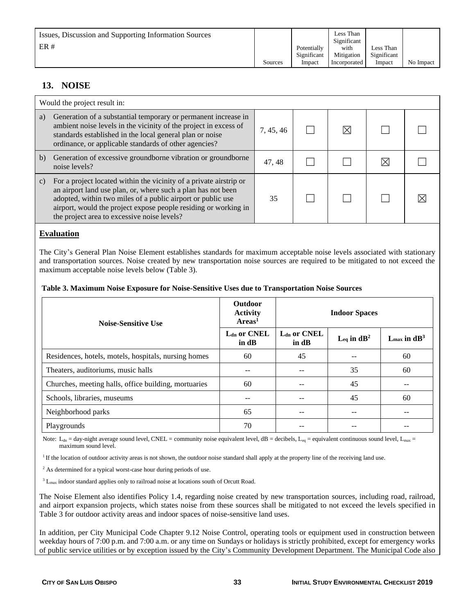| Issues, Discussion and Supporting Information Sources<br>ER# | Sources | Potentially<br>Significant | Less Than<br>Significant<br>with<br>Mitigation | Less Than<br>Significant | No Impact |
|--------------------------------------------------------------|---------|----------------------------|------------------------------------------------|--------------------------|-----------|
|                                                              |         | Impact                     | Incorporated                                   | Impact                   |           |

# **13. NOISE**

|               | Would the project result in:                                                                                                                                                                                                                                                                                        |           |  |  |
|---------------|---------------------------------------------------------------------------------------------------------------------------------------------------------------------------------------------------------------------------------------------------------------------------------------------------------------------|-----------|--|--|
| a)            | Generation of a substantial temporary or permanent increase in<br>ambient noise levels in the vicinity of the project in excess of<br>standards established in the local general plan or noise<br>ordinance, or applicable standards of other agencies?                                                             | 7, 45, 46 |  |  |
| b)            | Generation of excessive groundborne vibration or groundborne<br>noise levels?                                                                                                                                                                                                                                       | 47, 48    |  |  |
| $\mathbf{c})$ | For a project located within the vicinity of a private airstrip or<br>an airport land use plan, or, where such a plan has not been<br>adopted, within two miles of a public airport or public use<br>airport, would the project expose people residing or working in<br>the project area to excessive noise levels? | 35        |  |  |

#### **Evaluation**

The City's General Plan Noise Element establishes standards for maximum acceptable noise levels associated with stationary and transportation sources. Noise created by new transportation noise sources are required to be mitigated to not exceed the maximum acceptable noise levels below (Table 3).

#### **Table 3. Maximum Noise Exposure for Noise-Sensitive Uses due to Transportation Noise Sources**

| <b>Noise-Sensitive Use</b>                           | <b>Outdoor</b><br><b>Activity</b><br>Area <sup>1</sup> |                                   | <b>Indoor Spaces</b>        |                            |
|------------------------------------------------------|--------------------------------------------------------|-----------------------------------|-----------------------------|----------------------------|
|                                                      | $Ldn$ or CNEL<br>in dB                                 | $Ldn$ or CNEL<br>in $\mathbf{dB}$ | $L_{eq}$ in dB <sup>2</sup> | $L_{\text{max}}$ in $dB^3$ |
| Residences, hotels, motels, hospitals, nursing homes | 60                                                     | 45                                |                             | 60                         |
| Theaters, auditoriums, music halls                   |                                                        |                                   | 35                          | 60                         |
| Churches, meeting halls, office building, mortuaries | 60                                                     | --                                | 45                          | --                         |
| Schools, libraries, museums                          |                                                        |                                   | 45                          | 60                         |
| Neighborhood parks                                   | 65                                                     |                                   | --                          |                            |
| Playgrounds                                          | 70                                                     |                                   |                             |                            |

Note:  $L_{dn}$  = day-night average sound level, CNEL = community noise equivalent level,  $dB$  = decibels,  $L_{eq}$  = equivalent continuous sound level,  $L_{max}$  = maximum sound level.

<sup>1</sup> If the location of outdoor activity areas is not shown, the outdoor noise standard shall apply at the property line of the receiving land use.

<sup>2</sup> As determined for a typical worst-case hour during periods of use.

 $3 L_{\text{max}}$  indoor standard applies only to railroad noise at locations south of Orcutt Road.

The Noise Element also identifies Policy 1.4, regarding noise created by new transportation sources, including road, railroad, and airport expansion projects, which states noise from these sources shall be mitigated to not exceed the levels specified in Table 3 for outdoor activity areas and indoor spaces of noise-sensitive land uses.

In addition, per City Municipal Code Chapter 9.12 Noise Control, operating tools or equipment used in construction between weekday hours of 7:00 p.m. and 7:00 a.m. or any time on Sundays or holidays is strictly prohibited, except for emergency works of public service utilities or by exception issued by the City's Community Development Department. The Municipal Code also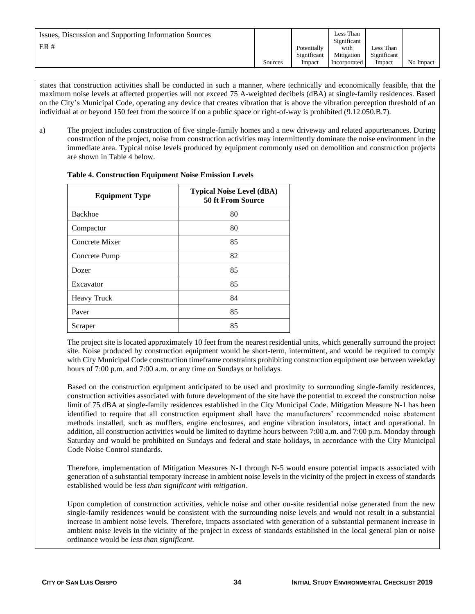| Issues, Discussion and Supporting Information Sources<br>ER# |         | Potentially<br>Significant | Less Than<br>Significant<br>with<br>Mitigation | Less Than<br>Significant |           |
|--------------------------------------------------------------|---------|----------------------------|------------------------------------------------|--------------------------|-----------|
|                                                              | Sources | Impact                     | Incorporated                                   | Impact                   | No Impact |

states that construction activities shall be conducted in such a manner, where technically and economically feasible, that the maximum noise levels at affected properties will not exceed 75 A-weighted decibels (dBA) at single-family residences. Based on the City's Municipal Code, operating any device that creates vibration that is above the vibration perception threshold of an individual at or beyond 150 feet from the source if on a public space or right-of-way is prohibited (9.12.050.B.7).

a) The project includes construction of five single-family homes and a new driveway and related appurtenances. During construction of the project, noise from construction activities may intermittently dominate the noise environment in the immediate area. Typical noise levels produced by equipment commonly used on demolition and construction projects are shown in Table 4 below.

| <b>Equipment Type</b> | <b>Typical Noise Level (dBA)</b><br><b>50 ft From Source</b> |
|-----------------------|--------------------------------------------------------------|
| <b>Backhoe</b>        | 80                                                           |
| Compactor             | 80                                                           |
| Concrete Mixer        | 85                                                           |
| Concrete Pump         | 82                                                           |
| Dozer                 | 85                                                           |
| Excavator             | 85                                                           |
| <b>Heavy Truck</b>    | 84                                                           |
| Paver                 | 85                                                           |
| Scraper               | 85                                                           |

#### **Table 4. Construction Equipment Noise Emission Levels**

The project site is located approximately 10 feet from the nearest residential units, which generally surround the project site. Noise produced by construction equipment would be short-term, intermittent, and would be required to comply with City Municipal Code construction timeframe constraints prohibiting construction equipment use between weekday hours of 7:00 p.m. and 7:00 a.m. or any time on Sundays or holidays.

Based on the construction equipment anticipated to be used and proximity to surrounding single-family residences, construction activities associated with future development of the site have the potential to exceed the construction noise limit of 75 dBA at single-family residences established in the City Municipal Code. Mitigation Measure N-1 has been identified to require that all construction equipment shall have the manufacturers' recommended noise abatement methods installed, such as mufflers, engine enclosures, and engine vibration insulators, intact and operational. In addition, all construction activities would be limited to daytime hours between 7:00 a.m. and 7:00 p.m. Monday through Saturday and would be prohibited on Sundays and federal and state holidays, in accordance with the City Municipal Code Noise Control standards.

Therefore, implementation of Mitigation Measures N-1 through N-5 would ensure potential impacts associated with generation of a substantial temporary increase in ambient noise levels in the vicinity of the project in excess of standards established would be *less than significant with mitigation.* 

Upon completion of construction activities, vehicle noise and other on-site residential noise generated from the new single-family residences would be consistent with the surrounding noise levels and would not result in a substantial increase in ambient noise levels. Therefore, impacts associated with generation of a substantial permanent increase in ambient noise levels in the vicinity of the project in excess of standards established in the local general plan or noise ordinance would be *less than significant.*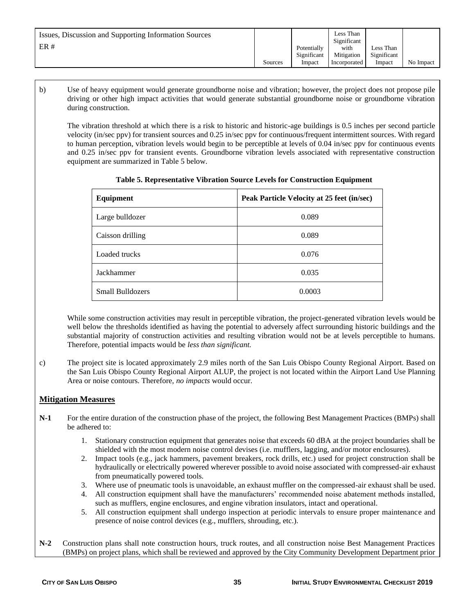| Issues, Discussion and Supporting Information Sources<br>ER# | Sources | Potentially<br>Significant<br>Impact | Less Than<br>Significant<br>with<br>Mitigation<br>Incorporated | Less Than<br>Significant<br>Impact | No Impact |
|--------------------------------------------------------------|---------|--------------------------------------|----------------------------------------------------------------|------------------------------------|-----------|
|--------------------------------------------------------------|---------|--------------------------------------|----------------------------------------------------------------|------------------------------------|-----------|

b) Use of heavy equipment would generate groundborne noise and vibration; however, the project does not propose pile driving or other high impact activities that would generate substantial groundborne noise or groundborne vibration during construction.

The vibration threshold at which there is a risk to historic and historic-age buildings is 0.5 inches per second particle velocity (in/sec ppv) for transient sources and 0.25 in/sec ppv for continuous/frequent intermittent sources. With regard to human perception, vibration levels would begin to be perceptible at levels of 0.04 in/sec ppv for continuous events and 0.25 in/sec ppv for transient events. Groundborne vibration levels associated with representative construction equipment are summarized in Table 5 below.

| Equipment        | Peak Particle Velocity at 25 feet (in/sec) |
|------------------|--------------------------------------------|
| Large bulldozer  | 0.089                                      |
| Caisson drilling | 0.089                                      |
| Loaded trucks    | 0.076                                      |
| Jackhammer       | 0.035                                      |
| Small Bulldozers | 0.0003                                     |

**Table 5. Representative Vibration Source Levels for Construction Equipment**

While some construction activities may result in perceptible vibration, the project-generated vibration levels would be well below the thresholds identified as having the potential to adversely affect surrounding historic buildings and the substantial majority of construction activities and resulting vibration would not be at levels perceptible to humans. Therefore, potential impacts would be *less than significant.*

c) The project site is located approximately 2.9 miles north of the San Luis Obispo County Regional Airport. Based on the San Luis Obispo County Regional Airport ALUP, the project is not located within the Airport Land Use Planning Area or noise contours. Therefore, *no impacts* would occur.

#### **Mitigation Measures**

- **N-1** For the entire duration of the construction phase of the project, the following Best Management Practices (BMPs) shall be adhered to:
	- 1. Stationary construction equipment that generates noise that exceeds 60 dBA at the project boundaries shall be shielded with the most modern noise control devises (i.e. mufflers, lagging, and/or motor enclosures).
	- 2. Impact tools (e.g., jack hammers, pavement breakers, rock drills, etc.) used for project construction shall be hydraulically or electrically powered wherever possible to avoid noise associated with compressed-air exhaust from pneumatically powered tools.
	- 3. Where use of pneumatic tools is unavoidable, an exhaust muffler on the compressed-air exhaust shall be used.
	- 4. All construction equipment shall have the manufacturers' recommended noise abatement methods installed, such as mufflers, engine enclosures, and engine vibration insulators, intact and operational.
	- 5. All construction equipment shall undergo inspection at periodic intervals to ensure proper maintenance and presence of noise control devices (e.g., mufflers, shrouding, etc.).
- **N-2** Construction plans shall note construction hours, truck routes, and all construction noise Best Management Practices (BMPs) on project plans, which shall be reviewed and approved by the City Community Development Department prior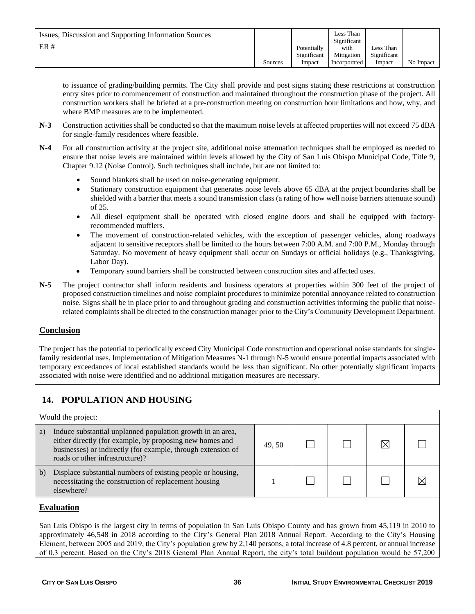to issuance of grading/building permits. The City shall provide and post signs stating these restrictions at construction entry sites prior to commencement of construction and maintained throughout the construction phase of the project. All construction workers shall be briefed at a pre-construction meeting on construction hour limitations and how, why, and where BMP measures are to be implemented.

- **N-3** Construction activities shall be conducted so that the maximum noise levels at affected properties will not exceed 75 dBA for single-family residences where feasible.
- **N-4** For all construction activity at the project site, additional noise attenuation techniques shall be employed as needed to ensure that noise levels are maintained within levels allowed by the City of San Luis Obispo Municipal Code, Title 9, Chapter 9.12 (Noise Control). Such techniques shall include, but are not limited to:
	- Sound blankets shall be used on noise-generating equipment.
	- Stationary construction equipment that generates noise levels above 65 dBA at the project boundaries shall be shielded with a barrier that meets a sound transmission class (a rating of how well noise barriers attenuate sound) of 25.
	- All diesel equipment shall be operated with closed engine doors and shall be equipped with factoryrecommended mufflers.
	- The movement of construction-related vehicles, with the exception of passenger vehicles, along roadways adjacent to sensitive receptors shall be limited to the hours between 7:00 A.M. and 7:00 P.M., Monday through Saturday. No movement of heavy equipment shall occur on Sundays or official holidays (e.g., Thanksgiving, Labor Day).
	- Temporary sound barriers shall be constructed between construction sites and affected uses.
- **N-5** The project contractor shall inform residents and business operators at properties within 300 feet of the project of proposed construction timelines and noise complaint procedures to minimize potential annoyance related to construction noise. Signs shall be in place prior to and throughout grading and construction activities informing the public that noiserelated complaints shall be directed to the construction manager prior to the City's Community Development Department.

## **Conclusion**

The project has the potential to periodically exceed City Municipal Code construction and operational noise standards for singlefamily residential uses. Implementation of Mitigation Measures N-1 through N-5 would ensure potential impacts associated with temporary exceedances of local established standards would be less than significant. No other potentially significant impacts associated with noise were identified and no additional mitigation measures are necessary.

# **14. POPULATION AND HOUSING**

| Would the project:                                                                                                                                                                                                              |       |  |  |             |  |  |
|---------------------------------------------------------------------------------------------------------------------------------------------------------------------------------------------------------------------------------|-------|--|--|-------------|--|--|
| Induce substantial unplanned population growth in an area,<br>a)<br>either directly (for example, by proposing new homes and<br>businesses) or indirectly (for example, through extension of<br>roads or other infrastructure)? | 49.50 |  |  | $\boxtimes$ |  |  |
| Displace substantial numbers of existing people or housing,<br>b)<br>necessitating the construction of replacement housing<br>elsewhere?                                                                                        |       |  |  |             |  |  |
| <b>Evaluation</b>                                                                                                                                                                                                               |       |  |  |             |  |  |
| San Luis Obispo is the largest city in terms of population in San Luis Obispo County and has grown from 45 119 in 2010 to                                                                                                       |       |  |  |             |  |  |

San Luis Obispo is the largest city in terms of population in San Luis Obispo County and has grown from 45,119 in 2010 to approximately 46,548 in 2018 according to the City's General Plan 2018 Annual Report. According to the City's Housing Element, between 2005 and 2019, the City's population grew by 2,140 persons, a total increase of 4.8 percent, or annual increase of 0.3 percent. Based on the City's 2018 General Plan Annual Report, the city's total buildout population would be 57,200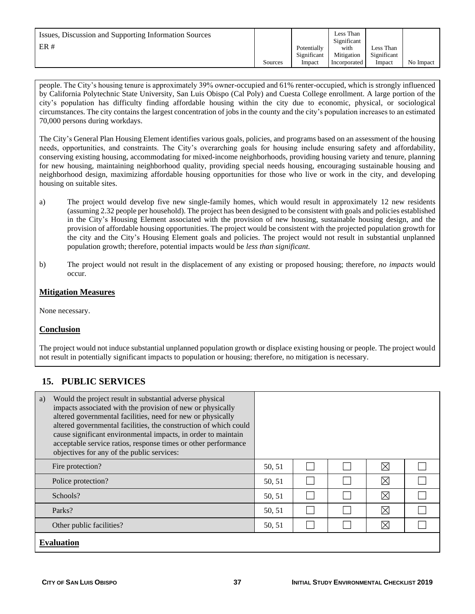| Issues, Discussion and Supporting Information Sources<br>ER# |         | Potentially<br>Significant | Less Than<br>Significant<br>with<br>Mitigation | Less Than<br>Significant |           |
|--------------------------------------------------------------|---------|----------------------------|------------------------------------------------|--------------------------|-----------|
|                                                              | Sources | Impact                     | Incorporated                                   | Impact                   | No Impact |

people. The City's housing tenure is approximately 39% owner-occupied and 61% renter-occupied, which is strongly influenced by California Polytechnic State University, San Luis Obispo (Cal Poly) and Cuesta College enrollment. A large portion of the city's population has difficulty finding affordable housing within the city due to economic, physical, or sociological circumstances. The city contains the largest concentration of jobs in the county and the city's population increases to an estimated 70,000 persons during workdays.

The City's General Plan Housing Element identifies various goals, policies, and programs based on an assessment of the housing needs, opportunities, and constraints. The City's overarching goals for housing include ensuring safety and affordability, conserving existing housing, accommodating for mixed-income neighborhoods, providing housing variety and tenure, planning for new housing, maintaining neighborhood quality, providing special needs housing, encouraging sustainable housing and neighborhood design, maximizing affordable housing opportunities for those who live or work in the city, and developing housing on suitable sites.

- a) The project would develop five new single-family homes, which would result in approximately 12 new residents (assuming 2.32 people per household). The project has been designed to be consistent with goals and policies established in the City's Housing Element associated with the provision of new housing, sustainable housing design, and the provision of affordable housing opportunities. The project would be consistent with the projected population growth for the city and the City's Housing Element goals and policies. The project would not result in substantial unplanned population growth; therefore, potential impacts would be *less than significant.*
- b) The project would not result in the displacement of any existing or proposed housing; therefore, *no impacts* would occur*.*

### **Mitigation Measures**

None necessary.

#### **Conclusion**

The project would not induce substantial unplanned population growth or displace existing housing or people. The project would not result in potentially significant impacts to population or housing; therefore, no mitigation is necessary.

## **15. PUBLIC SERVICES**

| Would the project result in substantial adverse physical<br>a)<br>impacts associated with the provision of new or physically<br>altered governmental facilities, need for new or physically<br>altered governmental facilities, the construction of which could<br>cause significant environmental impacts, in order to maintain<br>acceptable service ratios, response times or other performance<br>objectives for any of the public services: |        |  |  |             |  |  |  |
|--------------------------------------------------------------------------------------------------------------------------------------------------------------------------------------------------------------------------------------------------------------------------------------------------------------------------------------------------------------------------------------------------------------------------------------------------|--------|--|--|-------------|--|--|--|
| Fire protection?                                                                                                                                                                                                                                                                                                                                                                                                                                 | 50, 51 |  |  | $\boxtimes$ |  |  |  |
| Police protection?                                                                                                                                                                                                                                                                                                                                                                                                                               | 50, 51 |  |  | $\boxtimes$ |  |  |  |
| Schools?                                                                                                                                                                                                                                                                                                                                                                                                                                         | 50, 51 |  |  | $\boxtimes$ |  |  |  |
| Parks?                                                                                                                                                                                                                                                                                                                                                                                                                                           | 50, 51 |  |  | $\boxtimes$ |  |  |  |
| Other public facilities?                                                                                                                                                                                                                                                                                                                                                                                                                         | 50, 51 |  |  | $\boxtimes$ |  |  |  |
| <b>Evaluation</b>                                                                                                                                                                                                                                                                                                                                                                                                                                |        |  |  |             |  |  |  |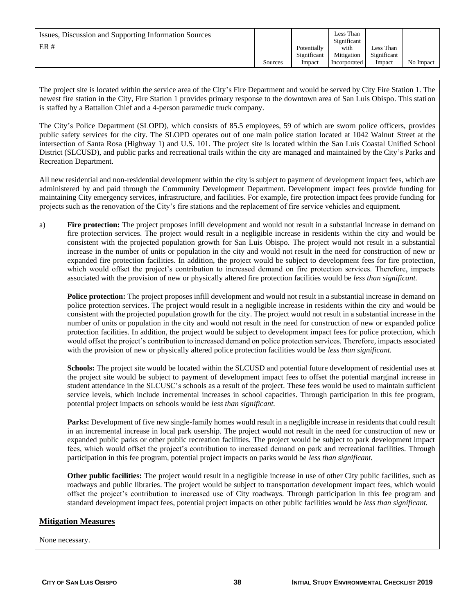| Issues, Discussion and Supporting Information Sources<br>ER# |         | Potentially<br>Significant | Less Than<br>Significant<br>with<br>Mitigation | Less Than<br>Significant |           |
|--------------------------------------------------------------|---------|----------------------------|------------------------------------------------|--------------------------|-----------|
|                                                              | Sources | Impact                     | Incorporated                                   | Impact                   | No Impact |

The project site is located within the service area of the City's Fire Department and would be served by City Fire Station 1. The newest fire station in the City, Fire Station 1 provides primary response to the downtown area of San Luis Obispo. This station is staffed by a Battalion Chief and a 4-person paramedic truck company.

The City's Police Department (SLOPD), which consists of 85.5 employees, 59 of which are sworn police officers, provides public safety services for the city. The SLOPD operates out of one main police station located at 1042 Walnut Street at the intersection of Santa Rosa (Highway 1) and U.S. 101. The project site is located within the San Luis Coastal Unified School District (SLCUSD), and public parks and recreational trails within the city are managed and maintained by the City's Parks and Recreation Department.

All new residential and non-residential development within the city is subject to payment of development impact fees, which are administered by and paid through the Community Development Department. Development impact fees provide funding for maintaining City emergency services, infrastructure, and facilities. For example, fire protection impact fees provide funding for projects such as the renovation of the City's fire stations and the replacement of fire service vehicles and equipment.

a) **Fire protection:** The project proposes infill development and would not result in a substantial increase in demand on fire protection services. The project would result in a negligible increase in residents within the city and would be consistent with the projected population growth for San Luis Obispo. The project would not result in a substantial increase in the number of units or population in the city and would not result in the need for construction of new or expanded fire protection facilities. In addition, the project would be subject to development fees for fire protection, which would offset the project's contribution to increased demand on fire protection services. Therefore, impacts associated with the provision of new or physically altered fire protection facilities would be *less than significant.*

**Police protection:** The project proposes infill development and would not result in a substantial increase in demand on police protection services. The project would result in a negligible increase in residents within the city and would be consistent with the projected population growth for the city. The project would not result in a substantial increase in the number of units or population in the city and would not result in the need for construction of new or expanded police protection facilities. In addition, the project would be subject to development impact fees for police protection, which would offset the project's contribution to increased demand on police protection services. Therefore, impacts associated with the provision of new or physically altered police protection facilities would be *less than significant.*

**Schools:** The project site would be located within the SLCUSD and potential future development of residential uses at the project site would be subject to payment of development impact fees to offset the potential marginal increase in student attendance in the SLCUSC's schools as a result of the project. These fees would be used to maintain sufficient service levels, which include incremental increases in school capacities. Through participation in this fee program, potential project impacts on schools would be *less than significant.*

Parks: Development of five new single-family homes would result in a negligible increase in residents that could result in an incremental increase in local park usership. The project would not result in the need for construction of new or expanded public parks or other public recreation facilities. The project would be subject to park development impact fees, which would offset the project's contribution to increased demand on park and recreational facilities. Through participation in this fee program, potential project impacts on parks would be *less than significant.*

**Other public facilities:** The project would result in a negligible increase in use of other City public facilities, such as roadways and public libraries. The project would be subject to transportation development impact fees, which would offset the project's contribution to increased use of City roadways. Through participation in this fee program and standard development impact fees, potential project impacts on other public facilities would be *less than significant.*

#### **Mitigation Measures**

None necessary.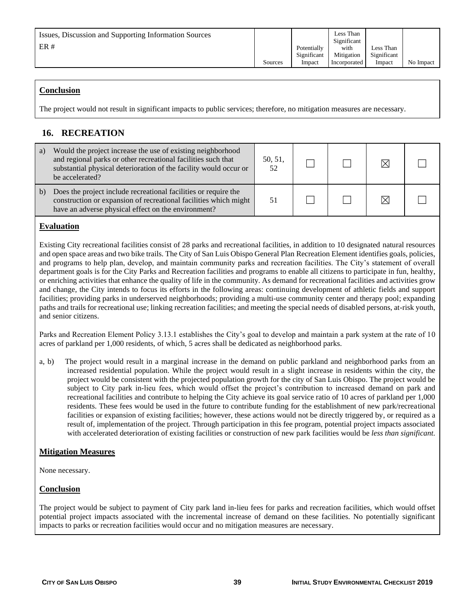| Issues, Discussion and Supporting Information Sources<br>ER# | Sources | Potentially<br>Significant<br>Impact | Less Than<br>Significant<br>with<br>Mitigation<br>Incorporated | Less Than<br>Significant<br>Impact | No Impact |
|--------------------------------------------------------------|---------|--------------------------------------|----------------------------------------------------------------|------------------------------------|-----------|
|--------------------------------------------------------------|---------|--------------------------------------|----------------------------------------------------------------|------------------------------------|-----------|

### **Conclusion**

The project would not result in significant impacts to public services; therefore, no mitigation measures are necessary.

# **16. RECREATION**

| a) | Would the project increase the use of existing neighborhood<br>and regional parks or other recreational facilities such that<br>substantial physical deterioration of the facility would occur or<br>be accelerated? | 50, 51,<br>52 |  |  |
|----|----------------------------------------------------------------------------------------------------------------------------------------------------------------------------------------------------------------------|---------------|--|--|
| b) | Does the project include recreational facilities or require the<br>construction or expansion of recreational facilities which might<br>have an adverse physical effect on the environment?                           |               |  |  |

### **Evaluation**

Existing City recreational facilities consist of 28 parks and recreational facilities, in addition to 10 designated natural resources and open space areas and two bike trails. The City of San Luis Obispo General Plan Recreation Element identifies goals, policies, and programs to help plan, develop, and maintain community parks and recreation facilities. The City's statement of overall department goals is for the City Parks and Recreation facilities and programs to enable all citizens to participate in fun, healthy, or enriching activities that enhance the quality of life in the community. As demand for recreational facilities and activities grow and change, the City intends to focus its efforts in the following areas: continuing development of athletic fields and support facilities; providing parks in underserved neighborhoods; providing a multi-use community center and therapy pool; expanding paths and trails for recreational use; linking recreation facilities; and meeting the special needs of disabled persons, at-risk youth, and senior citizens.

Parks and Recreation Element Policy 3.13.1 establishes the City's goal to develop and maintain a park system at the rate of 10 acres of parkland per 1,000 residents, of which, 5 acres shall be dedicated as neighborhood parks.

a, b) The project would result in a marginal increase in the demand on public parkland and neighborhood parks from an increased residential population. While the project would result in a slight increase in residents within the city, the project would be consistent with the projected population growth for the city of San Luis Obispo. The project would be subject to City park in-lieu fees, which would offset the project's contribution to increased demand on park and recreational facilities and contribute to helping the City achieve its goal service ratio of 10 acres of parkland per 1,000 residents. These fees would be used in the future to contribute funding for the establishment of new park/recreational facilities or expansion of existing facilities; however, these actions would not be directly triggered by, or required as a result of, implementation of the project. Through participation in this fee program, potential project impacts associated with accelerated deterioration of existing facilities or construction of new park facilities would be *less than significant.*

#### **Mitigation Measures**

None necessary.

#### **Conclusion**

The project would be subject to payment of City park land in-lieu fees for parks and recreation facilities, which would offset potential project impacts associated with the incremental increase of demand on these facilities. No potentially significant impacts to parks or recreation facilities would occur and no mitigation measures are necessary.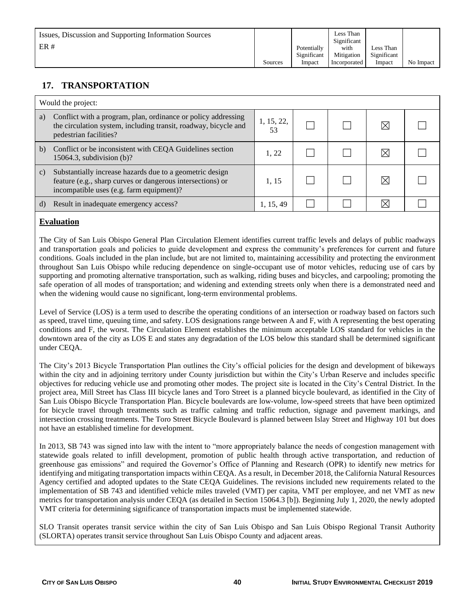| Issues, Discussion and Supporting Information Sources<br>ER# |         | Potentially<br>Significant | Less Than<br>Significant<br>with<br>Mitigation | Less Than<br>Significant |           |
|--------------------------------------------------------------|---------|----------------------------|------------------------------------------------|--------------------------|-----------|
|                                                              | Sources | Impact                     | Incorporated                                   | Impact                   | No Impact |

# **17. TRANSPORTATION**

|              | Would the project:                                                                                                                                                 |                  |  |  |
|--------------|--------------------------------------------------------------------------------------------------------------------------------------------------------------------|------------------|--|--|
| a)           | Conflict with a program, plan, ordinance or policy addressing<br>the circulation system, including transit, roadway, bicycle and<br>pedestrian facilities?         | 1, 15, 22,<br>53 |  |  |
| b)           | Conflict or be inconsistent with CEQA Guidelines section<br>15064.3, subdivision $(b)$ ?                                                                           | 1.22             |  |  |
| $\mathbf{c}$ | Substantially increase hazards due to a geometric design<br>feature (e.g., sharp curves or dangerous intersections) or<br>incompatible uses (e.g. farm equipment)? | 1.15             |  |  |
| d)           | Result in inadequate emergency access?                                                                                                                             | 1, 15, 49        |  |  |

### **Evaluation**

The City of San Luis Obispo General Plan Circulation Element identifies current traffic levels and delays of public roadways and transportation goals and policies to guide development and express the community's preferences for current and future conditions. Goals included in the plan include, but are not limited to, maintaining accessibility and protecting the environment throughout San Luis Obispo while reducing dependence on single-occupant use of motor vehicles, reducing use of cars by supporting and promoting alternative transportation, such as walking, riding buses and bicycles, and carpooling; promoting the safe operation of all modes of transportation; and widening and extending streets only when there is a demonstrated need and when the widening would cause no significant, long-term environmental problems.

Level of Service (LOS) is a term used to describe the operating conditions of an intersection or roadway based on factors such as speed, travel time, queuing time, and safety. LOS designations range between A and F, with A representing the best operating conditions and F, the worst. The Circulation Element establishes the minimum acceptable LOS standard for vehicles in the downtown area of the city as LOS E and states any degradation of the LOS below this standard shall be determined significant under CEQA.

The City's 2013 Bicycle Transportation Plan outlines the City's official policies for the design and development of bikeways within the city and in adjoining territory under County jurisdiction but within the City's Urban Reserve and includes specific objectives for reducing vehicle use and promoting other modes. The project site is located in the City's Central District. In the project area, Mill Street has Class III bicycle lanes and Toro Street is a planned bicycle boulevard, as identified in the City of San Luis Obispo Bicycle Transportation Plan. Bicycle boulevards are low-volume, low-speed streets that have been optimized for bicycle travel through treatments such as traffic calming and traffic reduction, signage and pavement markings, and intersection crossing treatments. The Toro Street Bicycle Boulevard is planned between Islay Street and Highway 101 but does not have an established timeline for development.

In 2013, SB 743 was signed into law with the intent to "more appropriately balance the needs of congestion management with statewide goals related to infill development, promotion of public health through active transportation, and reduction of greenhouse gas emissions" and required the Governor's Office of Planning and Research (OPR) to identify new metrics for identifying and mitigating transportation impacts within CEQA. As a result, in December 2018, the California Natural Resources Agency certified and adopted updates to the State CEQA Guidelines. The revisions included new requirements related to the implementation of SB 743 and identified vehicle miles traveled (VMT) per capita, VMT per employee, and net VMT as new metrics for transportation analysis under CEQA (as detailed in Section 15064.3 [b]). Beginning July 1, 2020, the newly adopted VMT criteria for determining significance of transportation impacts must be implemented statewide.

SLO Transit operates transit service within the city of San Luis Obispo and San Luis Obispo Regional Transit Authority (SLORTA) operates transit service throughout San Luis Obispo County and adjacent areas.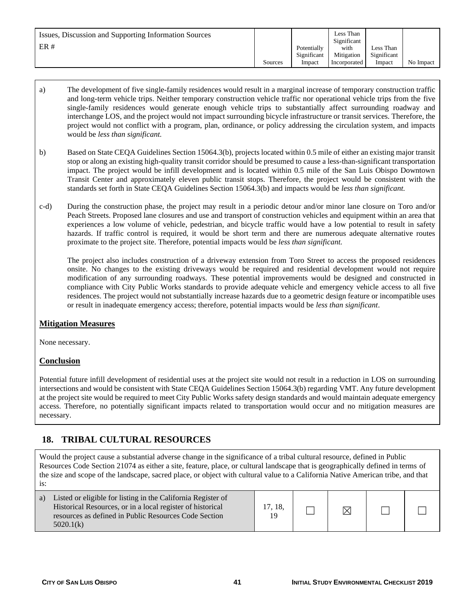| Issues, Discussion and Supporting Information Sources<br>ER# | Sources | Potentially<br>Significant<br>Impact | Less Than<br>Significant<br>with<br>Mitigation<br>Incorporated | Less Than<br>Significant<br>Impact | No Impact |
|--------------------------------------------------------------|---------|--------------------------------------|----------------------------------------------------------------|------------------------------------|-----------|
|--------------------------------------------------------------|---------|--------------------------------------|----------------------------------------------------------------|------------------------------------|-----------|

- a) The development of five single-family residences would result in a marginal increase of temporary construction traffic and long-term vehicle trips. Neither temporary construction vehicle traffic nor operational vehicle trips from the five single-family residences would generate enough vehicle trips to substantially affect surrounding roadway and interchange LOS, and the project would not impact surrounding bicycle infrastructure or transit services. Therefore, the project would not conflict with a program, plan, ordinance, or policy addressing the circulation system, and impacts would be *less than significant.*
- b) Based on State CEQA Guidelines Section 15064.3(b), projects located within 0.5 mile of either an existing major transit stop or along an existing high-quality transit corridor should be presumed to cause a less-than-significant transportation impact. The project would be infill development and is located within 0.5 mile of the San Luis Obispo Downtown Transit Center and approximately eleven public transit stops. Therefore, the project would be consistent with the standards set forth in State CEQA Guidelines Section 15064.3(b) and impacts would be *less than significant.*
- c-d) During the construction phase, the project may result in a periodic detour and/or minor lane closure on Toro and/or Peach Streets. Proposed lane closures and use and transport of construction vehicles and equipment within an area that experiences a low volume of vehicle, pedestrian, and bicycle traffic would have a low potential to result in safety hazards. If traffic control is required, it would be short term and there are numerous adequate alternative routes proximate to the project site. Therefore, potential impacts would be *less than significant.*

The project also includes construction of a driveway extension from Toro Street to access the proposed residences onsite. No changes to the existing driveways would be required and residential development would not require modification of any surrounding roadways. These potential improvements would be designed and constructed in compliance with City Public Works standards to provide adequate vehicle and emergency vehicle access to all five residences. The project would not substantially increase hazards due to a geometric design feature or incompatible uses or result in inadequate emergency access; therefore, potential impacts would be *less than significant*.

## **Mitigation Measures**

None necessary.

#### **Conclusion**

Potential future infill development of residential uses at the project site would not result in a reduction in LOS on surrounding intersections and would be consistent with State CEQA Guidelines Section 15064.3(b) regarding VMT. Any future development at the project site would be required to meet City Public Works safety design standards and would maintain adequate emergency access. Therefore, no potentially significant impacts related to transportation would occur and no mitigation measures are necessary.

# **18. TRIBAL CULTURAL RESOURCES**

Would the project cause a substantial adverse change in the significance of a tribal cultural resource, defined in Public Resources Code Section 21074 as either a site, feature, place, or cultural landscape that is geographically defined in terms of the size and scope of the landscape, sacred place, or object with cultural value to a California Native American tribe, and that is:

| Listed or eligible for listing in the California Register of<br>a)<br>Historical Resources, or in a local register of historical<br>resources as defined in Public Resources Code Section<br>5020.1(k) | 17, 18,<br>19 |  |  |  |  |
|--------------------------------------------------------------------------------------------------------------------------------------------------------------------------------------------------------|---------------|--|--|--|--|
|--------------------------------------------------------------------------------------------------------------------------------------------------------------------------------------------------------|---------------|--|--|--|--|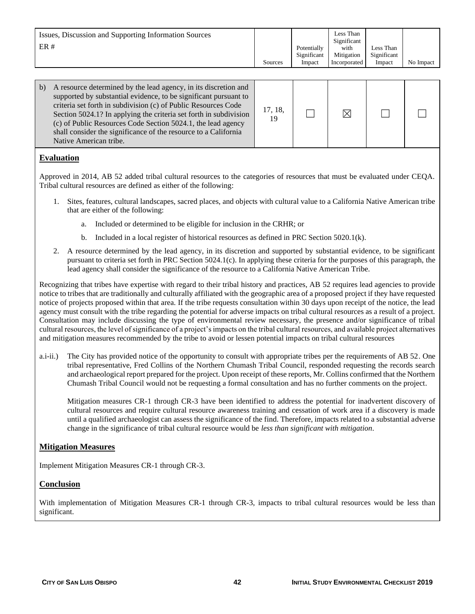| Issues, Discussion and Supporting Information Sources<br>ER# |         | Potentially | Less Than<br>Significant<br>with | Less Than   |           |
|--------------------------------------------------------------|---------|-------------|----------------------------------|-------------|-----------|
|                                                              |         | Significant | Mitigation                       | Significant |           |
|                                                              | Sources | Impact      | Incorporated                     | Impact      | No Impact |

| A resource determined by the lead agency, in its discretion and<br>b)<br>supported by substantial evidence, to be significant pursuant to<br>criteria set forth in subdivision (c) of Public Resources Code<br>Section 5024.1? In applying the criteria set forth in subdivision<br>(c) of Public Resources Code Section 5024.1, the lead agency<br>shall consider the significance of the resource to a California<br>Native American tribe. | 17, 18,<br>19 |  |  |  |  |
|-----------------------------------------------------------------------------------------------------------------------------------------------------------------------------------------------------------------------------------------------------------------------------------------------------------------------------------------------------------------------------------------------------------------------------------------------|---------------|--|--|--|--|
|-----------------------------------------------------------------------------------------------------------------------------------------------------------------------------------------------------------------------------------------------------------------------------------------------------------------------------------------------------------------------------------------------------------------------------------------------|---------------|--|--|--|--|

### **Evaluation**

Approved in 2014, AB 52 added tribal cultural resources to the categories of resources that must be evaluated under CEQA. Tribal cultural resources are defined as either of the following:

- 1. Sites, features, cultural landscapes, sacred places, and objects with cultural value to a California Native American tribe that are either of the following:
	- a. Included or determined to be eligible for inclusion in the CRHR; or
	- b. Included in a local register of historical resources as defined in PRC Section 5020.1(k).
- 2. A resource determined by the lead agency, in its discretion and supported by substantial evidence, to be significant pursuant to criteria set forth in PRC Section 5024.1(c). In applying these criteria for the purposes of this paragraph, the lead agency shall consider the significance of the resource to a California Native American Tribe.

Recognizing that tribes have expertise with regard to their tribal history and practices, AB 52 requires lead agencies to provide notice to tribes that are traditionally and culturally affiliated with the geographic area of a proposed project if they have requested notice of projects proposed within that area. If the tribe requests consultation within 30 days upon receipt of the notice, the lead agency must consult with the tribe regarding the potential for adverse impacts on tribal cultural resources as a result of a project. Consultation may include discussing the type of environmental review necessary, the presence and/or significance of tribal cultural resources, the level of significance of a project's impacts on the tribal cultural resources, and available project alternatives and mitigation measures recommended by the tribe to avoid or lessen potential impacts on tribal cultural resources

a.i-ii.) The City has provided notice of the opportunity to consult with appropriate tribes per the requirements of AB 52. One tribal representative, Fred Collins of the Northern Chumash Tribal Council, responded requesting the records search and archaeological report prepared for the project. Upon receipt of these reports, Mr. Collins confirmed that the Northern Chumash Tribal Council would not be requesting a formal consultation and has no further comments on the project.

Mitigation measures CR-1 through CR-3 have been identified to address the potential for inadvertent discovery of cultural resources and require cultural resource awareness training and cessation of work area if a discovery is made until a qualified archaeologist can assess the significance of the find. Therefore, impacts related to a substantial adverse change in the significance of tribal cultural resource would be *less than significant with mitigation.*

#### **Mitigation Measures**

Implement Mitigation Measures CR-1 through CR-3.

#### **Conclusion**

With implementation of Mitigation Measures CR-1 through CR-3, impacts to tribal cultural resources would be less than significant.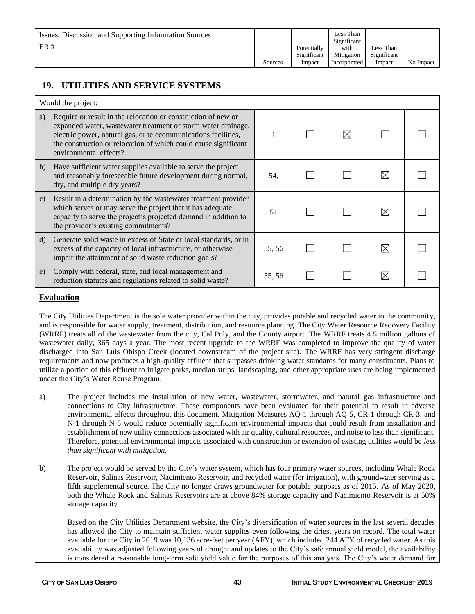| Issues, Discussion and Supporting Information Sources<br>ER# |         | Potentially<br>Significant | Less Than<br>Significant<br>with<br>Mitigation | Less Than<br>Significant |           |
|--------------------------------------------------------------|---------|----------------------------|------------------------------------------------|--------------------------|-----------|
|                                                              | Sources | Impact                     | Incorporated                                   | Impact                   | No Impact |

# **19. UTILITIES AND SERVICE SYSTEMS**

|    | Would the project:                                                                                                                                                                                                                                                                             |        |           |    |  |
|----|------------------------------------------------------------------------------------------------------------------------------------------------------------------------------------------------------------------------------------------------------------------------------------------------|--------|-----------|----|--|
| a) | Require or result in the relocation or construction of new or<br>expanded water, was tewater treatment or storm water drainage,<br>electric power, natural gas, or telecommunications facilities,<br>the construction or relocation of which could cause significant<br>environmental effects? |        | $\bowtie$ |    |  |
| b) | Have sufficient water supplies available to serve the project<br>and reasonably foreseeable future development during normal,<br>dry, and multiple dry years?                                                                                                                                  | 54.    |           |    |  |
| C) | Result in a determination by the wastewater treatment provider<br>which serves or may serve the project that it has adequate<br>capacity to serve the project's projected demand in addition to<br>the provider's existing commitments?                                                        | 51     |           | IX |  |
| d) | Generate solid waste in excess of State or local standards, or in<br>excess of the capacity of local infrastructure, or otherwise<br>impair the attainment of solid waste reduction goals?                                                                                                     | 55, 56 |           |    |  |
| e) | Comply with federal, state, and local management and<br>reduction statutes and regulations related to solid waste?                                                                                                                                                                             | 55, 56 |           | ⋉  |  |

#### **Evaluation**

The City Utilities Department is the sole water provider within the city, provides potable and recycled water to the community, and is responsible for water supply, treatment, distribution, and resource planning. The City Water Resource Recovery Facility (WRRF) treats all of the wastewater from the city, Cal Poly, and the County airport. The WRRF treats 4.5 million gallons of wastewater daily, 365 days a year. The most recent upgrade to the WRRF was completed to improve the quality of water discharged into San Luis Obispo Creek (located downstream of the project site). The WRRF has very stringent discharge requirements and now produces a high-quality effluent that surpasses drinking water standards for many constituents. Plans to utilize a portion of this effluent to irrigate parks, median strips, landscaping, and other appropriate uses are being implemented under the City's Water Reuse Program.

- a) The project includes the installation of new water, wastewater, stormwater, and natural gas infrastructure and connections to City infrastructure. These components have been evaluated for their potential to result in adverse environmental effects throughout this document. Mitigation Measures AQ-1 through AQ-5, CR-1 through CR-3, and N-1 through N-5 would reduce potentially significant environmental impacts that could result from installation and establishment of new utility connections associated with air quality, cultural resources, and noise to less than significant. Therefore, potential environmental impacts associated with construction or extension of existing utilities would be *less than significant with mitigation.*
- b) The project would be served by the City's water system, which has four primary water sources, including Whale Rock Reservoir, Salinas Reservoir, Nacimiento Reservoir, and recycled water (for irrigation), with groundwater serving as a fifth supplemental source. The City no longer draws groundwater for potable purposes as of 2015. As of May 2020, both the Whale Rock and Salinas Reservoirs are at above 84% storage capacity and Nacimiento Reservoir is at 50% storage capacity.

Based on the City Utilities Department website, the City's diversification of water sources in the last several decades has allowed the City to maintain sufficient water supplies even following the driest years on record. The total water available for the City in 2019 was 10,136 acre-feet per year (AFY), which included 244 AFY of recycled water. As this availability was adjusted following years of drought and updates to the City's safe annual yield model, the availability is considered a reasonable long-term safe yield value for the purposes of this analysis. The City's water demand for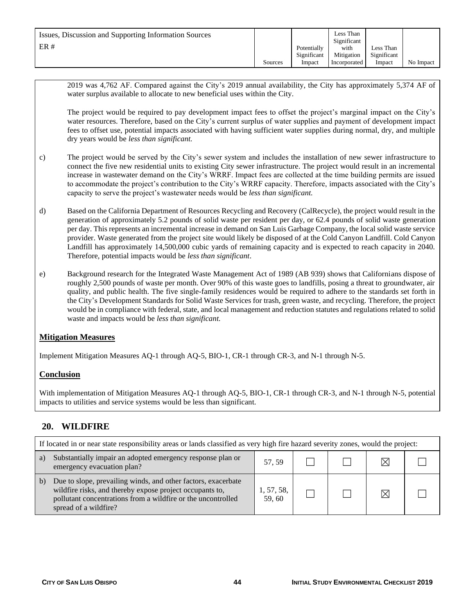| Issues, Discussion and Supporting Information Sources |         |             | Less Than<br>Significant |             |           |
|-------------------------------------------------------|---------|-------------|--------------------------|-------------|-----------|
| ER#                                                   |         | Potentially | with                     | Less Than   |           |
|                                                       |         | Significant | Mitigation               | Significant |           |
|                                                       | Sources | Impact      | Incorporated             | Impact      | No Impact |

2019 was 4,762 AF. Compared against the City's 2019 annual availability, the City has approximately 5,374 AF of water surplus available to allocate to new beneficial uses within the City.

The project would be required to pay development impact fees to offset the project's marginal impact on the City's water resources. Therefore, based on the City's current surplus of water supplies and payment of development impact fees to offset use, potential impacts associated with having sufficient water supplies during normal, dry, and multiple dry years would be *less than significant.*

- c) The project would be served by the City's sewer system and includes the installation of new sewer infrastructure to connect the five new residential units to existing City sewer infrastructure. The project would result in an incremental increase in wastewater demand on the City's WRRF. Impact fees are collected at the time building permits are issued to accommodate the project's contribution to the City's WRRF capacity. Therefore, impacts associated with the City's capacity to serve the project's wastewater needs would be *less than significant.*
- d) Based on the California Department of Resources Recycling and Recovery (CalRecycle), the project would result in the generation of approximately 5.2 pounds of solid waste per resident per day, or 62.4 pounds of solid waste generation per day. This represents an incremental increase in demand on San Luis Garbage Company, the local solid waste service provider. Waste generated from the project site would likely be disposed of at the Cold Canyon Landfill. Cold Canyon Landfill has approximately 14,500,000 cubic yards of remaining capacity and is expected to reach capacity in 2040. Therefore, potential impacts would be *less than significant*.
- e) Background research for the Integrated Waste Management Act of 1989 (AB 939) shows that Californians dispose of roughly 2,500 pounds of waste per month. Over 90% of this waste goes to landfills, posing a threat to groundwater, air quality, and public health. The five single-family residences would be required to adhere to the standards set forth in the City's Development Standards for Solid Waste Services for trash, green waste, and recycling. Therefore, the project would be in compliance with federal, state, and local management and reduction statutes and regulations related to solid waste and impacts would be *less than significant.*

#### **Mitigation Measures**

Implement Mitigation Measures AQ-1 through AQ-5, BIO-1, CR-1 through CR-3, and N-1 through N-5.

#### **Conclusion**

With implementation of Mitigation Measures AQ-1 through AQ-5, BIO-1, CR-1 through CR-3, and N-1 through N-5, potential impacts to utilities and service systems would be less than significant.

## **20. WILDFIRE**

|    | If located in or near state responsibility areas or lands classified as very high fire hazard severity zones, would the project:                                                                                   |                     |  |  |  |  |
|----|--------------------------------------------------------------------------------------------------------------------------------------------------------------------------------------------------------------------|---------------------|--|--|--|--|
| a) | Substantially impair an adopted emergency response plan or<br>emergency evacuation plan?                                                                                                                           | 57, 59              |  |  |  |  |
| b) | Due to slope, prevailing winds, and other factors, exacerbate<br>wildfire risks, and thereby expose project occupants to,<br>pollutant concentrations from a wildfire or the uncontrolled<br>spread of a wildfire? | 1, 57, 58,<br>59,60 |  |  |  |  |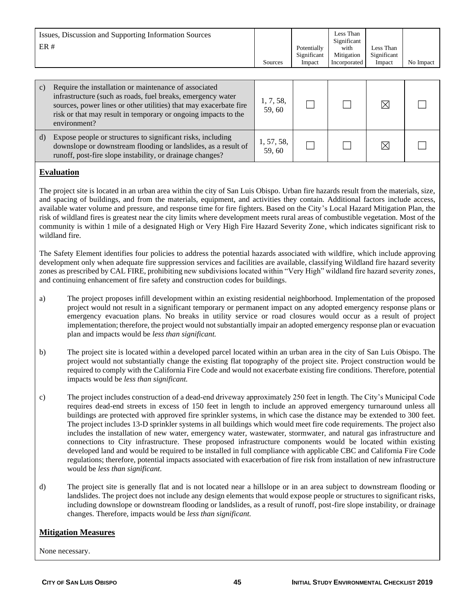| Issues, Discussion and Supporting Information Sources<br>ER# |         |             | Less Than<br>Significant |             |           |
|--------------------------------------------------------------|---------|-------------|--------------------------|-------------|-----------|
|                                                              |         | Potentially | with                     | Less Than   |           |
|                                                              |         | Significant | Mitigation               | Significant |           |
|                                                              | Sources | Impact      | Incorporated             | Impact      | No Impact |

| C) | Require the installation or maintenance of associated<br>infrastructure (such as roads, fuel breaks, emergency water<br>sources, power lines or other utilities) that may exacerbate fire<br>risk or that may result in temporary or ongoing impacts to the<br>environment? | 1, 7, 58,<br>59,60  |  |  |
|----|-----------------------------------------------------------------------------------------------------------------------------------------------------------------------------------------------------------------------------------------------------------------------------|---------------------|--|--|
| d) | Expose people or structures to significant risks, including<br>downslope or downstream flooding or landslides, as a result of<br>runoff, post-fire slope instability, or drainage changes?                                                                                  | 1, 57, 58,<br>59,60 |  |  |

#### **Evaluation**

The project site is located in an urban area within the city of San Luis Obispo. Urban fire hazards result from the materials, size, and spacing of buildings, and from the materials, equipment, and activities they contain. Additional factors include access, available water volume and pressure, and response time for fire fighters. Based on the City's Local Hazard Mitigation Plan, the risk of wildland fires is greatest near the city limits where development meets rural areas of combustible vegetation. Most of the community is within 1 mile of a designated High or Very High Fire Hazard Severity Zone, which indicates significant risk to wildland fire.

The Safety Element identifies four policies to address the potential hazards associated with wildfire, which include approving development only when adequate fire suppression services and facilities are available, classifying Wildland fire hazard severity zones as prescribed by CAL FIRE, prohibiting new subdivisions located within "Very High" wildland fire hazard severity zones, and continuing enhancement of fire safety and construction codes for buildings.

- a) The project proposes infill development within an existing residential neighborhood. Implementation of the proposed project would not result in a significant temporary or permanent impact on any adopted emergency response plans or emergency evacuation plans. No breaks in utility service or road closures would occur as a result of project implementation; therefore, the project would not substantially impair an adopted emergency response plan or evacuation plan and impacts would be *less than significant.*
- b) The project site is located within a developed parcel located within an urban area in the city of San Luis Obispo. The project would not substantially change the existing flat topography of the project site. Project construction would be required to comply with the California Fire Code and would not exacerbate existing fire conditions. Therefore, potential impacts would be *less than significant.*
- c) The project includes construction of a dead-end driveway approximately 250 feet in length. The City's Municipal Code requires dead-end streets in excess of 150 feet in length to include an approved emergency turnaround unless all buildings are protected with approved fire sprinkler systems, in which case the distance may be extended to 300 feet. The project includes 13-D sprinkler systems in all buildings which would meet fire code requirements. The project also includes the installation of new water, emergency water, wastewater, stormwater, and natural gas infrastructure and connections to City infrastructure. These proposed infrastructure components would be located within existing developed land and would be required to be installed in full compliance with applicable CBC and California Fire Code regulations; therefore, potential impacts associated with exacerbation of fire risk from installation of new infrastructure would be *less than significant.*
- d) The project site is generally flat and is not located near a hillslope or in an area subject to downstream flooding or landslides. The project does not include any design elements that would expose people or structures to significant risks, including downslope or downstream flooding or landslides, as a result of runoff, post-fire slope instability, or drainage changes. Therefore, impacts would be *less than significant.*

#### **Mitigation Measures**

None necessary.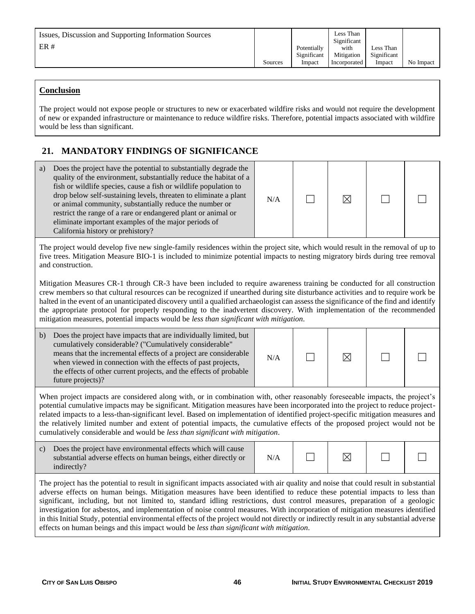| Issues, Discussion and Supporting Information Sources<br>ER# | Sources | Potentially<br>Significant<br>Impact | Less Than<br>Significant<br>with<br>Mitigation<br>Incorporated | Less Than<br>Significant<br>Impact | No Impact |
|--------------------------------------------------------------|---------|--------------------------------------|----------------------------------------------------------------|------------------------------------|-----------|
|--------------------------------------------------------------|---------|--------------------------------------|----------------------------------------------------------------|------------------------------------|-----------|

### **Conclusion**

The project would not expose people or structures to new or exacerbated wildfire risks and would not require the development of new or expanded infrastructure or maintenance to reduce wildfire risks. Therefore, potential impacts associated with wildfire would be less than significant.

# **21. MANDATORY FINDINGS OF SIGNIFICANCE**

| Does the project have the potential to substantially degrade the<br>a)<br>quality of the environment, substantially reduce the habitat of a<br>fish or wildlife species, cause a fish or wildlife population to<br>drop below self-sustaining levels, threaten to eliminate a plant<br>or animal community, substantially reduce the number or<br>restrict the range of a rare or endangered plant or animal or<br>eliminate important examples of the major periods of<br>California history or prehistory?                                                                                                                                                                                                                                                             | N/A |  | ⊠ |  |  |
|--------------------------------------------------------------------------------------------------------------------------------------------------------------------------------------------------------------------------------------------------------------------------------------------------------------------------------------------------------------------------------------------------------------------------------------------------------------------------------------------------------------------------------------------------------------------------------------------------------------------------------------------------------------------------------------------------------------------------------------------------------------------------|-----|--|---|--|--|
| The project would develop five new single-family residences within the project site, which would result in the removal of up to<br>five trees. Mitigation Measure BIO-1 is included to minimize potential impacts to nesting migratory birds during tree removal<br>and construction.                                                                                                                                                                                                                                                                                                                                                                                                                                                                                    |     |  |   |  |  |
| Mitigation Measures CR-1 through CR-3 have been included to require awareness training be conducted for all construction<br>crew members so that cultural resources can be recognized if unearthed during site disturbance activities and to require work be<br>halted in the event of an unanticipated discovery until a qualified archaeologist can assess the significance of the find and identify<br>the appropriate protocol for properly responding to the inadvertent discovery. With implementation of the recommended<br>mitigation measures, potential impacts would be less than significant with mitigation.                                                                                                                                                |     |  |   |  |  |
| Does the project have impacts that are individually limited, but<br>b)<br>cumulatively considerable? ("Cumulatively considerable"<br>means that the incremental effects of a project are considerable<br>when viewed in connection with the effects of past projects,<br>the effects of other current projects, and the effects of probable<br>future projects)?                                                                                                                                                                                                                                                                                                                                                                                                         | N/A |  | ⊠ |  |  |
| When project impacts are considered along with, or in combination with, other reasonably foreseeable impacts, the project's<br>potential cumulative impacts may be significant. Mitigation measures have been incorporated into the project to reduce project-<br>related impacts to a less-than-significant level. Based on implementation of identified project-specific mitigation measures and<br>the relatively limited number and extent of potential impacts, the cumulative effects of the proposed project would not be<br>cumulatively considerable and would be less than significant with mitigation.                                                                                                                                                        |     |  |   |  |  |
| $\mathbf{c})$<br>Does the project have environmental effects which will cause<br>substantial adverse effects on human beings, either directly or<br>indirectly?                                                                                                                                                                                                                                                                                                                                                                                                                                                                                                                                                                                                          | N/A |  | ⊠ |  |  |
| The project has the potential to result in significant impacts associated with air quality and noise that could result in substantial<br>adverse effects on human beings. Mitigation measures have been identified to reduce these potential impacts to less than<br>significant, including, but not limited to, standard idling restrictions, dust control measures, preparation of a geologic<br>investigation for asbestos, and implementation of noise control measures. With incorporation of mitigation measures identified<br>in this Initial Study, potential environmental effects of the project would not directly or indirectly result in any substantial adverse<br>effects on human beings and this impact would be less than significant with mitigation. |     |  |   |  |  |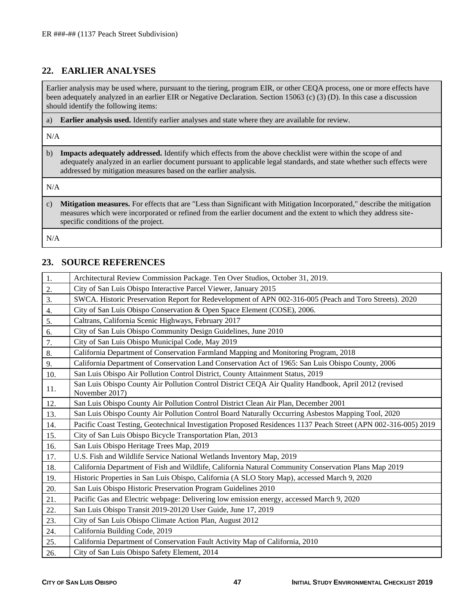# **22. EARLIER ANALYSES**

Earlier analysis may be used where, pursuant to the tiering, program EIR, or other CEQA process, one or more effects have been adequately analyzed in an earlier EIR or Negative Declaration. Section 15063 (c) (3) (D). In this case a discussion should identify the following items:

a) **Earlier analysis used.** Identify earlier analyses and state where they are available for review.

N/A

b) **Impacts adequately addressed.** Identify which effects from the above checklist were within the scope of and adequately analyzed in an earlier document pursuant to applicable legal standards, and state whether such effects were addressed by mitigation measures based on the earlier analysis.

N/A

c) **Mitigation measures.** For effects that are "Less than Significant with Mitigation Incorporated," describe the mitigation measures which were incorporated or refined from the earlier document and the extent to which they address sitespecific conditions of the project.

N/A

# **23. SOURCE REFERENCES**

| 1.  | Architectural Review Commission Package. Ten Over Studios, October 31, 2019.                                           |
|-----|------------------------------------------------------------------------------------------------------------------------|
| 2.  | City of San Luis Obispo Interactive Parcel Viewer, January 2015                                                        |
| 3.  | SWCA. Historic Preservation Report for Redevelopment of APN 002-316-005 (Peach and Toro Streets). 2020                 |
| 4.  | City of San Luis Obispo Conservation & Open Space Element (COSE), 2006.                                                |
| 5.  | Caltrans, California Scenic Highways, February 2017                                                                    |
| 6.  | City of San Luis Obispo Community Design Guidelines, June 2010                                                         |
| 7.  | City of San Luis Obispo Municipal Code, May 2019                                                                       |
| 8.  | California Department of Conservation Farmland Mapping and Monitoring Program, 2018                                    |
| 9.  | California Department of Conservation Land Conservation Act of 1965: San Luis Obispo County, 2006                      |
| 10. | San Luis Obispo Air Pollution Control District, County Attainment Status, 2019                                         |
| 11. | San Luis Obispo County Air Pollution Control District CEQA Air Quality Handbook, April 2012 (revised<br>November 2017) |
| 12. | San Luis Obispo County Air Pollution Control District Clean Air Plan, December 2001                                    |
| 13. | San Luis Obispo County Air Pollution Control Board Naturally Occurring Asbestos Mapping Tool, 2020                     |
| 14. | Pacific Coast Testing, Geotechnical Investigation Proposed Residences 1137 Peach Street (APN 002-316-005) 2019         |
| 15. | City of San Luis Obispo Bicycle Transportation Plan, 2013                                                              |
| 16. | San Luis Obispo Heritage Trees Map, 2019                                                                               |
| 17. | U.S. Fish and Wildlife Service National Wetlands Inventory Map, 2019                                                   |
| 18. | California Department of Fish and Wildlife, California Natural Community Conservation Plans Map 2019                   |
| 19. | Historic Properties in San Luis Obispo, California (A SLO Story Map), accessed March 9, 2020                           |
| 20. | San Luis Obispo Historic Preservation Program Guidelines 2010                                                          |
| 21. | Pacific Gas and Electric webpage: Delivering low emission energy, accessed March 9, 2020                               |
| 22. | San Luis Obispo Transit 2019-20120 User Guide, June 17, 2019                                                           |
| 23. | City of San Luis Obispo Climate Action Plan, August 2012                                                               |
| 24. | California Building Code, 2019                                                                                         |
| 25. | California Department of Conservation Fault Activity Map of California, 2010                                           |
| 26. | City of San Luis Obispo Safety Element, 2014                                                                           |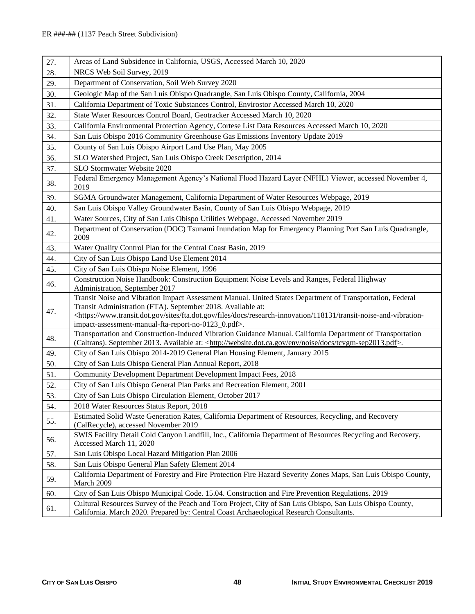| 27. | Areas of Land Subsidence in California, USGS, Accessed March 10, 2020                                                                                                                                                                                                                                                                                                                   |
|-----|-----------------------------------------------------------------------------------------------------------------------------------------------------------------------------------------------------------------------------------------------------------------------------------------------------------------------------------------------------------------------------------------|
| 28. | NRCS Web Soil Survey, 2019                                                                                                                                                                                                                                                                                                                                                              |
| 29. | Department of Conservation, Soil Web Survey 2020                                                                                                                                                                                                                                                                                                                                        |
| 30. | Geologic Map of the San Luis Obispo Quadrangle, San Luis Obispo County, California, 2004                                                                                                                                                                                                                                                                                                |
| 31. | California Department of Toxic Substances Control, Envirostor Accessed March 10, 2020                                                                                                                                                                                                                                                                                                   |
| 32. | State Water Resources Control Board, Geotracker Accessed March 10, 2020                                                                                                                                                                                                                                                                                                                 |
| 33. | California Environmental Protection Agency, Cortese List Data Resources Accessed March 10, 2020                                                                                                                                                                                                                                                                                         |
| 34. | San Luis Obispo 2016 Community Greenhouse Gas Emissions Inventory Update 2019                                                                                                                                                                                                                                                                                                           |
| 35. | County of San Luis Obispo Airport Land Use Plan, May 2005                                                                                                                                                                                                                                                                                                                               |
| 36. | SLO Watershed Project, San Luis Obispo Creek Description, 2014                                                                                                                                                                                                                                                                                                                          |
| 37. | SLO Stormwater Website 2020                                                                                                                                                                                                                                                                                                                                                             |
| 38. | Federal Emergency Management Agency's National Flood Hazard Layer (NFHL) Viewer, accessed November 4,<br>2019                                                                                                                                                                                                                                                                           |
| 39. | SGMA Groundwater Management, California Department of Water Resources Webpage, 2019                                                                                                                                                                                                                                                                                                     |
| 40. | San Luis Obispo Valley Groundwater Basin, County of San Luis Obispo Webpage, 2019                                                                                                                                                                                                                                                                                                       |
| 41. | Water Sources, City of San Luis Obispo Utilities Webpage, Accessed November 2019                                                                                                                                                                                                                                                                                                        |
| 42. | Department of Conservation (DOC) Tsunami Inundation Map for Emergency Planning Port San Luis Quadrangle,<br>2009                                                                                                                                                                                                                                                                        |
| 43. | Water Quality Control Plan for the Central Coast Basin, 2019                                                                                                                                                                                                                                                                                                                            |
| 44. | City of San Luis Obispo Land Use Element 2014                                                                                                                                                                                                                                                                                                                                           |
| 45. | City of San Luis Obispo Noise Element, 1996                                                                                                                                                                                                                                                                                                                                             |
| 46. | Construction Noise Handbook: Construction Equipment Noise Levels and Ranges, Federal Highway<br>Administration, September 2017                                                                                                                                                                                                                                                          |
| 47. | Transit Noise and Vibration Impact Assessment Manual. United States Department of Transportation, Federal<br>Transit Administration (FTA). September 2018. Available at:<br><https: 118131="" docs="" files="" fta.dot.gov="" research-innovation="" sites="" transit-noise-and-vibration-<br="" www.transit.dot.gov="">impact-assessment-manual-fta-report-no-0123_0.pdf&gt;.</https:> |
| 48. | Transportation and Construction-Induced Vibration Guidance Manual. California Department of Transportation<br>(Caltrans). September 2013. Available at: <http: docs="" env="" noise="" tcvgm-sep2013.pdf="" website.dot.ca.gov="">.</http:>                                                                                                                                             |
| 49. | City of San Luis Obispo 2014-2019 General Plan Housing Element, January 2015                                                                                                                                                                                                                                                                                                            |
| 50. | City of San Luis Obispo General Plan Annual Report, 2018                                                                                                                                                                                                                                                                                                                                |
| 51. | Community Development Department Development Impact Fees, 2018                                                                                                                                                                                                                                                                                                                          |
| 52. | City of San Luis Obispo General Plan Parks and Recreation Element, 2001                                                                                                                                                                                                                                                                                                                 |
| 53. | City of San Luis Obispo Circulation Element, October 2017                                                                                                                                                                                                                                                                                                                               |
| 54. | 2018 Water Resources Status Report, 2018                                                                                                                                                                                                                                                                                                                                                |
| 55. | Estimated Solid Waste Generation Rates, California Department of Resources, Recycling, and Recovery<br>(CalRecycle), accessed November 2019                                                                                                                                                                                                                                             |
| 56. | SWIS Facility Detail Cold Canyon Landfill, Inc., California Department of Resources Recycling and Recovery,<br>Accessed March 11, 2020                                                                                                                                                                                                                                                  |
| 57. | San Luis Obispo Local Hazard Mitigation Plan 2006                                                                                                                                                                                                                                                                                                                                       |
| 58. | San Luis Obispo General Plan Safety Element 2014                                                                                                                                                                                                                                                                                                                                        |
| 59. | California Department of Forestry and Fire Protection Fire Hazard Severity Zones Maps, San Luis Obispo County,<br>March 2009                                                                                                                                                                                                                                                            |
| 60. | City of San Luis Obispo Municipal Code. 15.04. Construction and Fire Prevention Regulations. 2019                                                                                                                                                                                                                                                                                       |
| 61. | Cultural Resources Survey of the Peach and Toro Project, City of San Luis Obispo, San Luis Obispo County,<br>California. March 2020. Prepared by: Central Coast Archaeological Research Consultants.                                                                                                                                                                                    |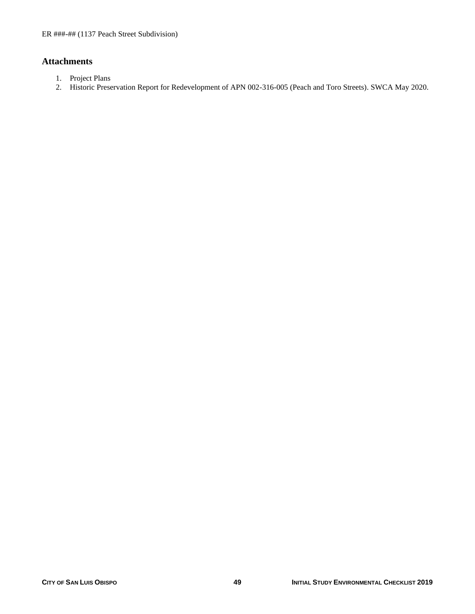# **Attachments**

- 1. Project Plans
- 2. Historic Preservation Report for Redevelopment of APN 002-316-005 (Peach and Toro Streets). SWCA May 2020.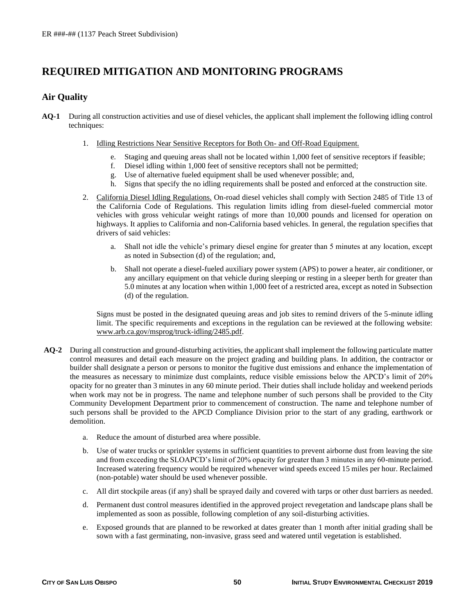# **REQUIRED MITIGATION AND MONITORING PROGRAMS**

### **Air Quality**

- **AQ-1** During all construction activities and use of diesel vehicles, the applicant shall implement the following idling control techniques:
	- 1. Idling Restrictions Near Sensitive Receptors for Both On- and Off-Road Equipment.
		- e. Staging and queuing areas shall not be located within 1,000 feet of sensitive receptors if feasible;
		- f. Diesel idling within 1,000 feet of sensitive receptors shall not be permitted;
		- g. Use of alternative fueled equipment shall be used whenever possible; and,
		- h. Signs that specify the no idling requirements shall be posted and enforced at the construction site.
	- 2. California Diesel Idling Regulations. On-road diesel vehicles shall comply with Section 2485 of Title 13 of the California Code of Regulations. This regulation limits idling from diesel-fueled commercial motor vehicles with gross vehicular weight ratings of more than 10,000 pounds and licensed for operation on highways. It applies to California and non-California based vehicles. In general, the regulation specifies that drivers of said vehicles:
		- a. Shall not idle the vehicle's primary diesel engine for greater than 5 minutes at any location, except as noted in Subsection (d) of the regulation; and,
		- b. Shall not operate a diesel-fueled auxiliary power system (APS) to power a heater, air conditioner, or any ancillary equipment on that vehicle during sleeping or resting in a sleeper berth for greater than 5.0 minutes at any location when within 1,000 feet of a restricted area, except as noted in Subsection (d) of the regulation.

Signs must be posted in the designated queuing areas and job sites to remind drivers of the 5-minute idling limit. The specific requirements and exceptions in the regulation can be reviewed at the following website: [www.arb.ca.gov/msprog/truck-idling/2485.pdf.](http://www.arb.ca.gov/msprog/truck-idling/2485.pdf)

- **AQ-2** During all construction and ground-disturbing activities, the applicant shall implement the following particulate matter control measures and detail each measure on the project grading and building plans. In addition, the contractor or builder shall designate a person or persons to monitor the fugitive dust emissions and enhance the implementation of the measures as necessary to minimize dust complaints, reduce visible emissions below the APCD's limit of 20% opacity for no greater than 3 minutes in any 60 minute period. Their duties shall include holiday and weekend periods when work may not be in progress. The name and telephone number of such persons shall be provided to the City Community Development Department prior to commencement of construction. The name and telephone number of such persons shall be provided to the APCD Compliance Division prior to the start of any grading, earthwork or demolition.
	- a. Reduce the amount of disturbed area where possible.
	- b. Use of water trucks or sprinkler systems in sufficient quantities to prevent airborne dust from leaving the site and from exceeding the SLOAPCD's limit of 20% opacity for greater than 3 minutes in any 60-minute period. Increased watering frequency would be required whenever wind speeds exceed 15 miles per hour. Reclaimed (non-potable) water should be used whenever possible.
	- c. All dirt stockpile areas (if any) shall be sprayed daily and covered with tarps or other dust barriers as needed.
	- d. Permanent dust control measures identified in the approved project revegetation and landscape plans shall be implemented as soon as possible, following completion of any soil-disturbing activities.
	- e. Exposed grounds that are planned to be reworked at dates greater than 1 month after initial grading shall be sown with a fast germinating, non-invasive, grass seed and watered until vegetation is established.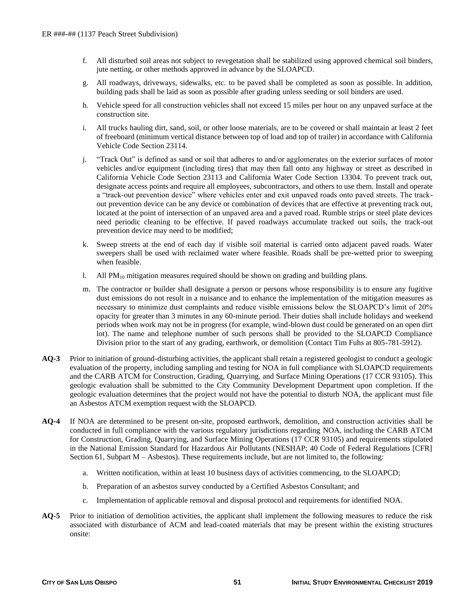- f. All disturbed soil areas not subject to revegetation shall be stabilized using approved chemical soil binders, jute netting, or other methods approved in advance by the SLOAPCD.
- g. All roadways, driveways, sidewalks, etc. to be paved shall be completed as soon as possible. In addition, building pads shall be laid as soon as possible after grading unless seeding or soil binders are used.
- h. Vehicle speed for all construction vehicles shall not exceed 15 miles per hour on any unpaved surface at the construction site.
- i. All trucks hauling dirt, sand, soil, or other loose materials, are to be covered or shall maintain at least 2 feet of freeboard (minimum vertical distance between top of load and top of trailer) in accordance with California Vehicle Code Section 23114.
- j. "Track Out" is defined as sand or soil that adheres to and/or agglomerates on the exterior surfaces of motor vehicles and/or equipment (including tires) that may then fall onto any highway or street as described in California Vehicle Code Section 23113 and California Water Code Section 13304. To prevent track out, designate access points and require all employees, subcontractors, and others to use them. Install and operate a "track-out prevention device" where vehicles enter and exit unpaved roads onto paved streets. The trackout prevention device can be any device or combination of devices that are effective at preventing track out, located at the point of intersection of an unpaved area and a paved road. Rumble strips or steel plate devices need periodic cleaning to be effective. If paved roadways accumulate tracked out soils, the track-out prevention device may need to be modified;
- k. Sweep streets at the end of each day if visible soil material is carried onto adjacent paved roads. Water sweepers shall be used with reclaimed water where feasible. Roads shall be pre-wetted prior to sweeping when feasible.
- l. All  $PM_{10}$  mitigation measures required should be shown on grading and building plans.
- m. The contractor or builder shall designate a person or persons whose responsibility is to ensure any fugitive dust emissions do not result in a nuisance and to enhance the implementation of the mitigation measures as necessary to minimize dust complaints and reduce visible emissions below the SLOAPCD's limit of 20% opacity for greater than 3 minutes in any 60-minute period. Their duties shall include holidays and weekend periods when work may not be in progress (for example, wind-blown dust could be generated on an open dirt lot). The name and telephone number of such persons shall be provided to the SLOAPCD Compliance Division prior to the start of any grading, earthwork, or demolition (Contact Tim Fuhs at 805-781-5912).
- **AQ-3** Prior to initiation of ground-disturbing activities, the applicant shall retain a registered geologist to conduct a geologic evaluation of the property, including sampling and testing for NOA in full compliance with SLOAPCD requirements and the CARB ATCM for Construction, Grading, Quarrying, and Surface Mining Operations (17 CCR 93105). This geologic evaluation shall be submitted to the City Community Development Department upon completion. If the geologic evaluation determines that the project would not have the potential to disturb NOA, the applicant must file an Asbestos ATCM exemption request with the SLOAPCD.
- **AQ-4** If NOA are determined to be present on-site, proposed earthwork, demolition, and construction activities shall be conducted in full compliance with the various regulatory jurisdictions regarding NOA, including the CARB ATCM for Construction, Grading, Quarrying, and Surface Mining Operations (17 CCR 93105) and requirements stipulated in the National Emission Standard for Hazardous Air Pollutants (NESHAP; 40 Code of Federal Regulations [CFR] Section 61, Subpart M – Asbestos). These requirements include, but are not limited to, the following:
	- a. Written notification, within at least 10 business days of activities commencing, to the SLOAPCD;
	- b. Preparation of an asbestos survey conducted by a Certified Asbestos Consultant; and
	- c. Implementation of applicable removal and disposal protocol and requirements for identified NOA.
- **AQ-5** Prior to initiation of demolition activities, the applicant shall implement the following measures to reduce the risk associated with disturbance of ACM and lead-coated materials that may be present within the existing structures onsite: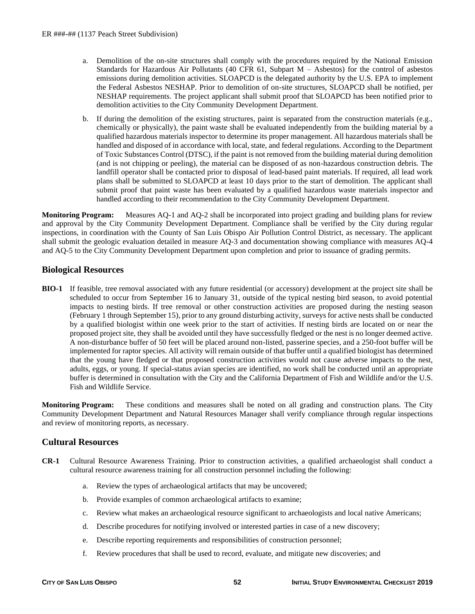- a. Demolition of the on-site structures shall comply with the procedures required by the National Emission Standards for Hazardous Air Pollutants (40 CFR 61, Subpart M – Asbestos) for the control of asbestos emissions during demolition activities. SLOAPCD is the delegated authority by the U.S. EPA to implement the Federal Asbestos NESHAP. Prior to demolition of on-site structures, SLOAPCD shall be notified, per NESHAP requirements. The project applicant shall submit proof that SLOAPCD has been notified prior to demolition activities to the City Community Development Department.
- b. If during the demolition of the existing structures, paint is separated from the construction materials (e.g., chemically or physically), the paint waste shall be evaluated independently from the building material by a qualified hazardous materials inspector to determine its proper management. All hazardous materials shall be handled and disposed of in accordance with local, state, and federal regulations. According to the Department of Toxic Substances Control (DTSC), if the paint is not removed from the building material during demolition (and is not chipping or peeling), the material can be disposed of as non-hazardous construction debris. The landfill operator shall be contacted prior to disposal of lead-based paint materials. If required, all lead work plans shall be submitted to SLOAPCD at least 10 days prior to the start of demolition. The applicant shall submit proof that paint waste has been evaluated by a qualified hazardous waste materials inspector and handled according to their recommendation to the City Community Development Department.

**Monitoring Program:** Measures AQ-1 and AQ-2 shall be incorporated into project grading and building plans for review and approval by the City Community Development Department. Compliance shall be verified by the City during regular inspections, in coordination with the County of San Luis Obispo Air Pollution Control District, as necessary. The applicant shall submit the geologic evaluation detailed in measure AQ-3 and documentation showing compliance with measures AQ-4 and AQ-5 to the City Community Development Department upon completion and prior to issuance of grading permits.

#### **Biological Resources**

**BIO-1** If feasible, tree removal associated with any future residential (or accessory) development at the project site shall be scheduled to occur from September 16 to January 31, outside of the typical nesting bird season, to avoid potential impacts to nesting birds. If tree removal or other construction activities are proposed during the nesting season (February 1 through September 15), prior to any ground disturbing activity, surveys for active nests shall be conducted by a qualified biologist within one week prior to the start of activities. If nesting birds are located on or near the proposed project site, they shall be avoided until they have successfully fledged or the nest is no longer deemed active. A non-disturbance buffer of 50 feet will be placed around non-listed, passerine species, and a 250-foot buffer will be implemented for raptor species. All activity will remain outside of that buffer until a qualified biologist has determined that the young have fledged or that proposed construction activities would not cause adverse impacts to the nest, adults, eggs, or young. If special-status avian species are identified, no work shall be conducted until an appropriate buffer is determined in consultation with the City and the California Department of Fish and Wildlife and/or the U.S. Fish and Wildlife Service.

**Monitoring Program:** These conditions and measures shall be noted on all grading and construction plans. The City Community Development Department and Natural Resources Manager shall verify compliance through regular inspections and review of monitoring reports, as necessary.

#### **Cultural Resources**

- **CR-1** Cultural Resource Awareness Training. Prior to construction activities, a qualified archaeologist shall conduct a cultural resource awareness training for all construction personnel including the following:
	- a. Review the types of archaeological artifacts that may be uncovered;
	- b. Provide examples of common archaeological artifacts to examine;
	- c. Review what makes an archaeological resource significant to archaeologists and local native Americans;
	- d. Describe procedures for notifying involved or interested parties in case of a new discovery;
	- e. Describe reporting requirements and responsibilities of construction personnel;
	- f. Review procedures that shall be used to record, evaluate, and mitigate new discoveries; and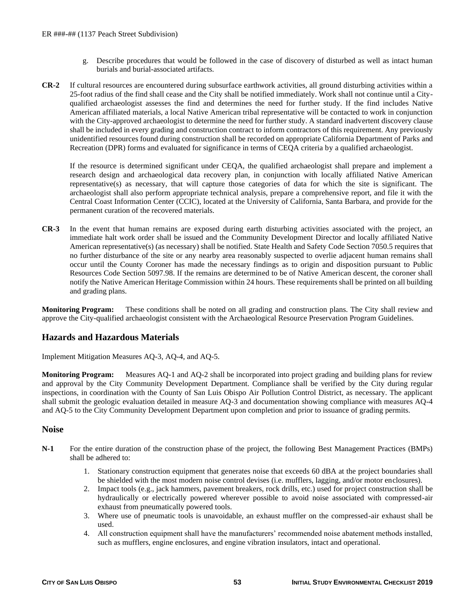- g. Describe procedures that would be followed in the case of discovery of disturbed as well as intact human burials and burial-associated artifacts.
- **CR-2** If cultural resources are encountered during subsurface earthwork activities, all ground disturbing activities within a 25-foot radius of the find shall cease and the City shall be notified immediately. Work shall not continue until a Cityqualified archaeologist assesses the find and determines the need for further study. If the find includes Native American affiliated materials, a local Native American tribal representative will be contacted to work in conjunction with the City-approved archaeologist to determine the need for further study. A standard inadvertent discovery clause shall be included in every grading and construction contract to inform contractors of this requirement. Any previously unidentified resources found during construction shall be recorded on appropriate California Department of Parks and Recreation (DPR) forms and evaluated for significance in terms of CEQA criteria by a qualified archaeologist.

If the resource is determined significant under CEQA, the qualified archaeologist shall prepare and implement a research design and archaeological data recovery plan, in conjunction with locally affiliated Native American representative(s) as necessary, that will capture those categories of data for which the site is significant. The archaeologist shall also perform appropriate technical analysis, prepare a comprehensive report, and file it with the Central Coast Information Center (CCIC), located at the University of California, Santa Barbara, and provide for the permanent curation of the recovered materials.

**CR-3** In the event that human remains are exposed during earth disturbing activities associated with the project, an immediate halt work order shall be issued and the Community Development Director and locally affiliated Native American representative(s) (as necessary) shall be notified. State Health and Safety Code Section 7050.5 requires that no further disturbance of the site or any nearby area reasonably suspected to overlie adjacent human remains shall occur until the County Coroner has made the necessary findings as to origin and disposition pursuant to Public Resources Code Section 5097.98. If the remains are determined to be of Native American descent, the coroner shall notify the Native American Heritage Commission within 24 hours. These requirements shall be printed on all building and grading plans.

**Monitoring Program:** These conditions shall be noted on all grading and construction plans. The City shall review and approve the City-qualified archaeologist consistent with the Archaeological Resource Preservation Program Guidelines.

## **Hazards and Hazardous Materials**

Implement Mitigation Measures AQ-3, AQ-4, and AQ-5.

**Monitoring Program:** Measures AQ-1 and AQ-2 shall be incorporated into project grading and building plans for review and approval by the City Community Development Department. Compliance shall be verified by the City during regular inspections, in coordination with the County of San Luis Obispo Air Pollution Control District, as necessary. The applicant shall submit the geologic evaluation detailed in measure AQ-3 and documentation showing compliance with measures AQ-4 and AQ-5 to the City Community Development Department upon completion and prior to issuance of grading permits.

## **Noise**

- **N-1** For the entire duration of the construction phase of the project, the following Best Management Practices (BMPs) shall be adhered to:
	- 1. Stationary construction equipment that generates noise that exceeds 60 dBA at the project boundaries shall be shielded with the most modern noise control devises (i.e. mufflers, lagging, and/or motor enclosures).
	- 2. Impact tools (e.g., jack hammers, pavement breakers, rock drills, etc.) used for project construction shall be hydraulically or electrically powered wherever possible to avoid noise associated with compressed-air exhaust from pneumatically powered tools.
	- 3. Where use of pneumatic tools is unavoidable, an exhaust muffler on the compressed-air exhaust shall be used.
	- 4. All construction equipment shall have the manufacturers' recommended noise abatement methods installed, such as mufflers, engine enclosures, and engine vibration insulators, intact and operational.